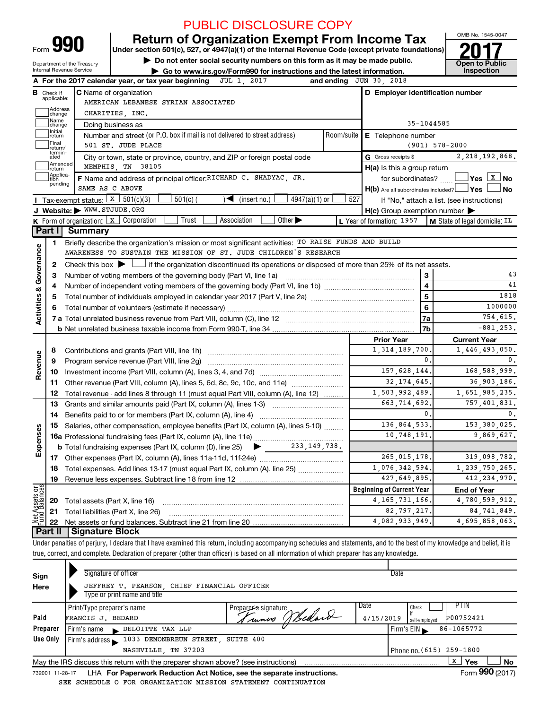| Form | $\mathbf Q$ | ſ |
|------|-------------|---|
|      |             |   |

# PUBLIC DISCLOSURE COPY

Form 990 Return of Organization Exempt From Income Tax<br>Department of the Treasury Department of the Treasury Department of the Treasury Department of the Treasury

Department of the Treasury **| Department Of the Treasury | Go to Public**<br>Internal Revenue Service **| Go to www.irs.gov/Form990 for instructions and the latest information** 

OMB No. 1545-0047

|                         |                    | <b>20 GO to www.ils.gov/Formssonor insulations and the latest information.</b>                                                                                             |            |                                                     |                                                             |  |  |  |  |  |  |  |
|-------------------------|--------------------|----------------------------------------------------------------------------------------------------------------------------------------------------------------------------|------------|-----------------------------------------------------|-------------------------------------------------------------|--|--|--|--|--|--|--|
|                         |                    | A For the 2017 calendar year, or tax year beginning<br>JUL 1, 2017                                                                                                         |            | and ending $JUN$ 30, 2018                           |                                                             |  |  |  |  |  |  |  |
| в                       | Check if           | <b>C</b> Name of organization                                                                                                                                              |            | D Employer identification number                    |                                                             |  |  |  |  |  |  |  |
|                         | applicable:        | AMERICAN LEBANESE SYRIAN ASSOCIATED                                                                                                                                        |            |                                                     |                                                             |  |  |  |  |  |  |  |
|                         | Address<br>change  | CHARITIES, INC.                                                                                                                                                            |            |                                                     |                                                             |  |  |  |  |  |  |  |
|                         | Name<br>change     | $35 - 1044585$<br>Doing business as                                                                                                                                        |            |                                                     |                                                             |  |  |  |  |  |  |  |
|                         | Initial<br>return  | Number and street (or P.O. box if mail is not delivered to street address)                                                                                                 | Room/suite | E Telephone number                                  |                                                             |  |  |  |  |  |  |  |
|                         | Final<br>return/   | 501 ST. JUDE PLACE                                                                                                                                                         |            |                                                     | $(901) 578 - 2000$                                          |  |  |  |  |  |  |  |
|                         | termin-<br>ated    | City or town, state or province, country, and ZIP or foreign postal code                                                                                                   |            | G Gross receipts \$                                 | 2, 218, 192, 868.                                           |  |  |  |  |  |  |  |
|                         | Amended<br>Ireturn | MEMPHIS, TN 38105                                                                                                                                                          |            | H(a) Is this a group return                         |                                                             |  |  |  |  |  |  |  |
|                         | Applica-<br>tion   | F Name and address of principal officer: RICHARD C. SHADYAC, JR.                                                                                                           |            | for subordinates? $\Box$                            |                                                             |  |  |  |  |  |  |  |
|                         | pending            | SAME AS C ABOVE                                                                                                                                                            |            | $H(b)$ Are all subordinates included? $\Box$ Yes    | ∫ No                                                        |  |  |  |  |  |  |  |
|                         |                    | Tax-exempt status: $\boxed{x}$ 501(c)(3)<br>$4947(a)(1)$ or<br>$501(c)$ (<br>$\sqrt{\bullet}$ (insert no.)                                                                 | 527        |                                                     | If "No," attach a list. (see instructions)                  |  |  |  |  |  |  |  |
|                         |                    | J Website: WWW.STJUDE.ORG                                                                                                                                                  |            | $H(c)$ Group exemption number $\blacktriangleright$ |                                                             |  |  |  |  |  |  |  |
|                         |                    | Other $\blacktriangleright$<br>K Form of organization:   x   Corporation<br>Trust<br>Association                                                                           |            |                                                     | L Year of formation: $1957$   M State of legal domicile: IL |  |  |  |  |  |  |  |
|                         | Part I             | <b>Summary</b>                                                                                                                                                             |            |                                                     |                                                             |  |  |  |  |  |  |  |
|                         | 1                  | Briefly describe the organization's mission or most significant activities: TO RAISE FUNDS AND BUILD                                                                       |            |                                                     |                                                             |  |  |  |  |  |  |  |
|                         |                    | AWARENESS TO SUSTAIN THE MISSION OF ST. JUDE CHILDREN'S RESEARCH                                                                                                           |            |                                                     |                                                             |  |  |  |  |  |  |  |
| Governance              | 2                  | Check this box $\blacktriangleright$ $\Box$ if the organization discontinued its operations or disposed of more than 25% of its net assets.                                |            |                                                     |                                                             |  |  |  |  |  |  |  |
|                         | З                  | Number of voting members of the governing body (Part VI, line 1a)                                                                                                          |            | 3                                                   | 43                                                          |  |  |  |  |  |  |  |
|                         | 4                  |                                                                                                                                                                            |            | $\overline{\mathbf{4}}$                             | 41                                                          |  |  |  |  |  |  |  |
|                         | 5                  |                                                                                                                                                                            | 5          | 1818                                                |                                                             |  |  |  |  |  |  |  |
|                         |                    |                                                                                                                                                                            | 6          | 1000000                                             |                                                             |  |  |  |  |  |  |  |
| <b>Activities &amp;</b> |                    |                                                                                                                                                                            |            | 7a                                                  | 754,615.                                                    |  |  |  |  |  |  |  |
|                         |                    |                                                                                                                                                                            |            | 7b                                                  | $-881, 253.$                                                |  |  |  |  |  |  |  |
|                         |                    |                                                                                                                                                                            |            | <b>Prior Year</b>                                   | <b>Current Year</b>                                         |  |  |  |  |  |  |  |
|                         | 8                  |                                                                                                                                                                            |            | 1, 314, 189, 700                                    | 1,446,493,050.                                              |  |  |  |  |  |  |  |
|                         | 9                  |                                                                                                                                                                            |            | 0.                                                  | 0.                                                          |  |  |  |  |  |  |  |
| Revenue                 | 10                 |                                                                                                                                                                            |            | 157,628,144.                                        | 168,588,999.                                                |  |  |  |  |  |  |  |
|                         | 11                 | Other revenue (Part VIII, column (A), lines 5, 6d, 8c, 9c, 10c, and 11e)                                                                                                   |            | 32, 174, 645.                                       | 36,903,186.                                                 |  |  |  |  |  |  |  |
|                         | 12                 | Total revenue - add lines 8 through 11 (must equal Part VIII, column (A), line 12)                                                                                         |            | 1,503,992,489.                                      | 1,651,985,235.                                              |  |  |  |  |  |  |  |
|                         | 13                 | Grants and similar amounts paid (Part IX, column (A), lines 1-3)                                                                                                           |            | 663, 714, 692.                                      | 757,401,831.                                                |  |  |  |  |  |  |  |
|                         | 14                 | Benefits paid to or for members (Part IX, column (A), line 4)                                                                                                              |            | 0.                                                  | $\mathbf 0$ .                                               |  |  |  |  |  |  |  |
|                         | 15                 | Salaries, other compensation, employee benefits (Part IX, column (A), lines 5-10)                                                                                          |            | 136,864,533.                                        | 153,380,025.                                                |  |  |  |  |  |  |  |
|                         |                    |                                                                                                                                                                            |            | 10, 748, 191.                                       | 9,869,627.                                                  |  |  |  |  |  |  |  |
| Expenses                |                    | <b>b</b> Total fundraising expenses (Part IX, column (D), line $25$ $\rightarrow$ 233, 149, 738.                                                                           |            |                                                     |                                                             |  |  |  |  |  |  |  |
|                         |                    |                                                                                                                                                                            |            | 265, 015, 178.                                      | 319,098,782.                                                |  |  |  |  |  |  |  |
|                         |                    | 18 Total expenses. Add lines 13-17 (must equal Part IX, column (A), line 25)                                                                                               |            | 1,076,342,594.                                      | 1,239,750,265.                                              |  |  |  |  |  |  |  |
|                         | 19                 |                                                                                                                                                                            |            | 427,649,895.                                        | 412, 234, 970.                                              |  |  |  |  |  |  |  |
| Net Assets or           |                    |                                                                                                                                                                            |            | <b>Beginning of Current Year</b>                    | <b>End of Year</b>                                          |  |  |  |  |  |  |  |
|                         | 20                 | Total assets (Part X, line 16)                                                                                                                                             |            | 4, 165, 731, 166.                                   | 4,780,599,912.                                              |  |  |  |  |  |  |  |
|                         | 21                 | Total liabilities (Part X, line 26)                                                                                                                                        |            | 82,797,217.                                         | 84,741,849.                                                 |  |  |  |  |  |  |  |
|                         | 22                 |                                                                                                                                                                            |            | 4,082,933,949.                                      | 4,695,858,063.                                              |  |  |  |  |  |  |  |
|                         | Part II            | Signature Block                                                                                                                                                            |            |                                                     |                                                             |  |  |  |  |  |  |  |
|                         |                    | Under penalties of perjury, I declare that I have examined this return, including accompanying schedules and statements, and to the best of my knowledge and belief, it is |            |                                                     |                                                             |  |  |  |  |  |  |  |

true, correct, and complete. Declaration of preparer (other than officer) is based on all information of which preparer has any knowledge.

| Sign     | Signature of officer                                                                                         |                                       |                   | Date                                        |    |  |  |  |  |  |
|----------|--------------------------------------------------------------------------------------------------------------|---------------------------------------|-------------------|---------------------------------------------|----|--|--|--|--|--|
| Here     | JEFFREY T. PEARSON, CHIEF FINANCIAL OFFICER<br>Type or print name and title                                  |                                       |                   |                                             |    |  |  |  |  |  |
| Paid     | Print/Type preparer's name<br>FRANCIS J. BEDARD                                                              | Preparer's signature<br>Sunnes Wedard | Date<br>4/15/2019 | PIIN<br>Check<br>P00752421<br>self-emploved |    |  |  |  |  |  |
| Preparer | DELOITTE TAX LLP<br>Firm's name<br>$\mathbf{K}$                                                              |                                       |                   | 86-1065772<br>Firm's $EIN$                  |    |  |  |  |  |  |
| Use Only | 1033 DEMONBREUN STREET, SUITE 400<br>Firm's address                                                          |                                       |                   |                                             |    |  |  |  |  |  |
|          | Phone no. (615) 259-1800                                                                                     |                                       |                   |                                             |    |  |  |  |  |  |
|          | May the IRS discuss this return with the preparer shown above? (see instructions)                            |                                       |                   | x<br>Yes                                    | No |  |  |  |  |  |
|          | Form 990 (2017)<br>LHA For Paperwork Reduction Act Notice, see the separate instructions.<br>732001 11-28-17 |                                       |                   |                                             |    |  |  |  |  |  |

SEE SCHEDULE O FOR ORGANIZATION MISSION STATEMENT CONTINUATION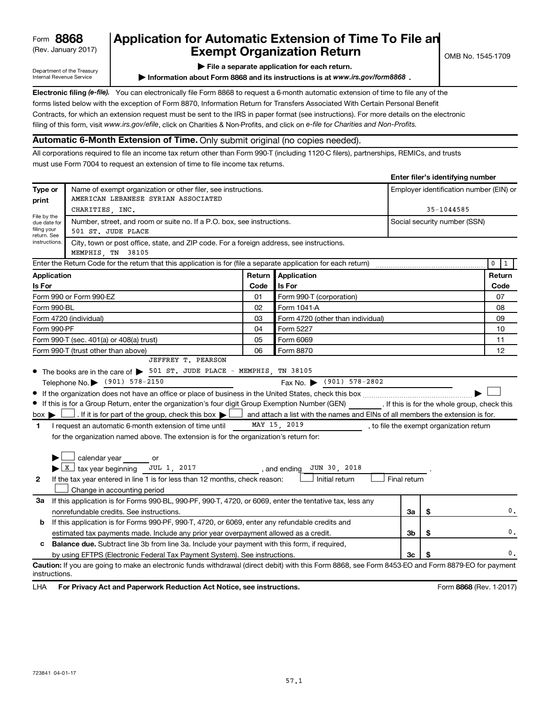## Form **8868 Application for Automatic Extension of Time To File an Exempt Organization Return**  $\bigcup_{\text{OMB No. 1545-1709}}$

**Department of the Treasury | Conserved Conserved Conserved Conserved Conserved Conserved Conserved Conserved Conserved Conserved Conserved Conserved Conserved Conserved Conserved Conserved Conserved Conserved Conserved Co** Information about Form 8868 and its instructions is at *www.irs.gov/form8868* .

**Electronic filing** *(e-file).* You can electronically file Form 8868 to request a 6-month automatic extension of time to file any of the forms listed below with the exception of Form 8870, Information Return for Transfers Associated With Certain Personal Benefit Contracts, for which an extension request must be sent to the IRS in paper format (see instructions). For more details on the electronic filing of this form, visit *www.irs.gov/efile*, click on Charities & Non-Profits, and click on *e-file* for *Charities and Non-Profits.*

## **Automatic 6-Month Extension of Time.** Only submit original (no copies needed).

All corporations required to file an income tax return other than Form 990-T (including 1120-C filers), partnerships, REMICs, and trusts must use Form 7004 to request an extension of time to file income tax returns.

|                                            |                                                                                                                                                    |                                         |                                   |              |            | Liner increated in the control of the control of the control of the control of the control of the control of the control of the control of the control of the control of the control of the control of the control of the cont |        |
|--------------------------------------------|----------------------------------------------------------------------------------------------------------------------------------------------------|-----------------------------------------|-----------------------------------|--------------|------------|--------------------------------------------------------------------------------------------------------------------------------------------------------------------------------------------------------------------------------|--------|
| Type or                                    | Name of exempt organization or other filer, see instructions.                                                                                      | Employer identification number (EIN) or |                                   |              |            |                                                                                                                                                                                                                                |        |
| print                                      | AMERICAN LEBANESE SYRIAN ASSOCIATED                                                                                                                |                                         |                                   |              |            |                                                                                                                                                                                                                                |        |
| File by the                                | CHARITIES INC.                                                                                                                                     |                                         |                                   |              | 35-1044585 |                                                                                                                                                                                                                                |        |
| due date for<br>filing your<br>return. See | Number, street, and room or suite no. If a P.O. box, see instructions.<br>501 ST. JUDE PLACE                                                       |                                         |                                   |              |            | Social security number (SSN)                                                                                                                                                                                                   |        |
| instructions.                              | City, town or post office, state, and ZIP code. For a foreign address, see instructions.<br>MEMPHIS TN 38105                                       |                                         |                                   |              |            |                                                                                                                                                                                                                                |        |
|                                            | Enter the Return Code for the return that this application is for (file a separate application for each return)                                    |                                         |                                   |              |            |                                                                                                                                                                                                                                | 0      |
| Application                                |                                                                                                                                                    | Return                                  | Application                       |              |            |                                                                                                                                                                                                                                | Return |
| Is For                                     |                                                                                                                                                    | Code                                    | Is For                            |              |            |                                                                                                                                                                                                                                | Code   |
|                                            | Form 990 or Form 990-EZ                                                                                                                            | 01                                      | Form 990-T (corporation)          |              |            |                                                                                                                                                                                                                                | 07     |
| Form 990-BL                                |                                                                                                                                                    | 02                                      | Form 1041-A                       |              |            |                                                                                                                                                                                                                                | 08     |
|                                            | Form 4720 (individual)                                                                                                                             | 03                                      | Form 4720 (other than individual) |              |            |                                                                                                                                                                                                                                | 09     |
| Form 990-PF                                |                                                                                                                                                    | 04                                      | Form 5227                         |              |            |                                                                                                                                                                                                                                | 10     |
|                                            | Form 990-T (sec. 401(a) or 408(a) trust)                                                                                                           | 05                                      | Form 6069                         |              |            |                                                                                                                                                                                                                                | 11     |
|                                            | Form 990-T (trust other than above)                                                                                                                | 06                                      | Form 8870                         |              |            |                                                                                                                                                                                                                                | 12     |
|                                            | JEFFREY T. PEARSON                                                                                                                                 |                                         |                                   |              |            |                                                                                                                                                                                                                                |        |
|                                            | • The books are in the care of > 501 ST. JUDE PLACE - MEMPHIS, TN 38105                                                                            |                                         |                                   |              |            |                                                                                                                                                                                                                                |        |
|                                            | Telephone No. (901) 578-2150                                                                                                                       |                                         | Fax No. (901) 578-2802            |              |            |                                                                                                                                                                                                                                |        |
|                                            |                                                                                                                                                    |                                         |                                   |              |            |                                                                                                                                                                                                                                |        |
|                                            | If this is for a Group Return, enter the organization's four digit Group Exemption Number (GEN) [If this is for the whole group, check this        |                                         |                                   |              |            |                                                                                                                                                                                                                                |        |
| $box \blacktriangleright$                  | . If it is for part of the group, check this box $\Box$ and attach a list with the names and EINs of all members the extension is for.             |                                         |                                   |              |            |                                                                                                                                                                                                                                |        |
| $\mathbf{1}$                               | I request an automatic 6-month extension of time until                                                                                             |                                         | MAY 15, 2019                      |              |            | , to file the exempt organization return                                                                                                                                                                                       |        |
|                                            | for the organization named above. The extension is for the organization's return for:                                                              |                                         |                                   |              |            |                                                                                                                                                                                                                                |        |
|                                            |                                                                                                                                                    |                                         |                                   |              |            |                                                                                                                                                                                                                                |        |
|                                            | calendar year or                                                                                                                                   |                                         |                                   |              |            |                                                                                                                                                                                                                                |        |
|                                            | $\blacktriangleright$ $\boxed{\text{X}}$ tax year beginning JUL 1, 2017 , and ending                                                               |                                         | JUN 30, 2018                      |              |            |                                                                                                                                                                                                                                |        |
| $\mathbf{2}$                               | If the tax year entered in line 1 is for less than 12 months, check reason:                                                                        |                                         | Initial return                    | Final return |            |                                                                                                                                                                                                                                |        |
|                                            | Change in accounting period                                                                                                                        |                                         |                                   |              |            |                                                                                                                                                                                                                                |        |
| За                                         | If this application is for Forms 990-BL, 990-PF, 990-T, 4720, or 6069, enter the tentative tax, less any                                           |                                         |                                   |              |            |                                                                                                                                                                                                                                |        |
|                                            | nonrefundable credits. See instructions.                                                                                                           |                                         |                                   | За           | \$         |                                                                                                                                                                                                                                | 0.     |
| b                                          | If this application is for Forms 990-PF, 990-T, 4720, or 6069, enter any refundable credits and                                                    |                                         |                                   |              |            |                                                                                                                                                                                                                                |        |
|                                            | estimated tax payments made. Include any prior year overpayment allowed as a credit.<br>3b<br>\$                                                   |                                         |                                   |              |            |                                                                                                                                                                                                                                |        |
| c                                          | Balance due. Subtract line 3b from line 3a. Include your payment with this form, if required,                                                      |                                         |                                   |              |            |                                                                                                                                                                                                                                |        |
|                                            | by using EFTPS (Electronic Federal Tax Payment System). See instructions.                                                                          |                                         |                                   | Зс           | S          |                                                                                                                                                                                                                                | 0.     |
| instructions.                              | Caution: If you are going to make an electronic funds withdrawal (direct debit) with this Form 8868, see Form 8453-EO and Form 8879-EO for payment |                                         |                                   |              |            |                                                                                                                                                                                                                                |        |

LHA **For Privacy Act and Paperwork Reduction Act Notice, see instructions. The State of the State of State 1-2017)** 

**Enter filer's identifying number**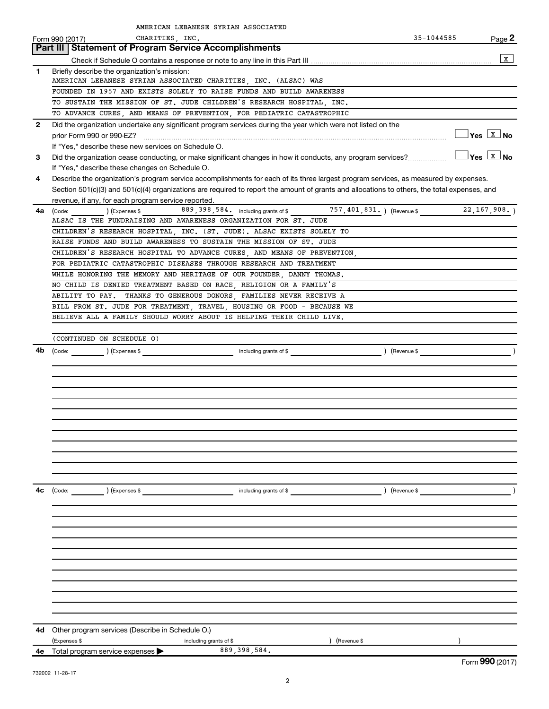|              | AMERICAN LEBANESE SYRIAN ASSOCIATED                                                                                                          |               |                                  |
|--------------|----------------------------------------------------------------------------------------------------------------------------------------------|---------------|----------------------------------|
|              | CHARITIES, INC.<br>Form 990 (2017)                                                                                                           | 35-1044585    | Page 2                           |
|              | Part III   Statement of Program Service Accomplishments                                                                                      |               |                                  |
|              |                                                                                                                                              |               | $\mathbf{x}$                     |
| 1.           | Briefly describe the organization's mission:                                                                                                 |               |                                  |
|              | AMERICAN LEBANESE SYRIAN ASSOCIATED CHARITIES, INC. (ALSAC) WAS                                                                              |               |                                  |
|              | FOUNDED IN 1957 AND EXISTS SOLELY TO RAISE FUNDS AND BUILD AWARENESS                                                                         |               |                                  |
|              | TO SUSTAIN THE MISSION OF ST. JUDE CHILDREN'S RESEARCH HOSPITAL, INC.                                                                        |               |                                  |
|              | TO ADVANCE CURES, AND MEANS OF PREVENTION, FOR PEDIATRIC CATASTROPHIC                                                                        |               |                                  |
| $\mathbf{2}$ | Did the organization undertake any significant program services during the year which were not listed on the                                 |               | $\Box$ Yes $\boxed{\text{x}}$ No |
|              | If "Yes," describe these new services on Schedule O.                                                                                         |               |                                  |
| 3            |                                                                                                                                              |               | $\Box$ Yes $\boxed{\text{x}}$ No |
|              | If "Yes," describe these changes on Schedule O.                                                                                              |               |                                  |
| 4            | Describe the organization's program service accomplishments for each of its three largest program services, as measured by expenses.         |               |                                  |
|              | Section 501(c)(3) and 501(c)(4) organizations are required to report the amount of grants and allocations to others, the total expenses, and |               |                                  |
|              | revenue, if any, for each program service reported.                                                                                          |               |                                  |
| 4a           | (Code: ) (Expenses \$89,398,584. including grants of \$757,401,831.) (Revenue \$22,167,908.)                                                 |               |                                  |
|              | ALSAC IS THE FUNDRAISING AND AWARENESS ORGANIZATION FOR ST. JUDE                                                                             |               |                                  |
|              | CHILDREN'S RESEARCH HOSPITAL, INC. (ST. JUDE). ALSAC EXISTS SOLELY TO                                                                        |               |                                  |
|              | RAISE FUNDS AND BUILD AWARENESS TO SUSTAIN THE MISSION OF ST. JUDE                                                                           |               |                                  |
|              | CHILDREN'S RESEARCH HOSPITAL TO ADVANCE CURES. AND MEANS OF PREVENTION.                                                                      |               |                                  |
|              | FOR PEDIATRIC CATASTROPHIC DISEASES THROUGH RESEARCH AND TREATMENT                                                                           |               |                                  |
|              | WHILE HONORING THE MEMORY AND HERITAGE OF OUR FOUNDER, DANNY THOMAS.                                                                         |               |                                  |
|              | NO CHILD IS DENIED TREATMENT BASED ON RACE, RELIGION OR A FAMILY'S                                                                           |               |                                  |
|              | ABILITY TO PAY. THANKS TO GENEROUS DONORS, FAMILIES NEVER RECEIVE A                                                                          |               |                                  |
|              | BILL FROM ST. JUDE FOR TREATMENT, TRAVEL, HOUSING OR FOOD - BECAUSE WE                                                                       |               |                                  |
|              | BELIEVE ALL A FAMILY SHOULD WORRY ABOUT IS HELPING THEIR CHILD LIVE.                                                                         |               |                                  |
|              | (CONTINUED ON SCHEDULE O)                                                                                                                    |               |                                  |
| 4b           |                                                                                                                                              |               |                                  |
|              |                                                                                                                                              |               |                                  |
|              |                                                                                                                                              |               |                                  |
|              |                                                                                                                                              |               |                                  |
|              |                                                                                                                                              |               |                                  |
|              |                                                                                                                                              |               |                                  |
|              |                                                                                                                                              |               |                                  |
|              |                                                                                                                                              |               |                                  |
|              |                                                                                                                                              |               |                                  |
|              |                                                                                                                                              |               |                                  |
|              |                                                                                                                                              |               |                                  |
|              |                                                                                                                                              |               |                                  |
|              |                                                                                                                                              |               |                                  |
| 4c           | ) (Expenses \$<br>$\begin{array}{ c c }\n\hline\n\text{Code:} & \text{\quad} & \text{\quad} \quad\end{array}$<br>including grants of \$      | ) (Revenue \$ |                                  |
|              |                                                                                                                                              |               |                                  |
|              |                                                                                                                                              |               |                                  |
|              |                                                                                                                                              |               |                                  |
|              |                                                                                                                                              |               |                                  |
|              |                                                                                                                                              |               |                                  |
|              |                                                                                                                                              |               |                                  |
|              |                                                                                                                                              |               |                                  |
|              |                                                                                                                                              |               |                                  |
|              |                                                                                                                                              |               |                                  |
|              |                                                                                                                                              |               |                                  |
|              |                                                                                                                                              |               |                                  |
| 4d           | Other program services (Describe in Schedule O.)                                                                                             |               |                                  |
|              | (Expenses \$<br>Revenue \$<br>including grants of \$                                                                                         |               |                                  |
| 4е           | 889, 398, 584.<br>Total program service expenses >                                                                                           |               |                                  |
|              |                                                                                                                                              |               | Form 990 (2017)                  |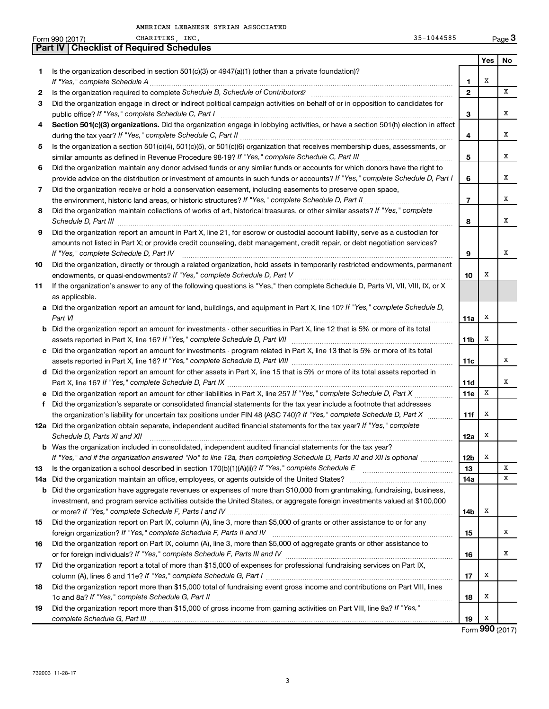|     | CHARITIES, INC.<br>35-1044585<br>Form 990 (2017)                                                                                                                                                                                                                                                                                                                      |                |     | Page 3 |
|-----|-----------------------------------------------------------------------------------------------------------------------------------------------------------------------------------------------------------------------------------------------------------------------------------------------------------------------------------------------------------------------|----------------|-----|--------|
|     | <b>Part IV   Checklist of Required Schedules</b>                                                                                                                                                                                                                                                                                                                      |                |     |        |
|     |                                                                                                                                                                                                                                                                                                                                                                       |                | Yes | No     |
| 1   | Is the organization described in section $501(c)(3)$ or $4947(a)(1)$ (other than a private foundation)?                                                                                                                                                                                                                                                               |                |     |        |
|     | If "Yes," complete Schedule A                                                                                                                                                                                                                                                                                                                                         | 1              | х   |        |
| 2   |                                                                                                                                                                                                                                                                                                                                                                       | $\mathbf{2}$   |     | x      |
| З   | Did the organization engage in direct or indirect political campaign activities on behalf of or in opposition to candidates for                                                                                                                                                                                                                                       |                |     |        |
|     |                                                                                                                                                                                                                                                                                                                                                                       | 3              |     | х      |
| 4   | Section 501(c)(3) organizations. Did the organization engage in lobbying activities, or have a section 501(h) election in effect                                                                                                                                                                                                                                      |                |     |        |
|     |                                                                                                                                                                                                                                                                                                                                                                       | 4              |     | x      |
| 5   | Is the organization a section 501(c)(4), 501(c)(5), or 501(c)(6) organization that receives membership dues, assessments, or                                                                                                                                                                                                                                          |                |     | x      |
|     |                                                                                                                                                                                                                                                                                                                                                                       | 5              |     |        |
| 6   | Did the organization maintain any donor advised funds or any similar funds or accounts for which donors have the right to                                                                                                                                                                                                                                             | 6              |     | x      |
|     | provide advice on the distribution or investment of amounts in such funds or accounts? If "Yes," complete Schedule D, Part I                                                                                                                                                                                                                                          |                |     |        |
| 7   | Did the organization receive or hold a conservation easement, including easements to preserve open space,<br>the environment, historic land areas, or historic structures? If "Yes," complete Schedule D, Part II,                                                                                                                                                    | $\overline{7}$ |     | x      |
| 8   | Did the organization maintain collections of works of art, historical treasures, or other similar assets? If "Yes," complete                                                                                                                                                                                                                                          |                |     |        |
|     |                                                                                                                                                                                                                                                                                                                                                                       | 8              |     | x      |
| 9   | Schedule D, Part III <b>Marting Community Contract Contract Contract Contract Contract Contract Contract Contract Contract Contract Contract Contract Contract Contract Contract Contract Contract Contract Contract Contract Co</b><br>Did the organization report an amount in Part X, line 21, for escrow or custodial account liability, serve as a custodian for |                |     |        |
|     | amounts not listed in Part X; or provide credit counseling, debt management, credit repair, or debt negotiation services?                                                                                                                                                                                                                                             |                |     |        |
|     | If "Yes," complete Schedule D, Part IV                                                                                                                                                                                                                                                                                                                                | 9              |     | x      |
| 10  | Did the organization, directly or through a related organization, hold assets in temporarily restricted endowments, permanent                                                                                                                                                                                                                                         |                |     |        |
|     |                                                                                                                                                                                                                                                                                                                                                                       | 10             | х   |        |
| 11  | If the organization's answer to any of the following questions is "Yes," then complete Schedule D, Parts VI, VII, VIII, IX, or X                                                                                                                                                                                                                                      |                |     |        |
|     | as applicable.                                                                                                                                                                                                                                                                                                                                                        |                |     |        |
|     | a Did the organization report an amount for land, buildings, and equipment in Part X, line 10? If "Yes," complete Schedule D,                                                                                                                                                                                                                                         |                |     |        |
|     | Part VI                                                                                                                                                                                                                                                                                                                                                               | 11a            | х   |        |
|     | <b>b</b> Did the organization report an amount for investments - other securities in Part X, line 12 that is 5% or more of its total                                                                                                                                                                                                                                  |                |     |        |
|     |                                                                                                                                                                                                                                                                                                                                                                       | 11b            | х   |        |
|     | c Did the organization report an amount for investments - program related in Part X, line 13 that is 5% or more of its total                                                                                                                                                                                                                                          |                |     |        |
|     |                                                                                                                                                                                                                                                                                                                                                                       | 11c            |     | х      |
|     | d Did the organization report an amount for other assets in Part X, line 15 that is 5% or more of its total assets reported in                                                                                                                                                                                                                                        |                |     |        |
|     |                                                                                                                                                                                                                                                                                                                                                                       | 11d            |     | х      |
|     |                                                                                                                                                                                                                                                                                                                                                                       | 11e            | х   |        |
| f   | Did the organization's separate or consolidated financial statements for the tax year include a footnote that addresses                                                                                                                                                                                                                                               |                |     |        |
|     | the organization's liability for uncertain tax positions under FIN 48 (ASC 740)? If "Yes," complete Schedule D, Part X                                                                                                                                                                                                                                                | 11f            | х   |        |
|     | 12a Did the organization obtain separate, independent audited financial statements for the tax year? If "Yes," complete                                                                                                                                                                                                                                               |                |     |        |
|     | Schedule D, Parts XI and XII <b>construents and Construents and Construents</b> and Construents and Construents and Co                                                                                                                                                                                                                                                | 12a            | Х   |        |
|     | b Was the organization included in consolidated, independent audited financial statements for the tax year?                                                                                                                                                                                                                                                           |                |     |        |
|     | If "Yes," and if the organization answered "No" to line 12a, then completing Schedule D, Parts XI and XII is optional <i>maniming</i>                                                                                                                                                                                                                                 | 12b            | х   |        |
| 13  |                                                                                                                                                                                                                                                                                                                                                                       | 13             |     | х      |
| 14a |                                                                                                                                                                                                                                                                                                                                                                       | 14a            |     | х      |
| b   | Did the organization have aggregate revenues or expenses of more than \$10,000 from grantmaking, fundraising, business,                                                                                                                                                                                                                                               |                |     |        |
|     | investment, and program service activities outside the United States, or aggregate foreign investments valued at \$100,000                                                                                                                                                                                                                                            |                |     |        |
|     |                                                                                                                                                                                                                                                                                                                                                                       | 14b            | х   |        |
| 15  | Did the organization report on Part IX, column (A), line 3, more than \$5,000 of grants or other assistance to or for any                                                                                                                                                                                                                                             |                |     | х      |
|     | Did the organization report on Part IX, column (A), line 3, more than \$5,000 of aggregate grants or other assistance to                                                                                                                                                                                                                                              | 15             |     |        |
| 16  |                                                                                                                                                                                                                                                                                                                                                                       | 16             |     | х      |
| 17  | Did the organization report a total of more than \$15,000 of expenses for professional fundraising services on Part IX,                                                                                                                                                                                                                                               |                |     |        |
|     |                                                                                                                                                                                                                                                                                                                                                                       | 17             | х   |        |
| 18  | Did the organization report more than \$15,000 total of fundraising event gross income and contributions on Part VIII, lines                                                                                                                                                                                                                                          |                |     |        |
|     |                                                                                                                                                                                                                                                                                                                                                                       | 18             | х   |        |
| 19  | Did the organization report more than \$15,000 of gross income from gaming activities on Part VIII, line 9a? If "Yes,"                                                                                                                                                                                                                                                |                |     |        |
|     |                                                                                                                                                                                                                                                                                                                                                                       | 19             | X   |        |
|     |                                                                                                                                                                                                                                                                                                                                                                       |                |     |        |

Form **990** (2017)

732003 11-28-17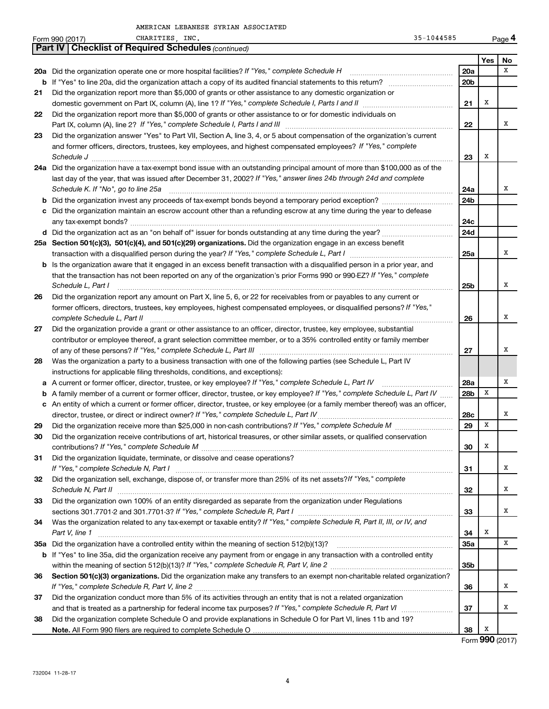|    | 35-1044585<br>CHARITIES, INC.<br>Form 990 (2017)                                                                                                                                                                                     |                 |     | Page 4 |
|----|--------------------------------------------------------------------------------------------------------------------------------------------------------------------------------------------------------------------------------------|-----------------|-----|--------|
|    | <b>Part IV   Checklist of Required Schedules (continued)</b>                                                                                                                                                                         |                 |     |        |
|    |                                                                                                                                                                                                                                      |                 | Yes | No     |
|    |                                                                                                                                                                                                                                      | 20a             |     | x      |
|    | <b>b</b> If "Yes" to line 20a, did the organization attach a copy of its audited financial statements to this return?                                                                                                                | 20 <sub>b</sub> |     |        |
| 21 | Did the organization report more than \$5,000 of grants or other assistance to any domestic organization or                                                                                                                          |                 |     |        |
|    |                                                                                                                                                                                                                                      | 21              | х   |        |
| 22 | Did the organization report more than \$5,000 of grants or other assistance to or for domestic individuals on                                                                                                                        |                 |     |        |
|    | Part IX, column (A), line 2? If "Yes," complete Schedule I, Parts I and III [11]] [11]] [11] [11] [11] [11] [1                                                                                                                       | 22              |     | x      |
| 23 | Did the organization answer "Yes" to Part VII, Section A, line 3, 4, or 5 about compensation of the organization's current                                                                                                           |                 |     |        |
|    | and former officers, directors, trustees, key employees, and highest compensated employees? If "Yes," complete                                                                                                                       |                 |     |        |
|    | Schedule J <b>Martin Communication Contract Contract Contract Contract Contract Contract Contract Contract Contract Contract Contract Contract Contract Contract Contract Contract Contract Contract Contract Contract Contract </b> | 23              | x   |        |
|    | 24a Did the organization have a tax-exempt bond issue with an outstanding principal amount of more than \$100,000 as of the                                                                                                          |                 |     |        |
|    | last day of the year, that was issued after December 31, 2002? If "Yes," answer lines 24b through 24d and complete                                                                                                                   |                 |     |        |
|    | Schedule K. If "No", go to line 25a                                                                                                                                                                                                  | 24a             |     | х      |
|    | <b>b</b> Did the organization invest any proceeds of tax-exempt bonds beyond a temporary period exception?                                                                                                                           | 24 <sub>b</sub> |     |        |
|    | c Did the organization maintain an escrow account other than a refunding escrow at any time during the year to defease                                                                                                               |                 |     |        |
|    |                                                                                                                                                                                                                                      | 24c             |     |        |
|    |                                                                                                                                                                                                                                      | 24d             |     |        |
|    | 25a Section 501(c)(3), 501(c)(4), and 501(c)(29) organizations. Did the organization engage in an excess benefit                                                                                                                     |                 |     |        |
|    |                                                                                                                                                                                                                                      | 25a             |     | x      |
|    | <b>b</b> Is the organization aware that it engaged in an excess benefit transaction with a disqualified person in a prior year, and                                                                                                  |                 |     |        |
|    | that the transaction has not been reported on any of the organization's prior Forms 990 or 990-EZ? If "Yes," complete                                                                                                                |                 |     |        |
|    | Schedule L, Part I                                                                                                                                                                                                                   | 25b             |     | х      |
| 26 | Did the organization report any amount on Part X, line 5, 6, or 22 for receivables from or payables to any current or                                                                                                                |                 |     |        |
|    | former officers, directors, trustees, key employees, highest compensated employees, or disqualified persons? If "Yes,"                                                                                                               |                 |     |        |
|    | complete Schedule L, Part II                                                                                                                                                                                                         | 26              |     | х      |
| 27 | Did the organization provide a grant or other assistance to an officer, director, trustee, key employee, substantial                                                                                                                 |                 |     |        |
|    | contributor or employee thereof, a grant selection committee member, or to a 35% controlled entity or family member                                                                                                                  |                 |     |        |
|    |                                                                                                                                                                                                                                      | 27              |     | х      |
| 28 | Was the organization a party to a business transaction with one of the following parties (see Schedule L, Part IV                                                                                                                    |                 |     |        |
|    | instructions for applicable filing thresholds, conditions, and exceptions):                                                                                                                                                          |                 |     |        |
|    | a A current or former officer, director, trustee, or key employee? If "Yes," complete Schedule L, Part IV                                                                                                                            | 28a             |     | х      |
|    | <b>b</b> A family member of a current or former officer, director, trustee, or key employee? If "Yes," complete Schedule L, Part IV                                                                                                  | 28 <sub>b</sub> | X   |        |
|    | c An entity of which a current or former officer, director, trustee, or key employee (or a family member thereof) was an officer,                                                                                                    |                 |     |        |
|    |                                                                                                                                                                                                                                      | 28c             |     | х      |
| 29 |                                                                                                                                                                                                                                      | 29              | X   |        |
| 30 | Did the organization receive contributions of art, historical treasures, or other similar assets, or qualified conservation                                                                                                          |                 |     |        |
|    |                                                                                                                                                                                                                                      | 30              | X   |        |
| 31 | Did the organization liquidate, terminate, or dissolve and cease operations?                                                                                                                                                         |                 |     |        |
|    |                                                                                                                                                                                                                                      | 31              |     | х      |
| 32 | Did the organization sell, exchange, dispose of, or transfer more than 25% of its net assets? If "Yes," complete                                                                                                                     |                 |     |        |
|    |                                                                                                                                                                                                                                      | 32              |     | Χ      |
| 33 | Did the organization own 100% of an entity disregarded as separate from the organization under Regulations                                                                                                                           |                 |     |        |
|    | sections 301.7701-2 and 301.7701-3? If "Yes," complete Schedule R, Part I [1] [1] [1] [1] [1] [1] sections 301.7701-2 and 301.7701-3? If "Yes," complete Schedule R, Part I                                                          | 33              |     | х      |
| 34 | Was the organization related to any tax-exempt or taxable entity? If "Yes," complete Schedule R, Part II, III, or IV, and                                                                                                            |                 |     |        |
|    | Part V, line 1                                                                                                                                                                                                                       | 34              | х   |        |
|    |                                                                                                                                                                                                                                      | 35a             |     | x      |
|    | <b>b</b> If "Yes" to line 35a, did the organization receive any payment from or engage in any transaction with a controlled entity                                                                                                   |                 |     |        |
|    |                                                                                                                                                                                                                                      | 35 <sub>b</sub> |     |        |
| 36 | Section 501(c)(3) organizations. Did the organization make any transfers to an exempt non-charitable related organization?                                                                                                           |                 |     |        |
|    |                                                                                                                                                                                                                                      | 36              |     | х      |
| 37 | Did the organization conduct more than 5% of its activities through an entity that is not a related organization                                                                                                                     |                 |     |        |
|    |                                                                                                                                                                                                                                      | 37              |     | х      |
| 38 | Did the organization complete Schedule O and provide explanations in Schedule O for Part VI, lines 11b and 19?                                                                                                                       |                 |     |        |
|    |                                                                                                                                                                                                                                      | 38              | х   |        |

Form **990** (2017)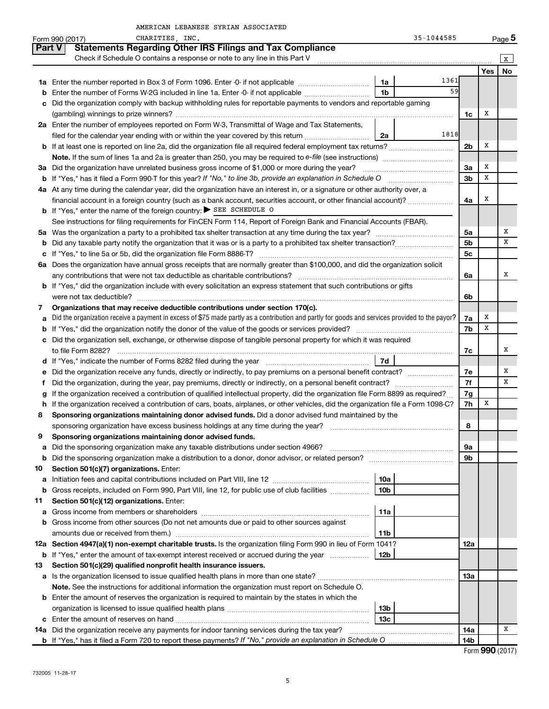|        | CHARITIES, INC.<br>Form 990 (2017)                                                                                                                                                      |                 | 35-1044585 |                |            | Page 5 |
|--------|-----------------------------------------------------------------------------------------------------------------------------------------------------------------------------------------|-----------------|------------|----------------|------------|--------|
|        | <b>Statements Regarding Other IRS Filings and Tax Compliance</b><br><b>Part V</b>                                                                                                       |                 |            |                |            |        |
|        | Check if Schedule O contains a response or note to any line in this Part V                                                                                                              |                 |            |                |            | X      |
|        |                                                                                                                                                                                         |                 |            |                | <b>Yes</b> | No     |
|        |                                                                                                                                                                                         | 1a              | 1361       |                |            |        |
| b      | Enter the number of Forms W-2G included in line 1a. Enter -0- if not applicable                                                                                                         | 1 <sub>b</sub>  | 59         |                |            |        |
| c      | Did the organization comply with backup withholding rules for reportable payments to vendors and reportable gaming                                                                      |                 |            |                |            |        |
|        |                                                                                                                                                                                         |                 |            | 1c             | х          |        |
|        | 2a Enter the number of employees reported on Form W-3, Transmittal of Wage and Tax Statements,                                                                                          |                 |            |                |            |        |
|        | filed for the calendar year ending with or within the year covered by this return                                                                                                       | 2a              | 1818       |                |            |        |
|        |                                                                                                                                                                                         |                 |            | 2 <sub>b</sub> | х          |        |
|        | <b>Note.</b> If the sum of lines 1a and 2a is greater than 250, you may be required to e-file (see instructions) <i>manumerous</i>                                                      |                 |            |                |            |        |
|        | 3a Did the organization have unrelated business gross income of \$1,000 or more during the year?                                                                                        |                 |            | За             | х          |        |
|        | <b>b</b> If "Yes," has it filed a Form 990-T for this year? If "No," to line 3b, provide an explanation in Schedule O                                                                   |                 |            | 3b             | x          |        |
|        | 4a At any time during the calendar year, did the organization have an interest in, or a signature or other authority over, a                                                            |                 |            |                |            |        |
|        | financial account in a foreign country (such as a bank account, securities account, or other financial account)?                                                                        |                 |            | 4a             | х          |        |
|        | <b>b</b> If "Yes," enter the name of the foreign country: $\triangleright$ SEE SCHEDULE O                                                                                               |                 |            |                |            |        |
|        | See instructions for filing requirements for FinCEN Form 114, Report of Foreign Bank and Financial Accounts (FBAR).                                                                     |                 |            |                |            |        |
|        |                                                                                                                                                                                         |                 |            | 5a             |            | х      |
| b      |                                                                                                                                                                                         |                 |            | 5 <sub>b</sub> |            | х      |
| c      |                                                                                                                                                                                         |                 |            | 5 <sub>c</sub> |            |        |
| 6a     | Does the organization have annual gross receipts that are normally greater than \$100,000, and did the organization solicit                                                             |                 |            |                |            |        |
|        |                                                                                                                                                                                         |                 |            | 6а             |            | х      |
|        | <b>b</b> If "Yes," did the organization include with every solicitation an express statement that such contributions or gifts                                                           |                 |            |                |            |        |
|        | were not tax deductible?                                                                                                                                                                |                 |            | 6b             |            |        |
| 7      | Organizations that may receive deductible contributions under section 170(c).                                                                                                           |                 |            |                |            |        |
| а      | Did the organization receive a payment in excess of \$75 made partly as a contribution and partly for goods and services provided to the payor?                                         |                 |            | 7a             | х          |        |
|        |                                                                                                                                                                                         |                 |            | 7b             | x          |        |
|        | Did the organization sell, exchange, or otherwise dispose of tangible personal property for which it was required                                                                       |                 |            |                |            |        |
|        |                                                                                                                                                                                         |                 |            | 7c             |            | x      |
|        |                                                                                                                                                                                         | 7d              |            |                |            |        |
|        |                                                                                                                                                                                         |                 |            | 7е             |            | х      |
|        | Did the organization, during the year, pay premiums, directly or indirectly, on a personal benefit contract?                                                                            |                 |            | 7f             |            | х      |
|        | If the organization received a contribution of qualified intellectual property, did the organization file Form 8899 as required?                                                        |                 |            | 7g             | х          |        |
| h.     | If the organization received a contribution of cars, boats, airplanes, or other vehicles, did the organization file a Form 1098-C?                                                      |                 |            | 7h             |            |        |
| 8      | Sponsoring organizations maintaining donor advised funds. Did a donor advised fund maintained by the                                                                                    |                 |            |                |            |        |
|        | sponsoring organization have excess business holdings at any time during the year?                                                                                                      |                 |            | 8              |            |        |
| 9      | Sponsoring organizations maintaining donor advised funds.                                                                                                                               |                 |            |                |            |        |
| а<br>b | Did the sponsoring organization make any taxable distributions under section 4966?<br>Did the sponsoring organization make a distribution to a donor, donor advisor, or related person? |                 |            | 9а<br>9b       |            |        |
| 10     | Section 501(c)(7) organizations. Enter:                                                                                                                                                 |                 |            |                |            |        |
| а      |                                                                                                                                                                                         | 10a             |            |                |            |        |
| b      | Gross receipts, included on Form 990, Part VIII, line 12, for public use of club facilities                                                                                             | 10b             |            |                |            |        |
| 11     | Section 501(c)(12) organizations. Enter:                                                                                                                                                |                 |            |                |            |        |
| а      |                                                                                                                                                                                         | 11a             |            |                |            |        |
| b      | Gross income from other sources (Do not net amounts due or paid to other sources against                                                                                                |                 |            |                |            |        |
|        | amounts due or received from them.)                                                                                                                                                     | 11b             |            |                |            |        |
|        | 12a Section 4947(a)(1) non-exempt charitable trusts. Is the organization filing Form 990 in lieu of Form 1041?                                                                          |                 |            | 12a            |            |        |
| b      | If "Yes," enter the amount of tax-exempt interest received or accrued during the year                                                                                                   | 12b             |            |                |            |        |
| 13     | Section 501(c)(29) qualified nonprofit health insurance issuers.                                                                                                                        |                 |            |                |            |        |
| а      |                                                                                                                                                                                         |                 |            | 13a            |            |        |
|        | Note. See the instructions for additional information the organization must report on Schedule O.                                                                                       |                 |            |                |            |        |
|        | <b>b</b> Enter the amount of reserves the organization is required to maintain by the states in which the                                                                               |                 |            |                |            |        |
|        |                                                                                                                                                                                         | 13 <sub>b</sub> |            |                |            |        |
| c      |                                                                                                                                                                                         | 13с             |            |                |            |        |
|        | 14a Did the organization receive any payments for indoor tanning services during the tax year?                                                                                          |                 |            | 14a            |            | х      |
|        |                                                                                                                                                                                         |                 |            | 14b            |            |        |

| Form 990 (2017) |  |
|-----------------|--|
|-----------------|--|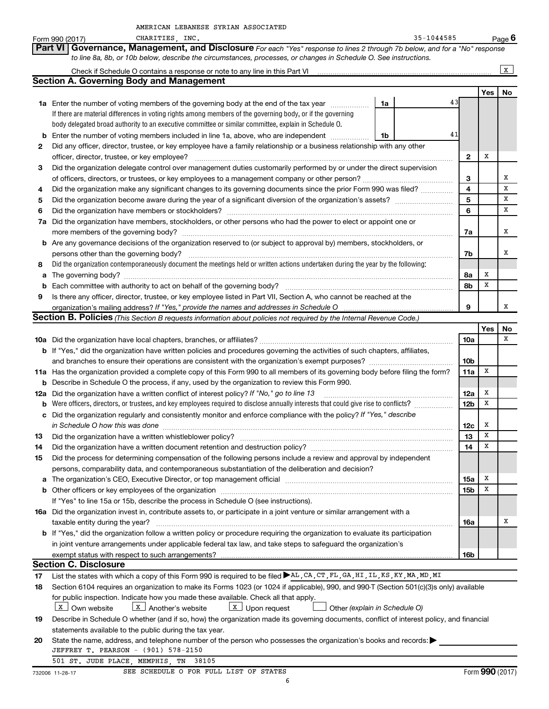|                | AMERICAN LEBANESE SYRIAN ASSOCIATED                                                                                                          |    |            |                         |        |                 |
|----------------|----------------------------------------------------------------------------------------------------------------------------------------------|----|------------|-------------------------|--------|-----------------|
|                | CHARITIES, INC.<br>Form 990 (2017)                                                                                                           |    | 35-1044585 |                         |        | Page 6          |
| <b>Part VI</b> | Governance, Management, and Disclosure For each "Yes" response to lines 2 through 7b below, and for a "No" response                          |    |            |                         |        |                 |
|                | to line 8a, 8b, or 10b below, describe the circumstances, processes, or changes in Schedule O. See instructions.                             |    |            |                         |        |                 |
|                |                                                                                                                                              |    |            |                         |        | X               |
|                | <b>Section A. Governing Body and Management</b>                                                                                              |    |            |                         |        |                 |
|                |                                                                                                                                              |    |            |                         | Yes    | No              |
|                | 1a Enter the number of voting members of the governing body at the end of the tax year                                                       | 1a | 43         |                         |        |                 |
|                | If there are material differences in voting rights among members of the governing body, or if the governing                                  |    |            |                         |        |                 |
|                | body delegated broad authority to an executive committee or similar committee, explain in Schedule O.                                        |    |            |                         |        |                 |
|                | <b>b</b> Enter the number of voting members included in line 1a, above, who are independent <i>manumum</i>                                   | 1b | 41         |                         |        |                 |
| 2              | Did any officer, director, trustee, or key employee have a family relationship or a business relationship with any other                     |    |            |                         |        |                 |
|                |                                                                                                                                              |    |            | $\mathbf{2}$            | Х      |                 |
| 3              | Did the organization delegate control over management duties customarily performed by or under the direct supervision                        |    |            |                         |        |                 |
|                |                                                                                                                                              |    |            | 3                       |        | х               |
| 4              | Did the organization make any significant changes to its governing documents since the prior Form 990 was filed?                             |    |            | $\overline{\mathbf{4}}$ |        | х               |
| 5              |                                                                                                                                              |    |            | 5                       |        | X               |
| 6              |                                                                                                                                              |    |            | 6                       |        | x               |
|                | 7a Did the organization have members, stockholders, or other persons who had the power to elect or appoint one or                            |    |            |                         |        |                 |
|                |                                                                                                                                              |    |            | 7a                      |        | х               |
|                | <b>b</b> Are any governance decisions of the organization reserved to (or subject to approval by) members, stockholders, or                  |    |            |                         |        |                 |
|                |                                                                                                                                              |    |            |                         |        | х               |
|                | persons other than the governing body?                                                                                                       |    |            | 7b                      |        |                 |
| 8              | Did the organization contemporaneously document the meetings held or written actions undertaken during the year by the following:            |    |            |                         |        |                 |
|                |                                                                                                                                              |    |            | 8а                      | х<br>X |                 |
|                |                                                                                                                                              |    |            | 8b                      |        |                 |
| 9              | Is there any officer, director, trustee, or key employee listed in Part VII, Section A, who cannot be reached at the                         |    |            |                         |        |                 |
|                | organization's mailing address? If "Yes," provide the names and addresses in Schedule O                                                      |    |            | 9                       |        | х               |
|                | Section B. Policies (This Section B requests information about policies not required by the Internal Revenue Code.)                          |    |            |                         |        |                 |
|                |                                                                                                                                              |    |            |                         | Yes    | No<br>x         |
|                |                                                                                                                                              |    |            | 10a                     |        |                 |
|                | b If "Yes," did the organization have written policies and procedures governing the activities of such chapters, affiliates,                 |    |            |                         |        |                 |
|                |                                                                                                                                              |    |            | 10b                     |        |                 |
|                | 11a Has the organization provided a complete copy of this Form 990 to all members of its governing body before filing the form?              |    |            | 11a                     | X      |                 |
|                | <b>b</b> Describe in Schedule O the process, if any, used by the organization to review this Form 990.                                       |    |            |                         |        |                 |
|                | 12a Did the organization have a written conflict of interest policy? If "No," go to line 13                                                  |    |            | 12a                     | х      |                 |
|                | <b>b</b> Were officers, directors, or trustees, and key employees required to disclose annually interests that could give rise to conflicts? |    |            | 12b                     | X      |                 |
|                | c Did the organization regularly and consistently monitor and enforce compliance with the policy? If "Yes," describe                         |    |            |                         |        |                 |
|                | in Schedule O how this was done                                                                                                              |    |            | 12c                     | x      |                 |
| 13             |                                                                                                                                              |    |            | 13                      | X      |                 |
| 14             |                                                                                                                                              |    |            | 14                      | X      |                 |
| 15             | Did the process for determining compensation of the following persons include a review and approval by independent                           |    |            |                         |        |                 |
|                | persons, comparability data, and contemporaneous substantiation of the deliberation and decision?                                            |    |            |                         |        |                 |
| а              |                                                                                                                                              |    |            | <b>15a</b>              | х      |                 |
|                |                                                                                                                                              |    |            | 15b                     | X      |                 |
|                | If "Yes" to line 15a or 15b, describe the process in Schedule O (see instructions).                                                          |    |            |                         |        |                 |
|                | 16a Did the organization invest in, contribute assets to, or participate in a joint venture or similar arrangement with a                    |    |            |                         |        |                 |
|                | taxable entity during the year?                                                                                                              |    |            | 16a                     |        | х               |
|                | b If "Yes," did the organization follow a written policy or procedure requiring the organization to evaluate its participation               |    |            |                         |        |                 |
|                | in joint venture arrangements under applicable federal tax law, and take steps to safeguard the organization's                               |    |            |                         |        |                 |
|                | exempt status with respect to such arrangements?                                                                                             |    |            | 16b                     |        |                 |
|                | <b>Section C. Disclosure</b>                                                                                                                 |    |            |                         |        |                 |
| 17             | List the states with which a copy of this Form 990 is required to be filed AL, CA, CT, FL, GA, HI, IL, KS, KY, MA, MD, MI                    |    |            |                         |        |                 |
| 18             | Section 6104 requires an organization to make its Forms 1023 (or 1024 if applicable), 990, and 990-T (Section 501(c)(3)s only) available     |    |            |                         |        |                 |
|                | for public inspection. Indicate how you made these available. Check all that apply.                                                          |    |            |                         |        |                 |
|                | $\boxed{\mathbf{X}}$ Another's website<br>$\lfloor x \rfloor$ Upon request<br>  X   Own website<br>Other (explain in Schedule O)             |    |            |                         |        |                 |
| 19             | Describe in Schedule O whether (and if so, how) the organization made its governing documents, conflict of interest policy, and financial    |    |            |                         |        |                 |
|                | statements available to the public during the tax year.                                                                                      |    |            |                         |        |                 |
| 20             | State the name, address, and telephone number of the person who possesses the organization's books and records:                              |    |            |                         |        |                 |
|                | JEFFREY T. PEARSON - (901) 578-2150                                                                                                          |    |            |                         |        |                 |
|                | 501 ST. JUDE PLACE, MEMPHIS, TN<br>38105                                                                                                     |    |            |                         |        |                 |
|                | SEE SCHEDULE O FOR FULL LIST OF STATES<br>732006 11-28-17                                                                                    |    |            |                         |        | Form 990 (2017) |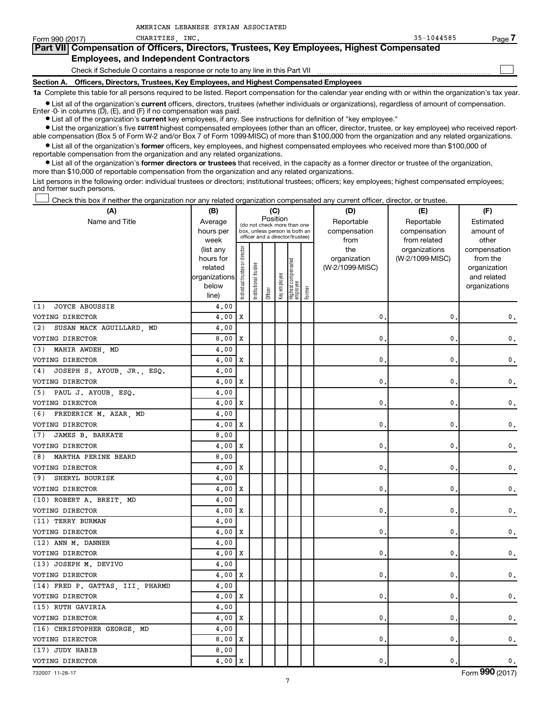| Form 990 (2017)                               | INC.<br><b>CHARITIES</b>                                                                   | $35 - 1044585$ | Page. |  |  |  |  |
|-----------------------------------------------|--------------------------------------------------------------------------------------------|----------------|-------|--|--|--|--|
|                                               | Part VII Compensation of Officers, Directors, Trustees, Key Employees, Highest Compensated |                |       |  |  |  |  |
| <b>Employees, and Independent Contractors</b> |                                                                                            |                |       |  |  |  |  |
|                                               | Check if Schedule O contains a response or note to any line in this Part VII               |                |       |  |  |  |  |
| Section A.                                    | Officers, Directors, Trustees, Key Employees, and Highest Compensated Employees            |                |       |  |  |  |  |

**1a** Complete this table for all persons required to be listed. Report compensation for the calendar year ending with or within the organization's tax year.

• List all of the organization's **current** officers, directors, trustees (whether individuals or organizations), regardless of amount of compensation. Enter -0- in columns (D), (E), and (F) if no compensation was paid.

• List all of the organization's **current** key employees, if any. See instructions for definition of "key employee."

AMERICAN LEBANESE SYRIAN ASSOCIATED

• List the organization's five **current** highest compensated employees (other than an officer, director, trustee, or key employee) who received reportable compensation (Box 5 of Form W-2 and/or Box 7 of Form 1099-MISC) of more than \$100,000 from the organization and any related organizations.

• List all of the organization's **former** officers, key employees, and highest compensated employees who received more than \$100,000 of reportable compensation from the organization and any related organizations.

• List all of the organization's **former directors or trustees** that received, in the capacity as a former director or trustee of the organization, more than \$10,000 of reportable compensation from the organization and any related organizations.

List persons in the following order: individual trustees or directors; institutional trustees; officers; key employees; highest compensated employees; and former such persons.

 $\rfloor$  Check this box if neither the organization nor any related organization compensated any current officer, director, or trustee.

| (A)                               | (B)                    |                                |                       |                                                                  | (C)          |                                 |        | (D)             | (E)             | (F)                          |
|-----------------------------------|------------------------|--------------------------------|-----------------------|------------------------------------------------------------------|--------------|---------------------------------|--------|-----------------|-----------------|------------------------------|
| Name and Title                    | Average                |                                |                       | Position<br>(do not check more than one                          |              |                                 |        | Reportable      | Reportable      | Estimated                    |
|                                   | hours per              |                                |                       | box, unless person is both an<br>officer and a director/trustee) |              |                                 |        | compensation    | compensation    | amount of                    |
|                                   | week                   |                                |                       |                                                                  |              |                                 |        | from            | from related    | other                        |
|                                   | (list any              |                                |                       |                                                                  |              |                                 |        | the             | organizations   | compensation                 |
|                                   | hours for              |                                |                       |                                                                  |              |                                 |        | organization    | (W-2/1099-MISC) | from the                     |
|                                   | related                |                                |                       |                                                                  |              |                                 |        | (W-2/1099-MISC) |                 | organization                 |
|                                   | organizations<br>below |                                |                       |                                                                  |              |                                 |        |                 |                 | and related<br>organizations |
|                                   | line)                  | Individual trustee or director | Institutional trustee | Officer                                                          | Key employee | Highest compensated<br>employee | Former |                 |                 |                              |
| <b>JOYCE ABOUSSIE</b><br>(1)      | 4,00                   |                                |                       |                                                                  |              |                                 |        |                 |                 |                              |
| VOTING DIRECTOR                   | 4.00                   | X                              |                       |                                                                  |              |                                 |        | $\mathbf 0$ .   | 0               | $\mathbf 0$ .                |
| SUSAN MACK AGUILLARD, MD<br>(2)   | 4.00                   |                                |                       |                                                                  |              |                                 |        |                 |                 |                              |
| VOTING DIRECTOR                   | 8.00                   | X                              |                       |                                                                  |              |                                 |        | 0               | 0               | $\mathbf 0$ .                |
| MAHIR AWDEH, MD<br>(3)            | 4.00                   |                                |                       |                                                                  |              |                                 |        |                 |                 |                              |
| VOTING DIRECTOR                   | 4.00                   | X                              |                       |                                                                  |              |                                 |        | $\mathbf{0}$ .  | 0               | 0.                           |
| JOSEPH S. AYOUB, JR., ESQ.<br>(4) | 4.00                   |                                |                       |                                                                  |              |                                 |        |                 |                 |                              |
| VOTING DIRECTOR                   | 4.00                   | X                              |                       |                                                                  |              |                                 |        | $\mathbf{0}$    | 0               | 0.                           |
| (5) PAUL J. AYOUB, ESQ.           | 4.00                   |                                |                       |                                                                  |              |                                 |        |                 |                 |                              |
| VOTING DIRECTOR                   | 4,00                   | X                              |                       |                                                                  |              |                                 |        | 0.              | 0               | 0.                           |
| FREDERICK M. AZAR, MD<br>(6)      | 4,00                   |                                |                       |                                                                  |              |                                 |        |                 |                 |                              |
| VOTING DIRECTOR                   | 4,00                   | X                              |                       |                                                                  |              |                                 |        | $\mathbf{0}$ .  | 0               | 0.                           |
| JAMES B. BARKATE<br>(7)           | 8.00                   |                                |                       |                                                                  |              |                                 |        |                 |                 |                              |
| VOTING DIRECTOR                   | 4.00                   | $\mathbf x$                    |                       |                                                                  |              |                                 |        | 0.              | 0               | 0.                           |
| MARTHA PERINE BEARD<br>(8)        | 8.00                   |                                |                       |                                                                  |              |                                 |        |                 |                 |                              |
| VOTING DIRECTOR                   | 4.00                   | X                              |                       |                                                                  |              |                                 |        | 0.              | 0               | 0.                           |
| (9)<br>SHERYL BOURISK             | 4.00                   |                                |                       |                                                                  |              |                                 |        |                 |                 |                              |
| VOTING DIRECTOR                   | 4.00                   | X                              |                       |                                                                  |              |                                 |        | 0.              | 0               | 0.                           |
| (10) ROBERT A. BREIT, MD          | 4.00                   |                                |                       |                                                                  |              |                                 |        |                 |                 |                              |
| VOTING DIRECTOR                   | 4,00                   | X                              |                       |                                                                  |              |                                 |        | 0.              | 0               | 0.                           |
| (11) TERRY BURMAN                 | 4,00                   |                                |                       |                                                                  |              |                                 |        |                 |                 |                              |
| VOTING DIRECTOR                   | 4,00                   | $\mathbf x$                    |                       |                                                                  |              |                                 |        | 0.              | 0               | 0.                           |
| (12) ANN M. DANNER                | 4.00                   |                                |                       |                                                                  |              |                                 |        |                 |                 |                              |
| VOTING DIRECTOR                   | 4.00                   | X                              |                       |                                                                  |              |                                 |        | $\mathbf{0}$ .  | 0               | 0.                           |
| (13) JOSEPH M. DEVIVO             | 4.00                   |                                |                       |                                                                  |              |                                 |        |                 |                 |                              |
| VOTING DIRECTOR                   | 4.00                   | X                              |                       |                                                                  |              |                                 |        | $\mathbf{0}$ .  | 0               | 0.                           |
| (14) FRED P. GATTAS, III, PHARMD  | 4.00                   |                                |                       |                                                                  |              |                                 |        |                 |                 |                              |
| VOTING DIRECTOR                   | 4.00                   | X                              |                       |                                                                  |              |                                 |        | 0.              | 0               | 0.                           |
| (15) RUTH GAVIRIA                 | 4,00                   |                                |                       |                                                                  |              |                                 |        |                 |                 |                              |
| VOTING DIRECTOR                   | 4.00                   | X                              |                       |                                                                  |              |                                 |        | 0.              | 0               | 0.                           |
| (16) CHRISTOPHER GEORGE, MD       | 4,00                   |                                |                       |                                                                  |              |                                 |        |                 |                 |                              |
| VOTING DIRECTOR                   | 8,00                   | Х                              |                       |                                                                  |              |                                 |        | 0.              | 0               | 0.                           |
| (17) JUDY HABIB                   | 8,00                   |                                |                       |                                                                  |              |                                 |        |                 |                 |                              |
| VOTING DIRECTOR                   | 4.00                   | X                              |                       |                                                                  |              |                                 |        | $\mathbf{0}$ .  | $\mathbf{0}$    | 0.                           |

732007 11-28-17 Form **990** (2017)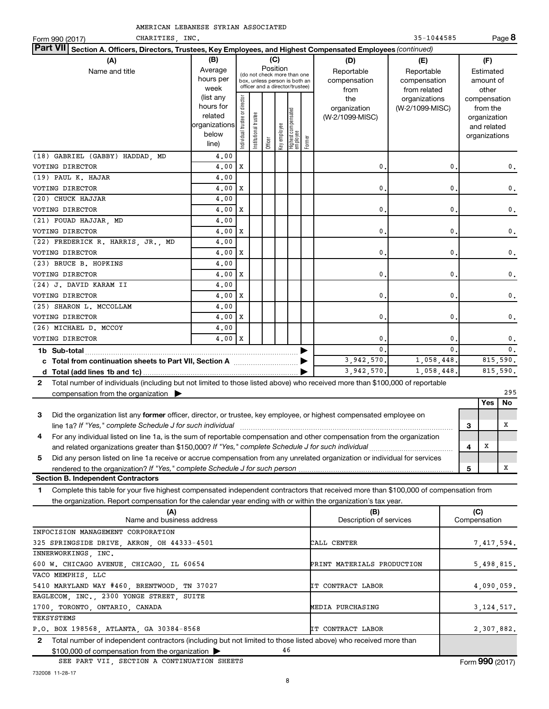|  | AMERICAN LEBANESE SYRIAN ASSOCIATED |
|--|-------------------------------------|
|  |                                     |

| CHARITIES INC.<br>Form 990 (2017)                                                                                                                                                       |                                                                                                             |                                |                            |                     |                     |                                                                                                                                        |        |                                                                                     | 35-1044585                                                                            |                |     |                                                                                                                    | Page 8     |
|-----------------------------------------------------------------------------------------------------------------------------------------------------------------------------------------|-------------------------------------------------------------------------------------------------------------|--------------------------------|----------------------------|---------------------|---------------------|----------------------------------------------------------------------------------------------------------------------------------------|--------|-------------------------------------------------------------------------------------|---------------------------------------------------------------------------------------|----------------|-----|--------------------------------------------------------------------------------------------------------------------|------------|
| <b>Part VII</b><br>Section A. Officers, Directors, Trustees, Key Employees, and Highest Compensated Employees (continued)                                                               |                                                                                                             |                                |                            |                     |                     |                                                                                                                                        |        |                                                                                     |                                                                                       |                |     |                                                                                                                    |            |
| (A)<br>Name and title                                                                                                                                                                   | (B)<br>Average<br>hours per<br>week<br>(list any<br>hours for<br>related<br>organizations<br>below<br>line) | Individual trustee or director | trustee<br>Institutional t | Position<br>Officer | (C)<br>Key employee | (do not check more than one<br>box, unless person is both an<br>officer and a director/trustee)<br>  Highest compensated<br>  employee | Former | (D)<br>Reportable<br>compensation<br>from<br>the<br>organization<br>(W-2/1099-MISC) | (E)<br>Reportable<br>compensation<br>from related<br>organizations<br>(W-2/1099-MISC) |                |     | (F)<br>Estimated<br>amount of<br>other<br>compensation<br>from the<br>organization<br>and related<br>organizations |            |
| (18) GABRIEL (GABBY) HADDAD, MD                                                                                                                                                         | 4,00                                                                                                        |                                |                            |                     |                     |                                                                                                                                        |        |                                                                                     |                                                                                       |                |     |                                                                                                                    |            |
| VOTING DIRECTOR                                                                                                                                                                         | 4,00                                                                                                        | х                              |                            |                     |                     |                                                                                                                                        |        | 0                                                                                   |                                                                                       | 0              |     |                                                                                                                    | 0.         |
| (19) PAUL K. HAJAR                                                                                                                                                                      | 4,00                                                                                                        |                                |                            |                     |                     |                                                                                                                                        |        |                                                                                     |                                                                                       |                |     |                                                                                                                    |            |
| VOTING DIRECTOR                                                                                                                                                                         | 4,00                                                                                                        | х                              |                            |                     |                     |                                                                                                                                        |        | 0                                                                                   |                                                                                       | 0              |     |                                                                                                                    | 0.         |
| (20) CHUCK HAJJAR                                                                                                                                                                       | 4,00                                                                                                        |                                |                            |                     |                     |                                                                                                                                        |        |                                                                                     |                                                                                       |                |     |                                                                                                                    |            |
| VOTING DIRECTOR                                                                                                                                                                         | 4,00                                                                                                        | х                              |                            |                     |                     |                                                                                                                                        |        | $\mathbf 0$                                                                         |                                                                                       | 0              |     |                                                                                                                    | 0.         |
| (21) FOUAD HAJJAR, MD                                                                                                                                                                   | 4,00                                                                                                        |                                |                            |                     |                     |                                                                                                                                        |        |                                                                                     |                                                                                       |                |     |                                                                                                                    |            |
| VOTING DIRECTOR                                                                                                                                                                         | 4,00                                                                                                        | х                              |                            |                     |                     |                                                                                                                                        |        | $\mathbf 0$                                                                         |                                                                                       | 0              |     |                                                                                                                    | 0.         |
| (22) FREDERICK R. HARRIS, JR., MD                                                                                                                                                       | 4,00                                                                                                        |                                |                            |                     |                     |                                                                                                                                        |        |                                                                                     |                                                                                       |                |     |                                                                                                                    |            |
| VOTING DIRECTOR                                                                                                                                                                         | 4,00                                                                                                        | х                              |                            |                     |                     |                                                                                                                                        |        | $\mathbf 0$                                                                         |                                                                                       | 0              |     |                                                                                                                    | 0.         |
| (23) BRUCE B. HOPKINS                                                                                                                                                                   | 4,00                                                                                                        |                                |                            |                     |                     |                                                                                                                                        |        |                                                                                     |                                                                                       |                |     |                                                                                                                    |            |
| VOTING DIRECTOR                                                                                                                                                                         | 4,00                                                                                                        | х                              |                            |                     |                     |                                                                                                                                        |        | $\mathbf 0$                                                                         |                                                                                       | 0              |     |                                                                                                                    | 0.         |
| (24) J. DAVID KARAM II                                                                                                                                                                  | 4,00                                                                                                        |                                |                            |                     |                     |                                                                                                                                        |        |                                                                                     |                                                                                       |                |     |                                                                                                                    |            |
| VOTING DIRECTOR                                                                                                                                                                         | 4,00                                                                                                        | X                              |                            |                     |                     |                                                                                                                                        |        | $\mathbf 0$                                                                         |                                                                                       | 0              |     |                                                                                                                    | 0.         |
| (25) SHARON L. MCCOLLAM                                                                                                                                                                 | 4,00                                                                                                        |                                |                            |                     |                     |                                                                                                                                        |        |                                                                                     |                                                                                       |                |     |                                                                                                                    |            |
| VOTING DIRECTOR                                                                                                                                                                         | 4,00                                                                                                        | X                              |                            |                     |                     |                                                                                                                                        |        | 0                                                                                   |                                                                                       | 0              |     |                                                                                                                    | 0.         |
| (26) MICHAEL D. MCCOY                                                                                                                                                                   | 4,00                                                                                                        |                                |                            |                     |                     |                                                                                                                                        |        |                                                                                     |                                                                                       |                |     |                                                                                                                    |            |
| VOTING DIRECTOR                                                                                                                                                                         | $4.00$   X                                                                                                  |                                |                            |                     |                     |                                                                                                                                        |        | 0                                                                                   |                                                                                       | 0              |     |                                                                                                                    | 0.         |
| 1b Sub-total                                                                                                                                                                            |                                                                                                             |                                |                            |                     |                     |                                                                                                                                        |        | 0                                                                                   |                                                                                       | $\mathbf{0}$ . |     |                                                                                                                    | 0.         |
| c Total from continuation sheets to Part VII, Section A [11] [2000] [2000]                                                                                                              |                                                                                                             |                                |                            |                     |                     |                                                                                                                                        |        | 3,942,570.                                                                          | 1,058,448.                                                                            |                |     |                                                                                                                    | 815,590.   |
|                                                                                                                                                                                         |                                                                                                             |                                |                            |                     |                     |                                                                                                                                        |        | 3,942,570.                                                                          | 1,058,448.                                                                            |                |     |                                                                                                                    | 815,590.   |
| 2 Total number of individuals (including but not limited to those listed above) who received more than \$100,000 of reportable                                                          |                                                                                                             |                                |                            |                     |                     |                                                                                                                                        |        |                                                                                     |                                                                                       |                |     |                                                                                                                    |            |
| compensation from the organization $\blacktriangleright$                                                                                                                                |                                                                                                             |                                |                            |                     |                     |                                                                                                                                        |        |                                                                                     |                                                                                       |                |     | Yes                                                                                                                | 295<br>No. |
|                                                                                                                                                                                         |                                                                                                             |                                |                            |                     |                     |                                                                                                                                        |        |                                                                                     |                                                                                       |                |     |                                                                                                                    |            |
| Did the organization list any former officer, director, or trustee, key employee, or highest compensated employee on<br>3<br>line 1a? If "Yes," complete Schedule J for such individual |                                                                                                             |                                |                            |                     |                     |                                                                                                                                        |        |                                                                                     |                                                                                       |                | З   |                                                                                                                    | х          |
| For any individual listed on line 1a, is the sum of reportable compensation and other compensation from the organization<br>4                                                           |                                                                                                             |                                |                            |                     |                     |                                                                                                                                        |        |                                                                                     |                                                                                       |                |     |                                                                                                                    |            |
|                                                                                                                                                                                         |                                                                                                             |                                |                            |                     |                     |                                                                                                                                        |        |                                                                                     |                                                                                       |                | 4   | х                                                                                                                  |            |
| Did any person listed on line 1a receive or accrue compensation from any unrelated organization or individual for services<br>5                                                         |                                                                                                             |                                |                            |                     |                     |                                                                                                                                        |        |                                                                                     |                                                                                       |                |     |                                                                                                                    |            |
|                                                                                                                                                                                         |                                                                                                             |                                |                            |                     |                     |                                                                                                                                        |        |                                                                                     |                                                                                       |                | 5   |                                                                                                                    | х          |
| <b>Section B. Independent Contractors</b>                                                                                                                                               |                                                                                                             |                                |                            |                     |                     |                                                                                                                                        |        |                                                                                     |                                                                                       |                |     |                                                                                                                    |            |
| Complete this table for your five highest compensated independent contractors that received more than \$100,000 of compensation from<br>1                                               |                                                                                                             |                                |                            |                     |                     |                                                                                                                                        |        |                                                                                     |                                                                                       |                |     |                                                                                                                    |            |
| the organization. Report compensation for the calendar year ending with or within the organization's tax year.                                                                          |                                                                                                             |                                |                            |                     |                     |                                                                                                                                        |        |                                                                                     |                                                                                       |                |     |                                                                                                                    |            |
| (A)                                                                                                                                                                                     |                                                                                                             |                                |                            |                     |                     |                                                                                                                                        |        | (B)                                                                                 |                                                                                       |                | (C) |                                                                                                                    |            |
| Name and business address                                                                                                                                                               |                                                                                                             |                                |                            |                     |                     |                                                                                                                                        |        | Description of services                                                             |                                                                                       |                |     | Compensation                                                                                                       |            |
| INFOCISION MANAGEMENT CORPORATION                                                                                                                                                       |                                                                                                             |                                |                            |                     |                     |                                                                                                                                        |        |                                                                                     |                                                                                       |                |     |                                                                                                                    |            |
| 325 SPRINGSIDE DRIVE, AKRON, OH 44333-4501                                                                                                                                              |                                                                                                             |                                |                            |                     |                     |                                                                                                                                        |        | CALL CENTER                                                                         |                                                                                       |                |     |                                                                                                                    | 7,417,594. |
| INNERWORKINGS, INC.                                                                                                                                                                     |                                                                                                             |                                |                            |                     |                     |                                                                                                                                        |        |                                                                                     |                                                                                       |                |     |                                                                                                                    |            |

| 600 W. CHICAGO AVENUE, CHICAGO, IL 60654                                                                                         | PRINT MATERIALS PRODUCTION | 5,498,815.   |
|----------------------------------------------------------------------------------------------------------------------------------|----------------------------|--------------|
| VACO MEMPHIS, LLC                                                                                                                |                            |              |
| 5410 MARYLAND WAY #460, BRENTWOOD, TN 37027                                                                                      | IT CONTRACT LABOR          | 4,090,059.   |
| EAGLECOM, INC., 2300 YONGE STREET, SUITE                                                                                         |                            |              |
| 1700, TORONTO, ONTARIO, CANADA                                                                                                   | MEDIA PURCHASING           | 3, 124, 517. |
| TEKSYSTEMS                                                                                                                       |                            |              |
| P.O. BOX 198568, ATLANTA, GA 30384-8568                                                                                          | IT CONTRACT LABOR          | 2,307,882.   |
| Total number of independent contractors (including but not limited to those listed above) who received more than<br>$\mathbf{2}$ |                            |              |
| 46<br>$$100,000$ of compensation from the organization $\blacktriangleright$                                                     |                            |              |

SEE PART VII, SECTION A CONTINUATION SHEETS FORM **990** (2017)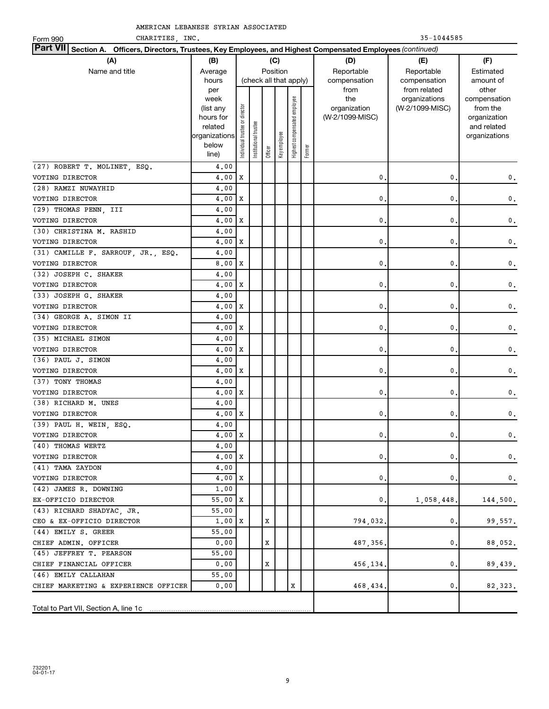Form 990 CHARITIES, INC. 2008 2012 12:35-1044585

| <b>Part VII</b><br>Section A. Officers, Directors, Trustees, Key Employees, and Highest Compensated Employees (continued) |                                                                                     |                                |                       |         |                                    |                              |        |                                                |                                                  |                                                                                   |
|---------------------------------------------------------------------------------------------------------------------------|-------------------------------------------------------------------------------------|--------------------------------|-----------------------|---------|------------------------------------|------------------------------|--------|------------------------------------------------|--------------------------------------------------|-----------------------------------------------------------------------------------|
| (A)                                                                                                                       | (B)                                                                                 |                                |                       |         | (C)                                |                              |        | (D)                                            | (E)                                              | (F)                                                                               |
| Name and title                                                                                                            | Average<br>hours                                                                    |                                |                       |         | Position<br>(check all that apply) |                              |        | Reportable<br>compensation                     | Reportable<br>compensation                       | Estimated<br>amount of                                                            |
|                                                                                                                           | per<br>week<br>(list any<br>hours for<br>related<br>organizations<br>below<br>line) | Individual trustee or director | Institutional trustee | Officer | Key employee                       | Highest compensated employee | Former | from<br>the<br>organization<br>(W-2/1099-MISC) | from related<br>organizations<br>(W-2/1099-MISC) | other<br>compensation<br>from the<br>organization<br>and related<br>organizations |
| (27) ROBERT T. MOLINET, ESQ.                                                                                              | 4,00                                                                                |                                |                       |         |                                    |                              |        |                                                |                                                  |                                                                                   |
| VOTING DIRECTOR                                                                                                           | 4,00                                                                                | Χ                              |                       |         |                                    |                              |        | 0                                              | 0                                                | 0.                                                                                |
| (28) RAMZI NUWAYHID                                                                                                       | 4,00                                                                                |                                |                       |         |                                    |                              |        |                                                |                                                  |                                                                                   |
| VOTING DIRECTOR                                                                                                           | 4,00                                                                                | Х                              |                       |         |                                    |                              |        | $\mathbf 0$                                    | 0                                                | 0.                                                                                |
| (29) THOMAS PENN, III                                                                                                     | 4,00                                                                                |                                |                       |         |                                    |                              |        |                                                |                                                  |                                                                                   |
| VOTING DIRECTOR                                                                                                           | 4,00                                                                                | Х                              |                       |         |                                    |                              |        | 0                                              | 0                                                | 0.                                                                                |
| (30) CHRISTINA M. RASHID                                                                                                  | 4,00                                                                                |                                |                       |         |                                    |                              |        |                                                |                                                  |                                                                                   |
| VOTING DIRECTOR                                                                                                           | 4,00                                                                                | Х                              |                       |         |                                    |                              |        | $\mathbf 0$                                    | 0                                                | 0.                                                                                |
| (31) CAMILLE F. SARROUF, JR., ESQ.                                                                                        | 4,00                                                                                |                                |                       |         |                                    |                              |        |                                                |                                                  |                                                                                   |
| VOTING DIRECTOR                                                                                                           | 8,00                                                                                | х                              |                       |         |                                    |                              |        | 0                                              | 0                                                | 0.                                                                                |
| (32) JOSEPH C. SHAKER                                                                                                     | 4,00                                                                                |                                |                       |         |                                    |                              |        |                                                |                                                  |                                                                                   |
| VOTING DIRECTOR                                                                                                           | 4,00                                                                                | Х                              |                       |         |                                    |                              |        | $\mathbf 0$                                    | 0                                                | 0.                                                                                |
| (33) JOSEPH G. SHAKER                                                                                                     | 4,00                                                                                |                                |                       |         |                                    |                              |        |                                                |                                                  |                                                                                   |
| VOTING DIRECTOR                                                                                                           | 4,00                                                                                | х                              |                       |         |                                    |                              |        | $\mathbf 0$                                    | $\mathbf{0}$                                     | 0.                                                                                |
| (34) GEORGE A. SIMON II                                                                                                   | 4,00                                                                                |                                |                       |         |                                    |                              |        |                                                |                                                  |                                                                                   |
| VOTING DIRECTOR                                                                                                           | 4,00                                                                                | Х                              |                       |         |                                    |                              |        | 0                                              | 0                                                | 0.                                                                                |
| (35) MICHAEL SIMON                                                                                                        | 4,00                                                                                |                                |                       |         |                                    |                              |        |                                                |                                                  |                                                                                   |
| VOTING DIRECTOR                                                                                                           | 4,00                                                                                | Х                              |                       |         |                                    |                              |        | 0                                              | 0                                                | 0.                                                                                |
| (36) PAUL J. SIMON                                                                                                        | 4,00                                                                                |                                |                       |         |                                    |                              |        |                                                |                                                  |                                                                                   |
| VOTING DIRECTOR                                                                                                           | 4,00                                                                                | X                              |                       |         |                                    |                              |        | 0                                              | 0                                                | 0.                                                                                |
| (37) TONY THOMAS                                                                                                          | 4,00                                                                                |                                |                       |         |                                    |                              |        |                                                |                                                  |                                                                                   |
| VOTING DIRECTOR                                                                                                           | 4,00                                                                                | Χ                              |                       |         |                                    |                              |        | 0                                              | $\mathbf{0}$                                     | 0.                                                                                |
| (38) RICHARD M. UNES                                                                                                      | 4,00                                                                                |                                |                       |         |                                    |                              |        |                                                |                                                  |                                                                                   |
| VOTING DIRECTOR                                                                                                           | 4,00                                                                                | Χ                              |                       |         |                                    |                              |        | 0                                              | $\mathbf{0}$                                     | 0.                                                                                |
| (39) PAUL H. WEIN, ESQ.                                                                                                   | 4,00                                                                                |                                |                       |         |                                    |                              |        |                                                |                                                  |                                                                                   |
| VOTING DIRECTOR                                                                                                           | 4,00                                                                                | X                              |                       |         |                                    |                              |        | $\mathbf 0$                                    | 0                                                | 0.                                                                                |
| (40) THOMAS WERTZ                                                                                                         | 4.00                                                                                |                                |                       |         |                                    |                              |        |                                                |                                                  |                                                                                   |
| VOTING DIRECTOR                                                                                                           | 4.00                                                                                | х                              |                       |         |                                    |                              |        | 0.                                             | 0,                                               | 0.                                                                                |
| (41) TAMA ZAYDON                                                                                                          | 4.00                                                                                |                                |                       |         |                                    |                              |        |                                                |                                                  |                                                                                   |
| VOTING DIRECTOR                                                                                                           | 4,00                                                                                | х                              |                       |         |                                    |                              |        | $\mathbf 0$ .                                  | $\mathbf 0$ .                                    | 0.                                                                                |
| (42) JAMES R. DOWNING                                                                                                     | 1.00                                                                                |                                |                       |         |                                    |                              |        |                                                |                                                  |                                                                                   |
| EX-OFFICIO DIRECTOR                                                                                                       | 55.00                                                                               | х                              |                       |         |                                    |                              |        | 0,                                             | 1,058,448.                                       | 144,500.                                                                          |
| (43) RICHARD SHADYAC, JR.                                                                                                 | 55.00                                                                               |                                |                       |         |                                    |                              |        |                                                |                                                  |                                                                                   |
| CEO & EX-OFFICIO DIRECTOR                                                                                                 | 1,00                                                                                | X                              |                       | х       |                                    |                              |        | 794,032.                                       | $\mathbf 0$ .                                    | 99,557.                                                                           |
| $(44)$ EMILY S. GREER                                                                                                     | 55.00                                                                               |                                |                       |         |                                    |                              |        |                                                |                                                  |                                                                                   |
| CHIEF ADMIN. OFFICER                                                                                                      | 0.00                                                                                |                                |                       | х       |                                    |                              |        | 487,356,                                       | $\mathbf 0$ .                                    | 88,052.                                                                           |
| (45) JEFFREY T. PEARSON                                                                                                   | 55.00                                                                               |                                |                       |         |                                    |                              |        |                                                |                                                  |                                                                                   |
| CHIEF FINANCIAL OFFICER                                                                                                   | 0.00                                                                                |                                |                       | х       |                                    |                              |        | 456,134.                                       | 0,                                               | 89,439.                                                                           |
| (46) EMILY CALLAHAN                                                                                                       | 55.00                                                                               |                                |                       |         |                                    |                              |        |                                                |                                                  |                                                                                   |
| CHIEF MARKETING & EXPERIENCE OFFICER                                                                                      | 0.00                                                                                |                                |                       |         |                                    | х                            |        | 468,434                                        | $\mathbf{0}$                                     | 82, 323.                                                                          |
| Total to Part VII, Section A, line 1c                                                                                     |                                                                                     |                                |                       |         |                                    |                              |        |                                                |                                                  |                                                                                   |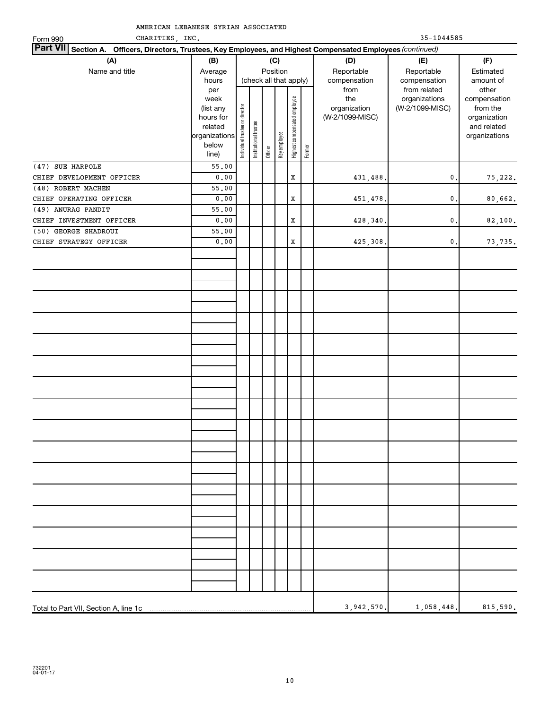| CHARITIES, INC.<br>Form 990                                                                                     |                                                                     | $35 - 1044585$        |         |              |                              |        |                 |                 |               |
|-----------------------------------------------------------------------------------------------------------------|---------------------------------------------------------------------|-----------------------|---------|--------------|------------------------------|--------|-----------------|-----------------|---------------|
| Part VII Section A. Officers, Directors, Trustees, Key Employees, and Highest Compensated Employees (continued) |                                                                     |                       |         |              |                              |        |                 |                 |               |
| (A)                                                                                                             | (B)                                                                 |                       |         | (C)          |                              |        | (D)             | (E)             | (F)           |
| Name and title                                                                                                  | Average                                                             |                       |         | Position     |                              |        | Reportable      | Reportable      | Estimated     |
|                                                                                                                 | hours                                                               |                       |         |              | (check all that apply)       |        | compensation    | compensation    | amount of     |
|                                                                                                                 | per                                                                 |                       |         |              |                              |        | from            | from related    | other         |
|                                                                                                                 | week                                                                |                       |         |              |                              |        | the             | organizations   | compensation  |
|                                                                                                                 |                                                                     |                       |         |              |                              |        | organization    | (W-2/1099-MISC) | from the      |
|                                                                                                                 |                                                                     |                       |         |              |                              |        | (W-2/1099-MISC) |                 | organization  |
|                                                                                                                 | (list any<br>hours for<br>elated<br>organizations<br>below<br>line) | Institutional trustee |         |              | Highest compensated employee |        |                 |                 | and related   |
|                                                                                                                 |                                                                     |                       |         | Key employee |                              |        |                 |                 | organizations |
|                                                                                                                 |                                                                     |                       | Officer |              |                              | Former |                 |                 |               |
|                                                                                                                 |                                                                     |                       |         |              |                              |        |                 |                 |               |
| (47) SUE HARPOLE                                                                                                | 55.00                                                               |                       |         |              |                              |        |                 |                 |               |
| CHIEF DEVELOPMENT OFFICER                                                                                       | ${\bf 0}$ , ${\bf 0}$ ${\bf 0}$                                     |                       |         |              | X                            |        | 431,488.        | 0.              | 75,222.       |
| (48) ROBERT MACHEN                                                                                              | 55.00                                                               |                       |         |              |                              |        |                 |                 |               |
| CHIEF OPERATING OFFICER                                                                                         | 0.00                                                                |                       |         |              | X                            |        | 451,478.        | 0.              | 80,662.       |
| (49) ANURAG PANDIT                                                                                              | 55.00                                                               |                       |         |              |                              |        |                 |                 |               |
| CHIEF INVESTMENT OFFICER                                                                                        | 0.00                                                                |                       |         |              | $\mathbf x$                  |        | 428,340.        | 0.              | 82,100.       |
| (50) GEORGE SHADROUI                                                                                            | 55.00                                                               |                       |         |              |                              |        |                 |                 |               |
| CHIEF STRATEGY OFFICER                                                                                          | 0.00                                                                |                       |         |              | $\mathbf x$                  |        | 425,308.        | $\mathbf{0}$ .  | 73,735.       |
|                                                                                                                 |                                                                     |                       |         |              |                              |        |                 |                 |               |
|                                                                                                                 |                                                                     |                       |         |              |                              |        |                 |                 |               |
|                                                                                                                 |                                                                     |                       |         |              |                              |        |                 |                 |               |
|                                                                                                                 |                                                                     |                       |         |              |                              |        |                 |                 |               |
|                                                                                                                 |                                                                     |                       |         |              |                              |        |                 |                 |               |
|                                                                                                                 |                                                                     |                       |         |              |                              |        |                 |                 |               |
|                                                                                                                 |                                                                     |                       |         |              |                              |        |                 |                 |               |
|                                                                                                                 |                                                                     |                       |         |              |                              |        |                 |                 |               |
|                                                                                                                 |                                                                     |                       |         |              |                              |        |                 |                 |               |
|                                                                                                                 |                                                                     |                       |         |              |                              |        |                 |                 |               |
|                                                                                                                 |                                                                     |                       |         |              |                              |        |                 |                 |               |
|                                                                                                                 |                                                                     |                       |         |              |                              |        |                 |                 |               |
|                                                                                                                 |                                                                     |                       |         |              |                              |        |                 |                 |               |
|                                                                                                                 |                                                                     |                       |         |              |                              |        |                 |                 |               |
|                                                                                                                 |                                                                     |                       |         |              |                              |        |                 |                 |               |
|                                                                                                                 |                                                                     |                       |         |              |                              |        |                 |                 |               |
|                                                                                                                 |                                                                     |                       |         |              |                              |        |                 |                 |               |
|                                                                                                                 |                                                                     |                       |         |              |                              |        |                 |                 |               |
|                                                                                                                 |                                                                     |                       |         |              |                              |        |                 |                 |               |
|                                                                                                                 |                                                                     |                       |         |              |                              |        |                 |                 |               |
|                                                                                                                 |                                                                     |                       |         |              |                              |        |                 |                 |               |
|                                                                                                                 |                                                                     |                       |         |              |                              |        |                 |                 |               |
|                                                                                                                 |                                                                     |                       |         |              |                              |        |                 |                 |               |
|                                                                                                                 |                                                                     |                       |         |              |                              |        |                 |                 |               |
|                                                                                                                 |                                                                     |                       |         |              |                              |        |                 |                 |               |
|                                                                                                                 |                                                                     |                       |         |              |                              |        |                 |                 |               |
|                                                                                                                 |                                                                     |                       |         |              |                              |        |                 |                 |               |
|                                                                                                                 |                                                                     |                       |         |              |                              |        |                 |                 |               |
|                                                                                                                 |                                                                     |                       |         |              |                              |        |                 |                 |               |
|                                                                                                                 |                                                                     |                       |         |              |                              |        |                 |                 |               |
|                                                                                                                 |                                                                     |                       |         |              |                              |        |                 |                 |               |
|                                                                                                                 |                                                                     |                       |         |              |                              |        |                 |                 |               |
|                                                                                                                 |                                                                     |                       |         |              |                              |        |                 |                 |               |
|                                                                                                                 |                                                                     |                       |         |              |                              |        |                 |                 |               |
|                                                                                                                 |                                                                     |                       |         |              |                              |        | 3,942,570.      | 1,058,448.      | 815,590.      |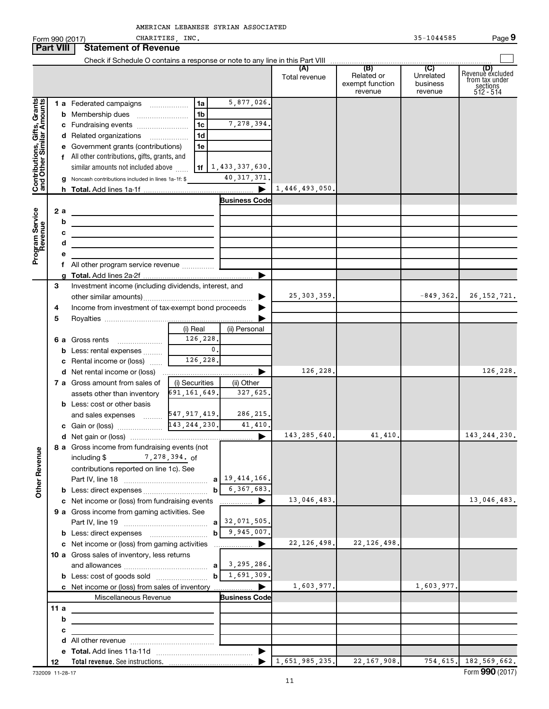|                                                           |                                                         |        | Form 990 (2017)                                                                 | CHARITIES, INC. |                                     |                |                                          | 35-1044585                       | Page 9                                                      |
|-----------------------------------------------------------|---------------------------------------------------------|--------|---------------------------------------------------------------------------------|-----------------|-------------------------------------|----------------|------------------------------------------|----------------------------------|-------------------------------------------------------------|
| <b>Part VIII</b>                                          |                                                         |        | <b>Statement of Revenue</b>                                                     |                 |                                     |                |                                          |                                  |                                                             |
|                                                           |                                                         |        |                                                                                 |                 |                                     |                |                                          |                                  |                                                             |
|                                                           |                                                         |        |                                                                                 |                 |                                     | Total revenue  | Related or<br>exempt function<br>revenue | Unrelated<br>business<br>revenue | Revenue excluded<br>from tax under<br>sections<br>512 - 514 |
| Contributions, Gifts, Grants<br>and Other Similar Amounts |                                                         |        | 1 a Federated campaigns                                                         | 1a              | 5,877,026.                          |                |                                          |                                  |                                                             |
|                                                           |                                                         |        |                                                                                 | 1 <sub>b</sub>  |                                     |                |                                          |                                  |                                                             |
|                                                           |                                                         |        | c Fundraising events                                                            | 1 <sub>c</sub>  | 7,278,394.                          |                |                                          |                                  |                                                             |
|                                                           |                                                         |        | d Related organizations                                                         | 1 <sub>d</sub>  |                                     |                |                                          |                                  |                                                             |
|                                                           |                                                         |        | e Government grants (contributions)                                             | 1e              |                                     |                |                                          |                                  |                                                             |
|                                                           |                                                         |        | f All other contributions, gifts, grants, and                                   |                 |                                     |                |                                          |                                  |                                                             |
|                                                           |                                                         |        | similar amounts not included above                                              |                 | <b>1f</b> $\vert 1, 433, 337, 630.$ |                |                                          |                                  |                                                             |
|                                                           |                                                         |        | <b>g</b> Noncash contributions included in lines 1a-1f: \$                      |                 | 40, 317, 371.                       |                |                                          |                                  |                                                             |
|                                                           |                                                         |        |                                                                                 |                 | ▶                                   | 1,446,493,050. |                                          |                                  |                                                             |
|                                                           |                                                         |        |                                                                                 |                 | <b>Business Code</b>                |                |                                          |                                  |                                                             |
| Program Service<br>Revenue                                |                                                         | 2a     | the contract of the contract of the contract of the contract of                 |                 |                                     |                |                                          |                                  |                                                             |
|                                                           |                                                         | b      | the contract of the contract of the contract of the contract of the contract of |                 |                                     |                |                                          |                                  |                                                             |
|                                                           |                                                         | с<br>d | the control of the control of the control of the control of the control of      |                 |                                     |                |                                          |                                  |                                                             |
|                                                           |                                                         |        | the control of the control of the control of the control of the control of      |                 |                                     |                |                                          |                                  |                                                             |
|                                                           |                                                         |        | f All other program service revenue                                             |                 |                                     |                |                                          |                                  |                                                             |
|                                                           |                                                         |        |                                                                                 |                 | ▶                                   |                |                                          |                                  |                                                             |
|                                                           | 3                                                       |        | Investment income (including dividends, interest, and                           |                 |                                     |                |                                          |                                  |                                                             |
|                                                           |                                                         |        |                                                                                 |                 | ▶                                   | 25, 303, 359.  |                                          | $-849, 362.$                     | 26, 152, 721.                                               |
|                                                           | Income from investment of tax-exempt bond proceeds<br>4 |        |                                                                                 |                 |                                     |                |                                          |                                  |                                                             |
|                                                           | 5                                                       |        |                                                                                 |                 |                                     |                |                                          |                                  |                                                             |
|                                                           |                                                         |        |                                                                                 | (i) Real        | (ii) Personal                       |                |                                          |                                  |                                                             |
|                                                           |                                                         |        | 6 a Gross rents                                                                 | 126,228.        |                                     |                |                                          |                                  |                                                             |
|                                                           |                                                         |        | <b>b</b> Less: rental expenses                                                  | $\mathbf{0}$ .  |                                     |                |                                          |                                  |                                                             |
|                                                           |                                                         |        | c Rental income or (loss)                                                       | 126,228.        |                                     |                |                                          |                                  |                                                             |
|                                                           |                                                         |        |                                                                                 |                 | ▶                                   | 126,228.       |                                          |                                  | 126,228.                                                    |
|                                                           |                                                         |        | 7 a Gross amount from sales of                                                  | (i) Securities  | (ii) Other                          |                |                                          |                                  |                                                             |
|                                                           |                                                         |        | assets other than inventory                                                     | 691,161,649.    | 327,625.                            |                |                                          |                                  |                                                             |
|                                                           |                                                         |        | <b>b</b> Less: cost or other basis                                              |                 |                                     |                |                                          |                                  |                                                             |
|                                                           |                                                         |        | and sales expenses  547, 917, 419.                                              |                 | 286, 215.                           |                |                                          |                                  |                                                             |
|                                                           |                                                         |        | c Gain or (loss)                                                                | 143, 244, 230.  | 41,410.                             |                |                                          |                                  |                                                             |
|                                                           |                                                         |        |                                                                                 |                 |                                     | 143,285,640.   | 41,410.                                  |                                  | 143, 244, 230.                                              |
|                                                           |                                                         |        | 8 a Gross income from fundraising events (not<br>including \$ 7, 278, 394. of   |                 |                                     |                |                                          |                                  |                                                             |
|                                                           |                                                         |        | contributions reported on line 1c). See                                         |                 |                                     |                |                                          |                                  |                                                             |
| <b>Other Revenue</b>                                      |                                                         |        |                                                                                 |                 | $a$ 19, 414, 166.                   |                |                                          |                                  |                                                             |
|                                                           |                                                         |        |                                                                                 |                 | $b \mid 6, 367, 683.$               |                |                                          |                                  |                                                             |
|                                                           |                                                         |        |                                                                                 |                 |                                     | 13,046,483.    |                                          |                                  | 13,046,483.                                                 |
|                                                           |                                                         |        | 9 a Gross income from gaming activities. See                                    |                 |                                     |                |                                          |                                  |                                                             |
|                                                           |                                                         |        |                                                                                 |                 | $a$ 32,071,505.                     |                |                                          |                                  |                                                             |
|                                                           |                                                         |        |                                                                                 |                 | $b \mid 9,945,007.$                 |                |                                          |                                  |                                                             |
|                                                           |                                                         |        |                                                                                 |                 |                                     | 22, 126, 498.  | 22, 126, 498.                            |                                  |                                                             |
|                                                           |                                                         |        | 10 a Gross sales of inventory, less returns                                     |                 |                                     |                |                                          |                                  |                                                             |
|                                                           |                                                         |        |                                                                                 |                 |                                     |                |                                          |                                  |                                                             |
|                                                           |                                                         |        |                                                                                 |                 | $b \mid 1,691,309.$                 |                |                                          |                                  |                                                             |
|                                                           |                                                         |        |                                                                                 |                 |                                     | 1,603,977.     |                                          | 1,603,977.                       |                                                             |
|                                                           |                                                         |        | Miscellaneous Revenue                                                           |                 | <b>Business Code</b>                |                |                                          |                                  |                                                             |
|                                                           | 11 a                                                    |        |                                                                                 |                 |                                     |                |                                          |                                  |                                                             |
|                                                           |                                                         | b      |                                                                                 |                 |                                     |                |                                          |                                  |                                                             |
|                                                           |                                                         | с      |                                                                                 |                 |                                     |                |                                          |                                  |                                                             |
|                                                           |                                                         |        |                                                                                 |                 |                                     |                |                                          |                                  |                                                             |
|                                                           |                                                         |        |                                                                                 |                 |                                     | 1,651,985,235. | 22, 167, 908.                            |                                  |                                                             |
|                                                           | 12                                                      |        |                                                                                 |                 |                                     |                |                                          |                                  | 754,615. 182,569,662.                                       |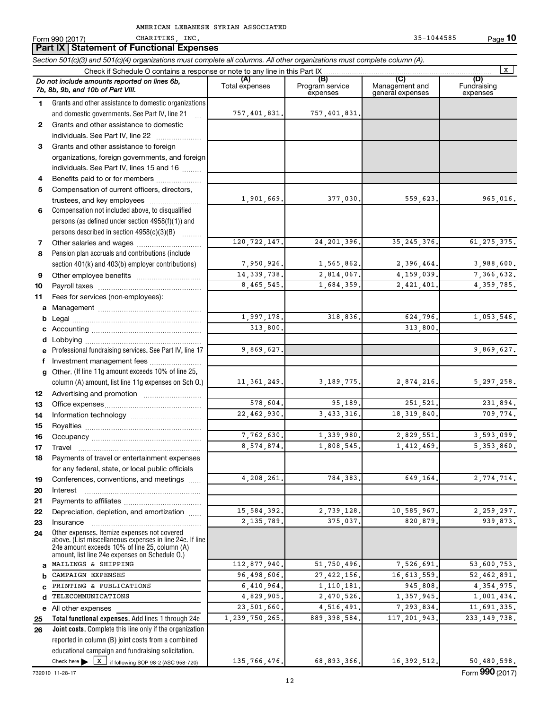|          | Part IX Statement of Functional Expenses                                                                                   |                       |                                    |                                    |                                |
|----------|----------------------------------------------------------------------------------------------------------------------------|-----------------------|------------------------------------|------------------------------------|--------------------------------|
|          | Section 501(c)(3) and 501(c)(4) organizations must complete all columns. All other organizations must complete column (A). |                       |                                    |                                    |                                |
|          | Check if Schedule O contains a response or note to any line in this Part IX                                                |                       |                                    |                                    | X                              |
|          | Do not include amounts reported on lines 6b,<br>7b, 8b, 9b, and 10b of Part VIII.                                          | (A)<br>Total expenses | (B)<br>Program service<br>expenses | Management and<br>general expenses | (D)<br>Fundraising<br>expenses |
| 1.       | Grants and other assistance to domestic organizations                                                                      |                       |                                    |                                    |                                |
|          | and domestic governments. See Part IV, line 21                                                                             | 757, 401, 831.        | 757,401,831.                       |                                    |                                |
| 2        | Grants and other assistance to domestic                                                                                    |                       |                                    |                                    |                                |
|          | individuals. See Part IV, line 22                                                                                          |                       |                                    |                                    |                                |
| 3        | Grants and other assistance to foreign                                                                                     |                       |                                    |                                    |                                |
|          | organizations, foreign governments, and foreign                                                                            |                       |                                    |                                    |                                |
|          | individuals. See Part IV, lines 15 and 16                                                                                  |                       |                                    |                                    |                                |
| 4        | Benefits paid to or for members                                                                                            |                       |                                    |                                    |                                |
| 5        | Compensation of current officers, directors,                                                                               | 1,901,669.            | 377,030.                           | 559,623.                           | 965,016.                       |
| 6        | trustees, and key employees<br>Compensation not included above, to disqualified                                            |                       |                                    |                                    |                                |
|          | persons (as defined under section 4958(f)(1)) and                                                                          |                       |                                    |                                    |                                |
|          | persons described in section 4958(c)(3)(B)                                                                                 |                       |                                    |                                    |                                |
| 7        | Other salaries and wages                                                                                                   | 120, 722, 147.        | 24, 201, 396.                      | 35, 245, 376.                      | 61, 275, 375.                  |
| 8        | Pension plan accruals and contributions (include                                                                           |                       |                                    |                                    |                                |
|          | section 401(k) and 403(b) employer contributions)                                                                          | 7,950,926.            | 1,565,862.                         | 2,396,464.                         | 3,988,600.                     |
| 9        |                                                                                                                            | 14, 339, 738.         | 2,814,067.                         | 4, 159, 039.                       | 7,366,632.                     |
| 10       |                                                                                                                            | 8,465,545.            | 1,684,359.                         | 2,421,401.                         | 4, 359, 785.                   |
| 11       | Fees for services (non-employees):                                                                                         |                       |                                    |                                    |                                |
| а        |                                                                                                                            |                       |                                    |                                    |                                |
| b        |                                                                                                                            | 1,997,178.            | 318,836.                           | 624,796.                           | 1,053,546.                     |
|          |                                                                                                                            | 313,800.              |                                    | 313,800.                           |                                |
| d        |                                                                                                                            |                       |                                    |                                    |                                |
|          | Professional fundraising services. See Part IV, line 17                                                                    | 9,869,627.            |                                    |                                    | 9,869,627.                     |
| f        | Investment management fees                                                                                                 |                       |                                    |                                    |                                |
| a        | Other. (If line 11g amount exceeds 10% of line 25,                                                                         |                       |                                    |                                    |                                |
|          | column (A) amount, list line 11g expenses on Sch O.)                                                                       | 11, 361, 249.         | 3, 189, 775.                       | 2,874,216.                         | 5, 297, 258.                   |
| 12       |                                                                                                                            |                       |                                    |                                    |                                |
| 13       |                                                                                                                            | 578,604.              | 95,189.                            | 251,521.                           | 231,894.                       |
| 14       |                                                                                                                            | 22,462,930.           | 3, 433, 316.                       | 18, 319, 840.                      | 709,774.                       |
| 15       |                                                                                                                            |                       |                                    |                                    |                                |
| 16       |                                                                                                                            | 7,762,630.            | 1,339,980.                         | 2,829,551.                         | 3,593,099.                     |
| 17       | Travel                                                                                                                     | 8,574,874.            | 1,808,545.                         | 1,412,469.                         | 5,353,860.                     |
| 18       | Payments of travel or entertainment expenses                                                                               |                       |                                    |                                    |                                |
|          | for any federal, state, or local public officials                                                                          | 4,208,261             | 784,383.                           | 649,164.                           | 2,774,714.                     |
| 19       | Conferences, conventions, and meetings                                                                                     |                       |                                    |                                    |                                |
| 20<br>21 | Interest                                                                                                                   |                       |                                    |                                    |                                |
| 22       | Depreciation, depletion, and amortization                                                                                  | 15,584,392            | 2,739,128.                         | 10,585,967.                        | 2,259,297.                     |
| 23       | Insurance                                                                                                                  | 2, 135, 789.          | 375,037.                           | 820,879.                           | 939,873.                       |
| 24       | Other expenses. Itemize expenses not covered                                                                               |                       |                                    |                                    |                                |
|          | above. (List miscellaneous expenses in line 24e. If line                                                                   |                       |                                    |                                    |                                |
|          | 24e amount exceeds 10% of line 25, column (A)<br>amount, list line 24e expenses on Schedule O.)                            |                       |                                    |                                    |                                |
| a        | MAILINGS & SHIPPING                                                                                                        | 112,877,940           | 51,750,496.                        | 7,526,691.                         | 53,600,753.                    |
| b        | CAMPAIGN EXPENSES                                                                                                          | 96,498,606.           | 27, 422, 156.                      | 16,613,559.                        | 52,462,891.                    |
|          | PRINTING & PUBLICATIONS                                                                                                    | 6,410,964.            | 1,110,181.                         | 945,808.                           | 4, 354, 975.                   |
| d        | TELECOMMUNICATIONS                                                                                                         | 4,829,905.            | 2,470,526.                         | 1,357,945.                         | 1,001,434.                     |
|          | e All other expenses                                                                                                       | 23,501,660.           | 4,516,491.                         | 7,293,834.                         | 11,691,335.                    |
| 25       | Total functional expenses. Add lines 1 through 24e                                                                         | 1,239,750,265.        | 889, 398, 584.                     | 117, 201, 943.                     | 233, 149, 738.                 |
| 26       | Joint costs. Complete this line only if the organization                                                                   |                       |                                    |                                    |                                |
|          | reported in column (B) joint costs from a combined                                                                         |                       |                                    |                                    |                                |
|          | educational campaign and fundraising solicitation.                                                                         |                       |                                    |                                    |                                |
|          | Check here $\triangleright$ $\boxed{X}$ if following SOP 98-2 (ASC 958-720)                                                | 135, 766, 476.        | 68,893,366.                        | 16, 392, 512.                      | 50,480,598.                    |

732010 11-28-17

Form 990 (2017) CHARITIES, INC. 35-1044585 Page **10**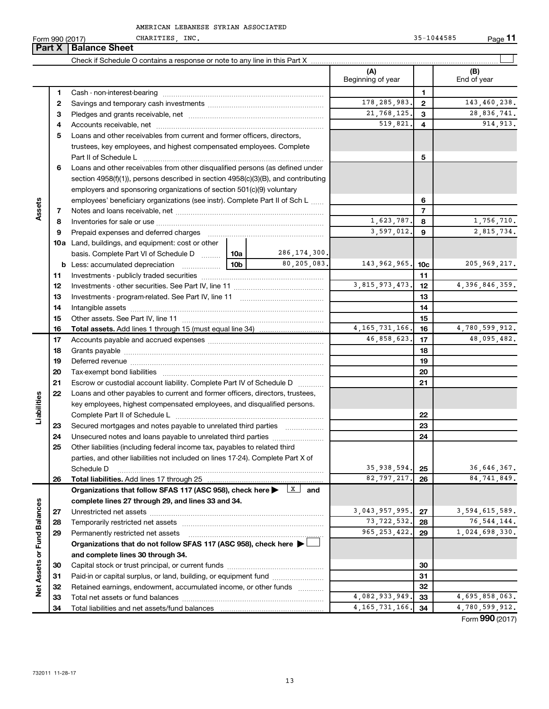|  | AMERICAN LEBANESE SYRIAN ASSOCIATED |
|--|-------------------------------------|
|  |                                     |

Form 990 (2017)

**Part X** | Balance Sheet

CHARITIES, INC. 35-1044585 Page **11**

|                             |    |                                                                                   |                                                                       |                | (A)<br>Beginning of year |                | (B)<br>End of year |
|-----------------------------|----|-----------------------------------------------------------------------------------|-----------------------------------------------------------------------|----------------|--------------------------|----------------|--------------------|
|                             | 1  |                                                                                   |                                                                       |                |                          | $\mathbf{1}$   |                    |
|                             | 2  |                                                                                   |                                                                       |                | 178, 285, 983.           | $\mathbf{2}$   | 143,460,238.       |
|                             | З  |                                                                                   |                                                                       |                | 21,768,125.              | 3              | 28,836,741.        |
|                             | 4  |                                                                                   |                                                                       |                | 519,821.                 | 4              | 914, 913.          |
|                             | 5  | Loans and other receivables from current and former officers, directors,          |                                                                       |                |                          |                |                    |
|                             |    | trustees, key employees, and highest compensated employees. Complete              |                                                                       |                |                          |                |                    |
|                             |    | Part II of Schedule L                                                             |                                                                       |                | 5                        |                |                    |
|                             | 6  | Loans and other receivables from other disqualified persons (as defined under     |                                                                       |                |                          |                |                    |
|                             |    | section 4958(f)(1)), persons described in section 4958(c)(3)(B), and contributing |                                                                       |                |                          |                |                    |
|                             |    |                                                                                   | employers and sponsoring organizations of section 501(c)(9) voluntary |                |                          |                |                    |
|                             |    | employees' beneficiary organizations (see instr). Complete Part II of Sch L       |                                                                       |                |                          | 6              |                    |
| Assets                      | 7  |                                                                                   |                                                                       |                |                          | $\overline{7}$ |                    |
|                             | 8  |                                                                                   |                                                                       |                | 1,623,787.               | 8              | 1,756,710.         |
|                             | 9  | Prepaid expenses and deferred charges                                             |                                                                       |                | 3,597,012.               | 9              | 2,815,734.         |
|                             |    | 10a Land, buildings, and equipment: cost or other                                 |                                                                       |                |                          |                |                    |
|                             |    | basis. Complete Part VI of Schedule D  10a                                        |                                                                       | 286, 174, 300. |                          |                |                    |
|                             |    |                                                                                   | 10 <sub>b</sub>                                                       | 80,205,083.    | 143, 962, 965.           | 10c            | 205, 969, 217.     |
|                             | 11 |                                                                                   |                                                                       |                |                          | 11             |                    |
|                             | 12 |                                                                                   |                                                                       |                | 3,815,973,473.           | 12             | 4,396,846,359.     |
|                             | 13 |                                                                                   |                                                                       |                |                          | 13             |                    |
|                             | 14 |                                                                                   |                                                                       |                |                          | 14             |                    |
|                             | 15 |                                                                                   |                                                                       |                |                          | 15             |                    |
|                             | 16 |                                                                                   |                                                                       |                | 4, 165, 731, 166.        | 16             | 4,780,599,912.     |
|                             | 17 |                                                                                   |                                                                       |                | 46,858,623.              | 17             | 48,095,482.        |
|                             | 18 |                                                                                   |                                                                       |                | 18                       |                |                    |
|                             | 19 |                                                                                   |                                                                       |                | 19                       |                |                    |
|                             | 20 |                                                                                   |                                                                       |                |                          | 20             |                    |
|                             | 21 | Escrow or custodial account liability. Complete Part IV of Schedule D             |                                                                       |                |                          | 21             |                    |
|                             | 22 | Loans and other payables to current and former officers, directors, trustees,     |                                                                       |                |                          |                |                    |
| Liabilities                 |    | key employees, highest compensated employees, and disqualified persons.           |                                                                       |                |                          |                |                    |
|                             |    |                                                                                   |                                                                       |                |                          | 22             |                    |
|                             | 23 | Secured mortgages and notes payable to unrelated third parties                    |                                                                       |                |                          | 23             |                    |
|                             | 24 |                                                                                   |                                                                       |                |                          | 24             |                    |
|                             | 25 | Other liabilities (including federal income tax, payables to related third        |                                                                       |                |                          |                |                    |
|                             |    | parties, and other liabilities not included on lines 17-24). Complete Part X of   |                                                                       |                |                          |                |                    |
|                             |    | Schedule D                                                                        |                                                                       |                | 35,938,594.              | 25             | 36,646,367.        |
|                             | 26 |                                                                                   |                                                                       |                | 82,797,217.              | 26             | 84,741,849.        |
|                             |    | Organizations that follow SFAS 117 (ASC 958), check here                          |                                                                       | $X$ and        |                          |                |                    |
|                             |    | complete lines 27 through 29, and lines 33 and 34.                                |                                                                       |                |                          |                |                    |
|                             | 27 |                                                                                   |                                                                       |                | 3,043,957,995.           | 27             | 3,594,615,589.     |
|                             | 28 |                                                                                   |                                                                       |                | 73, 722, 532.            | 28             | 76, 544, 144.      |
|                             | 29 | Permanently restricted net assets                                                 |                                                                       |                | 965, 253, 422.           | 29             | 1,024,698,330.     |
|                             |    | Organizations that do not follow SFAS 117 (ASC 958), check here ▶                 |                                                                       |                |                          |                |                    |
|                             |    | and complete lines 30 through 34.                                                 |                                                                       |                |                          |                |                    |
|                             | 30 |                                                                                   |                                                                       |                |                          | 30             |                    |
| Net Assets or Fund Balances | 31 | Paid-in or capital surplus, or land, building, or equipment fund                  |                                                                       |                |                          | 31             |                    |
|                             | 32 | Retained earnings, endowment, accumulated income, or other funds                  |                                                                       |                |                          | 32             |                    |
|                             | 33 |                                                                                   |                                                                       |                | 4,082,933,949            | 33             | 4,695,858,063.     |
|                             | 34 |                                                                                   |                                                                       |                | 4, 165, 731, 166.        | 34             | 4,780,599,912.     |
|                             |    |                                                                                   |                                                                       |                |                          |                | Form 990 (2017)    |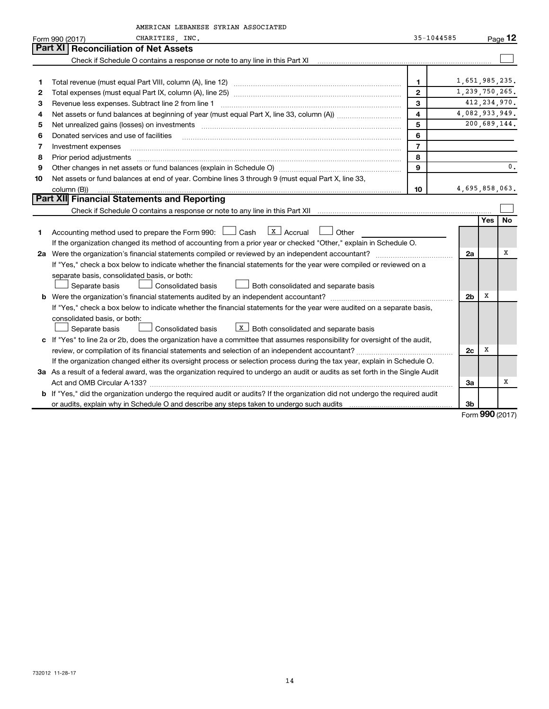|    | AMERICAN LEBANESE SYRIAN ASSOCIATED                                                                                                  |                |                |     |                |
|----|--------------------------------------------------------------------------------------------------------------------------------------|----------------|----------------|-----|----------------|
|    | CHARITIES, INC.<br>Form 990 (2017)                                                                                                   | 35-1044585     |                |     | Page 12        |
|    | <b>Part XI</b><br><b>Reconciliation of Net Assets</b>                                                                                |                |                |     |                |
|    |                                                                                                                                      |                |                |     |                |
|    |                                                                                                                                      |                |                |     |                |
|    |                                                                                                                                      | $\mathbf{1}$   | 1,651,985,235. |     |                |
| 2  |                                                                                                                                      | $\overline{2}$ | 1,239,750,265. |     |                |
| 3  | Revenue less expenses. Subtract line 2 from line 1                                                                                   | 3              |                |     | 412, 234, 970. |
| 4  |                                                                                                                                      | $\overline{4}$ | 4,082,933,949. |     |                |
| 5  |                                                                                                                                      | 5              |                |     | 200,689,144.   |
| 6  | Donated services and use of facilities                                                                                               | 6              |                |     |                |
| 7  | Investment expenses                                                                                                                  | $\overline{7}$ |                |     |                |
| 8  | Prior period adjustments www.communication.communication.com/news/communications/communications/communications                       | 8              |                |     |                |
| 9  |                                                                                                                                      | 9              |                |     | $\mathbf 0$ .  |
| 10 | Net assets or fund balances at end of year. Combine lines 3 through 9 (must equal Part X, line 33,                                   |                |                |     |                |
|    | column (B))                                                                                                                          | 10             | 4,695,858,063. |     |                |
|    | Part XII Financial Statements and Reporting                                                                                          |                |                |     |                |
|    |                                                                                                                                      |                |                |     |                |
|    |                                                                                                                                      |                |                | Yes | <b>No</b>      |
| 1  | $\vert$ X $\vert$ Accrual<br>Accounting method used to prepare the Form 990: $\Box$ Cash<br>l Other                                  |                |                |     |                |
|    | If the organization changed its method of accounting from a prior year or checked "Other," explain in Schedule O.                    |                |                |     |                |
|    |                                                                                                                                      |                | 2a             |     | x              |
|    | If "Yes," check a box below to indicate whether the financial statements for the year were compiled or reviewed on a                 |                |                |     |                |
|    | separate basis, consolidated basis, or both:                                                                                         |                |                |     |                |
|    | Consolidated basis<br>Both consolidated and separate basis<br>Separate basis                                                         |                |                |     |                |
|    | <b>b</b> Were the organization's financial statements audited by an independent accountant?                                          |                | 2 <sub>b</sub> | х   |                |
|    | If "Yes," check a box below to indicate whether the financial statements for the year were audited on a separate basis,              |                |                |     |                |
|    | consolidated basis, or both:                                                                                                         |                |                |     |                |
|    | $X$ Both consolidated and separate basis<br>Separate basis<br><b>Consolidated basis</b>                                              |                |                |     |                |
|    | c If "Yes" to line 2a or 2b, does the organization have a committee that assumes responsibility for oversight of the audit,          |                |                |     |                |
|    |                                                                                                                                      |                | 2c             | х   |                |
|    | If the organization changed either its oversight process or selection process during the tax year, explain in Schedule O.            |                |                |     |                |
|    | 3a As a result of a federal award, was the organization required to undergo an audit or audits as set forth in the Single Audit      |                |                |     |                |
|    |                                                                                                                                      |                | За             |     | х              |
|    | <b>b</b> If "Yes," did the organization undergo the required audit or audits? If the organization did not undergo the required audit |                |                |     |                |
|    |                                                                                                                                      |                | 3 <sub>b</sub> |     |                |

Form **990** (2017)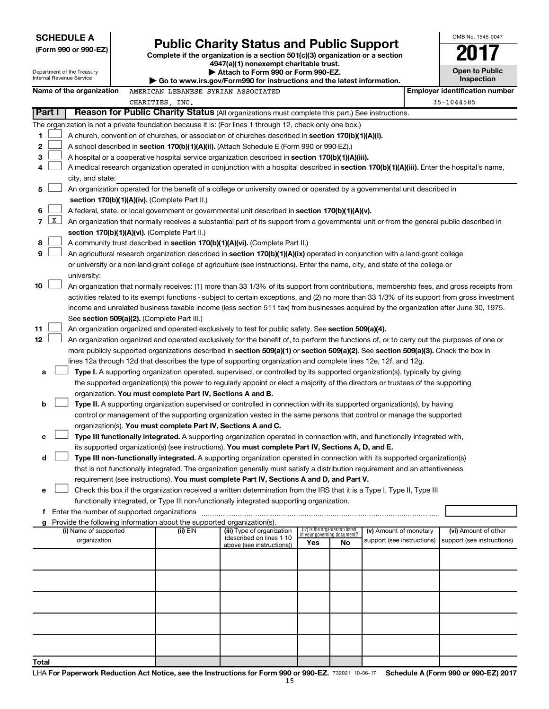| <b>SCHEDULE A</b>                                    |                                                                                                                                                                              | OMB No. 1545-0047                          |
|------------------------------------------------------|------------------------------------------------------------------------------------------------------------------------------------------------------------------------------|--------------------------------------------|
| (Form 990 or 990-EZ)                                 | <b>Public Charity Status and Public Support</b><br>Complete if the organization is a section $501(c)(3)$ organization or a section<br>4947(a)(1) nonexempt charitable trust. | 2017                                       |
| epartment of the Treasury<br>iternal Revenue Service | Attach to Form 990 or Form 990-EZ.<br>$\cdot$ Go to www.irs.gov/Form990 for instructions and the latest information.                                                         | <b>Open to Public</b><br><b>Inspection</b> |

 $\ddot{\phantom{a}}$ 

| <b>Open to Public</b> |                   |  |
|-----------------------|-------------------|--|
|                       | <b>Inspection</b> |  |

| Department of the Treasury<br>Internal Revenue Service |              |                                                                                                                                            |  | Attach to Form 990 or Form 990-EZ.<br>Go to www.irs.gov/Form990 for instructions and the latest information. |                                                                                                                                                                                                                                                      |     |                                   |                            | <b>Open to Public</b><br><b>Inspection</b> |                                       |
|--------------------------------------------------------|--------------|--------------------------------------------------------------------------------------------------------------------------------------------|--|--------------------------------------------------------------------------------------------------------------|------------------------------------------------------------------------------------------------------------------------------------------------------------------------------------------------------------------------------------------------------|-----|-----------------------------------|----------------------------|--------------------------------------------|---------------------------------------|
|                                                        |              | Name of the organization                                                                                                                   |  | AMERICAN LEBANESE SYRIAN ASSOCIATED                                                                          |                                                                                                                                                                                                                                                      |     |                                   |                            |                                            | <b>Employer identification number</b> |
|                                                        |              |                                                                                                                                            |  | CHARITIES, INC.                                                                                              |                                                                                                                                                                                                                                                      |     |                                   |                            |                                            | 35-1044585                            |
| Part I                                                 |              |                                                                                                                                            |  |                                                                                                              | Reason for Public Charity Status (All organizations must complete this part.) See instructions.                                                                                                                                                      |     |                                   |                            |                                            |                                       |
|                                                        |              |                                                                                                                                            |  |                                                                                                              | The organization is not a private foundation because it is: (For lines 1 through 12, check only one box.)                                                                                                                                            |     |                                   |                            |                                            |                                       |
| 1                                                      |              |                                                                                                                                            |  |                                                                                                              | A church, convention of churches, or association of churches described in section 170(b)(1)(A)(i).                                                                                                                                                   |     |                                   |                            |                                            |                                       |
| 2                                                      |              |                                                                                                                                            |  |                                                                                                              | A school described in section 170(b)(1)(A)(ii). (Attach Schedule E (Form 990 or 990-EZ).)                                                                                                                                                            |     |                                   |                            |                                            |                                       |
| 3                                                      |              | A hospital or a cooperative hospital service organization described in section 170(b)(1)(A)(iii).                                          |  |                                                                                                              |                                                                                                                                                                                                                                                      |     |                                   |                            |                                            |                                       |
| 4                                                      |              | A medical research organization operated in conjunction with a hospital described in section 170(b)(1)(A)(iii). Enter the hospital's name, |  |                                                                                                              |                                                                                                                                                                                                                                                      |     |                                   |                            |                                            |                                       |
|                                                        |              | city, and state:                                                                                                                           |  |                                                                                                              |                                                                                                                                                                                                                                                      |     |                                   |                            |                                            |                                       |
| 5                                                      |              |                                                                                                                                            |  |                                                                                                              | An organization operated for the benefit of a college or university owned or operated by a governmental unit described in                                                                                                                            |     |                                   |                            |                                            |                                       |
|                                                        |              |                                                                                                                                            |  | section 170(b)(1)(A)(iv). (Complete Part II.)                                                                |                                                                                                                                                                                                                                                      |     |                                   |                            |                                            |                                       |
| 6                                                      |              |                                                                                                                                            |  |                                                                                                              | A federal, state, or local government or governmental unit described in section 170(b)(1)(A)(v).                                                                                                                                                     |     |                                   |                            |                                            |                                       |
| $\overline{7}$                                         | $\mathbf{x}$ |                                                                                                                                            |  |                                                                                                              | An organization that normally receives a substantial part of its support from a governmental unit or from the general public described in                                                                                                            |     |                                   |                            |                                            |                                       |
|                                                        |              |                                                                                                                                            |  | section 170(b)(1)(A)(vi). (Complete Part II.)                                                                |                                                                                                                                                                                                                                                      |     |                                   |                            |                                            |                                       |
| 8                                                      |              |                                                                                                                                            |  |                                                                                                              | A community trust described in section 170(b)(1)(A)(vi). (Complete Part II.)                                                                                                                                                                         |     |                                   |                            |                                            |                                       |
| 9                                                      |              |                                                                                                                                            |  |                                                                                                              | An agricultural research organization described in section 170(b)(1)(A)(ix) operated in conjunction with a land-grant college                                                                                                                        |     |                                   |                            |                                            |                                       |
|                                                        |              |                                                                                                                                            |  |                                                                                                              | or university or a non-land-grant college of agriculture (see instructions). Enter the name, city, and state of the college or                                                                                                                       |     |                                   |                            |                                            |                                       |
|                                                        |              | university:                                                                                                                                |  |                                                                                                              |                                                                                                                                                                                                                                                      |     |                                   |                            |                                            |                                       |
| 10                                                     |              |                                                                                                                                            |  |                                                                                                              | An organization that normally receives: (1) more than 33 1/3% of its support from contributions, membership fees, and gross receipts from                                                                                                            |     |                                   |                            |                                            |                                       |
|                                                        |              |                                                                                                                                            |  |                                                                                                              | activities related to its exempt functions - subject to certain exceptions, and (2) no more than 33 1/3% of its support from gross investment                                                                                                        |     |                                   |                            |                                            |                                       |
|                                                        |              |                                                                                                                                            |  |                                                                                                              | income and unrelated business taxable income (less section 511 tax) from businesses acquired by the organization after June 30, 1975.                                                                                                                |     |                                   |                            |                                            |                                       |
|                                                        |              |                                                                                                                                            |  | See section 509(a)(2). (Complete Part III.)                                                                  |                                                                                                                                                                                                                                                      |     |                                   |                            |                                            |                                       |
| 11                                                     |              |                                                                                                                                            |  |                                                                                                              | An organization organized and operated exclusively to test for public safety. See section 509(a)(4).                                                                                                                                                 |     |                                   |                            |                                            |                                       |
| 12                                                     |              |                                                                                                                                            |  |                                                                                                              | An organization organized and operated exclusively for the benefit of, to perform the functions of, or to carry out the purposes of one or                                                                                                           |     |                                   |                            |                                            |                                       |
|                                                        |              |                                                                                                                                            |  |                                                                                                              | more publicly supported organizations described in section 509(a)(1) or section 509(a)(2). See section 509(a)(3). Check the box in<br>lines 12a through 12d that describes the type of supporting organization and complete lines 12e, 12f, and 12g. |     |                                   |                            |                                            |                                       |
| а                                                      |              |                                                                                                                                            |  |                                                                                                              | Type I. A supporting organization operated, supervised, or controlled by its supported organization(s), typically by giving                                                                                                                          |     |                                   |                            |                                            |                                       |
|                                                        |              |                                                                                                                                            |  |                                                                                                              | the supported organization(s) the power to regularly appoint or elect a majority of the directors or trustees of the supporting                                                                                                                      |     |                                   |                            |                                            |                                       |
|                                                        |              |                                                                                                                                            |  | organization. You must complete Part IV, Sections A and B.                                                   |                                                                                                                                                                                                                                                      |     |                                   |                            |                                            |                                       |
| b                                                      |              |                                                                                                                                            |  |                                                                                                              | Type II. A supporting organization supervised or controlled in connection with its supported organization(s), by having                                                                                                                              |     |                                   |                            |                                            |                                       |
|                                                        |              |                                                                                                                                            |  |                                                                                                              | control or management of the supporting organization vested in the same persons that control or manage the supported                                                                                                                                 |     |                                   |                            |                                            |                                       |
|                                                        |              |                                                                                                                                            |  | organization(s). You must complete Part IV, Sections A and C.                                                |                                                                                                                                                                                                                                                      |     |                                   |                            |                                            |                                       |
| с                                                      |              |                                                                                                                                            |  |                                                                                                              | Type III functionally integrated. A supporting organization operated in connection with, and functionally integrated with,                                                                                                                           |     |                                   |                            |                                            |                                       |
|                                                        |              |                                                                                                                                            |  |                                                                                                              | its supported organization(s) (see instructions). You must complete Part IV, Sections A, D, and E.                                                                                                                                                   |     |                                   |                            |                                            |                                       |
| d                                                      |              |                                                                                                                                            |  |                                                                                                              | Type III non-functionally integrated. A supporting organization operated in connection with its supported organization(s)                                                                                                                            |     |                                   |                            |                                            |                                       |
|                                                        |              |                                                                                                                                            |  |                                                                                                              | that is not functionally integrated. The organization generally must satisfy a distribution requirement and an attentiveness                                                                                                                         |     |                                   |                            |                                            |                                       |
|                                                        |              |                                                                                                                                            |  |                                                                                                              | requirement (see instructions). You must complete Part IV, Sections A and D, and Part V.                                                                                                                                                             |     |                                   |                            |                                            |                                       |
| е                                                      |              |                                                                                                                                            |  |                                                                                                              | Check this box if the organization received a written determination from the IRS that it is a Type I, Type II, Type III                                                                                                                              |     |                                   |                            |                                            |                                       |
|                                                        |              |                                                                                                                                            |  |                                                                                                              | functionally integrated, or Type III non-functionally integrated supporting organization.                                                                                                                                                            |     |                                   |                            |                                            |                                       |
|                                                        |              |                                                                                                                                            |  |                                                                                                              |                                                                                                                                                                                                                                                      |     |                                   |                            |                                            |                                       |
| g                                                      |              | (i) Name of supported                                                                                                                      |  | Provide the following information about the supported organization(s).<br>(ii) EIN                           | (iii) Type of organization                                                                                                                                                                                                                           |     | (iv) Is the organization listed   | (v) Amount of monetary     |                                            | (vi) Amount of other                  |
|                                                        |              | organization                                                                                                                               |  |                                                                                                              | (described on lines 1-10                                                                                                                                                                                                                             | Yes | in your governing document?<br>No | support (see instructions) |                                            | support (see instructions)            |
|                                                        |              |                                                                                                                                            |  |                                                                                                              | above (see instructions))                                                                                                                                                                                                                            |     |                                   |                            |                                            |                                       |
|                                                        |              |                                                                                                                                            |  |                                                                                                              |                                                                                                                                                                                                                                                      |     |                                   |                            |                                            |                                       |
|                                                        |              |                                                                                                                                            |  |                                                                                                              |                                                                                                                                                                                                                                                      |     |                                   |                            |                                            |                                       |
|                                                        |              |                                                                                                                                            |  |                                                                                                              |                                                                                                                                                                                                                                                      |     |                                   |                            |                                            |                                       |
|                                                        |              |                                                                                                                                            |  |                                                                                                              |                                                                                                                                                                                                                                                      |     |                                   |                            |                                            |                                       |
|                                                        |              |                                                                                                                                            |  |                                                                                                              |                                                                                                                                                                                                                                                      |     |                                   |                            |                                            |                                       |
|                                                        |              |                                                                                                                                            |  |                                                                                                              |                                                                                                                                                                                                                                                      |     |                                   |                            |                                            |                                       |
|                                                        |              |                                                                                                                                            |  |                                                                                                              |                                                                                                                                                                                                                                                      |     |                                   |                            |                                            |                                       |
|                                                        |              |                                                                                                                                            |  |                                                                                                              |                                                                                                                                                                                                                                                      |     |                                   |                            |                                            |                                       |
|                                                        |              |                                                                                                                                            |  |                                                                                                              |                                                                                                                                                                                                                                                      |     |                                   |                            |                                            |                                       |
| Total                                                  |              |                                                                                                                                            |  |                                                                                                              |                                                                                                                                                                                                                                                      |     |                                   |                            |                                            |                                       |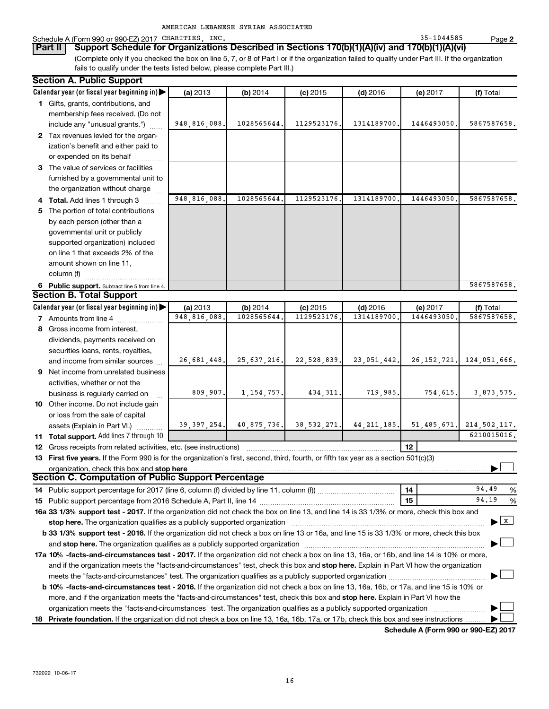|  | AMERICAN LEBANESE SYRIAN ASSOCIATED |
|--|-------------------------------------|
|  |                                     |

Schedule A (Form 990 or 990-EZ) 2017 CHARITIES, INC.<br>**Part II** | Support Schedule for Organizations Described in Sections 170(b)(1)(A)(iv) and 170(b)(1)(A)(vi)

**Part II** Support Schedule for Organizations Described in Sections 170(b)(1)(A)(iv) and 170(b)(1)(A)(vi) (Complete only if you checked the box on line 5, 7, or 8 of Part I or if the organization failed to qualify under Part III. If the organization fails to qualify under the tests listed below, please complete Part III.)

| <b>Section A. Public Support</b>                                                                                                                                                                                                              |               |               |               |               |               |                |
|-----------------------------------------------------------------------------------------------------------------------------------------------------------------------------------------------------------------------------------------------|---------------|---------------|---------------|---------------|---------------|----------------|
| Calendar year (or fiscal year beginning in)                                                                                                                                                                                                   | (a) 2013      | (b) 2014      | $(c)$ 2015    | $(d)$ 2016    | (e) 2017      | (f) Total      |
| 1 Gifts, grants, contributions, and                                                                                                                                                                                                           |               |               |               |               |               |                |
| membership fees received. (Do not                                                                                                                                                                                                             |               |               |               |               |               |                |
| include any "unusual grants.")                                                                                                                                                                                                                | 948,816,088.  | 1028565644.   | 1129523176.   | 1314189700    | 1446493050,   | 5867587658.    |
| 2 Tax revenues levied for the organ-                                                                                                                                                                                                          |               |               |               |               |               |                |
| ization's benefit and either paid to                                                                                                                                                                                                          |               |               |               |               |               |                |
| or expended on its behalf                                                                                                                                                                                                                     |               |               |               |               |               |                |
| 3 The value of services or facilities                                                                                                                                                                                                         |               |               |               |               |               |                |
| furnished by a governmental unit to                                                                                                                                                                                                           |               |               |               |               |               |                |
| the organization without charge                                                                                                                                                                                                               |               |               |               |               |               |                |
| 4 Total. Add lines 1 through 3                                                                                                                                                                                                                | 948,816,088.  | 1028565644    | 1129523176    | 1314189700    | 1446493050    | 5867587658.    |
| 5 The portion of total contributions                                                                                                                                                                                                          |               |               |               |               |               |                |
| by each person (other than a                                                                                                                                                                                                                  |               |               |               |               |               |                |
| governmental unit or publicly                                                                                                                                                                                                                 |               |               |               |               |               |                |
| supported organization) included                                                                                                                                                                                                              |               |               |               |               |               |                |
| on line 1 that exceeds 2% of the                                                                                                                                                                                                              |               |               |               |               |               |                |
| amount shown on line 11,                                                                                                                                                                                                                      |               |               |               |               |               |                |
| column (f)                                                                                                                                                                                                                                    |               |               |               |               |               |                |
| 6 Public support. Subtract line 5 from line 4.                                                                                                                                                                                                |               |               |               |               |               | 5867587658.    |
| <b>Section B. Total Support</b>                                                                                                                                                                                                               |               |               |               |               |               |                |
| Calendar year (or fiscal year beginning in)                                                                                                                                                                                                   | (a) 2013      | (b) 2014      | $(c)$ 2015    | $(d)$ 2016    | (e) 2017      | (f) Total      |
| <b>7</b> Amounts from line 4                                                                                                                                                                                                                  | 948,816,088.  | 1028565644    | 1129523176    | 1314189700    | 1446493050    | 5867587658.    |
| 8 Gross income from interest,                                                                                                                                                                                                                 |               |               |               |               |               |                |
| dividends, payments received on                                                                                                                                                                                                               |               |               |               |               |               |                |
| securities loans, rents, royalties,                                                                                                                                                                                                           |               |               |               |               |               |                |
| and income from similar sources                                                                                                                                                                                                               | 26,681,448.   | 25, 637, 216. | 22,528,839.   | 23,051,442.   | 26, 152, 721. | 124,051,666.   |
| 9 Net income from unrelated business                                                                                                                                                                                                          |               |               |               |               |               |                |
| activities, whether or not the                                                                                                                                                                                                                |               |               |               |               |               |                |
| business is regularly carried on                                                                                                                                                                                                              | 809,907.      | 1, 154, 757.  | 434, 311.     | 719,985.      | 754,615.      | 3,873,575.     |
| 10 Other income. Do not include gain                                                                                                                                                                                                          |               |               |               |               |               |                |
| or loss from the sale of capital                                                                                                                                                                                                              |               |               |               |               |               |                |
| assets (Explain in Part VI.)                                                                                                                                                                                                                  | 39, 397, 254. | 40,875,736.   | 38, 532, 271. | 44, 211, 185. | 51, 485, 671. | 214, 502, 117. |
| 11 Total support. Add lines 7 through 10                                                                                                                                                                                                      |               |               |               |               |               | 6210015016.    |
| 12 Gross receipts from related activities, etc. (see instructions)                                                                                                                                                                            |               |               |               |               | 12            |                |
| 13 First five years. If the Form 990 is for the organization's first, second, third, fourth, or fifth tax year as a section 501(c)(3)                                                                                                         |               |               |               |               |               |                |
| organization, check this box and stop here                                                                                                                                                                                                    |               |               |               |               |               |                |
| Section C. Computation of Public Support Percentage                                                                                                                                                                                           |               |               |               |               |               |                |
|                                                                                                                                                                                                                                               |               |               |               |               | 14            | 94.49<br>%     |
|                                                                                                                                                                                                                                               |               |               |               |               | 15            | 94.19<br>%     |
| 16a 33 1/3% support test - 2017. If the organization did not check the box on line 13, and line 14 is 33 1/3% or more, check this box and                                                                                                     |               |               |               |               |               |                |
| $\mathbf{x}$<br>stop here. The organization qualifies as a publicly supported organization manufaction manufacture or the organization manufacture or the state of the state of the state of the state of the state of the state of the state |               |               |               |               |               |                |
| b 33 1/3% support test - 2016. If the organization did not check a box on line 13 or 16a, and line 15 is 33 1/3% or more, check this box                                                                                                      |               |               |               |               |               |                |
|                                                                                                                                                                                                                                               |               |               |               |               |               |                |
| 17a 10% -facts-and-circumstances test - 2017. If the organization did not check a box on line 13, 16a, or 16b, and line 14 is 10% or more,                                                                                                    |               |               |               |               |               |                |
| and if the organization meets the "facts-and-circumstances" test, check this box and stop here. Explain in Part VI how the organization                                                                                                       |               |               |               |               |               |                |
|                                                                                                                                                                                                                                               |               |               |               |               |               |                |
| <b>b 10%</b> -facts-and-circumstances test - 2016. If the organization did not check a box on line 13, 16a, 16b, or 17a, and line 15 is 10% or                                                                                                |               |               |               |               |               |                |
| more, and if the organization meets the "facts-and-circumstances" test, check this box and stop here. Explain in Part VI how the                                                                                                              |               |               |               |               |               |                |
| organization meets the "facts-and-circumstances" test. The organization qualifies as a publicly supported organization                                                                                                                        |               |               |               |               |               |                |
| 18 Private foundation. If the organization did not check a box on line 13, 16a, 16b, 17a, or 17b, check this box and see instructions                                                                                                         |               |               |               |               |               |                |

**Schedule A (Form 990 or 990-EZ) 2017**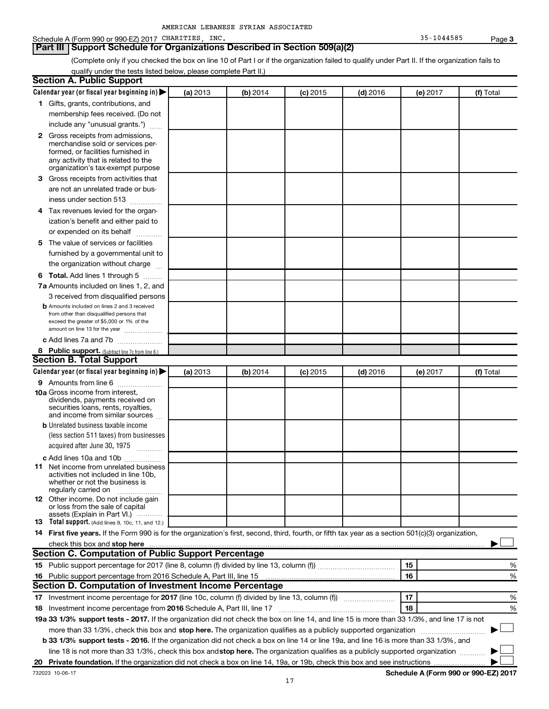## Schedule A (Form 990 or 990-EZ) 2017 CHARITIES, INC. 35-1044585 Page 3

## **Part III | Support Schedule for Organizations Described in Section 509(a)(2)**

(Complete only if you checked the box on line 10 of Part I or if the organization failed to qualify under Part II. If the organization fails to qualify under the tests listed below, please complete Part II.)

| <b>Section A. Public Support</b>                                                                                                                                                                                                                             |          |          |            |            |          |           |
|--------------------------------------------------------------------------------------------------------------------------------------------------------------------------------------------------------------------------------------------------------------|----------|----------|------------|------------|----------|-----------|
| Calendar year (or fiscal year beginning in)                                                                                                                                                                                                                  | (a) 2013 | (b) 2014 | $(c)$ 2015 | $(d)$ 2016 | (e) 2017 | (f) Total |
| 1 Gifts, grants, contributions, and                                                                                                                                                                                                                          |          |          |            |            |          |           |
| membership fees received. (Do not                                                                                                                                                                                                                            |          |          |            |            |          |           |
| include any "unusual grants.")                                                                                                                                                                                                                               |          |          |            |            |          |           |
| <b>2</b> Gross receipts from admissions,                                                                                                                                                                                                                     |          |          |            |            |          |           |
| merchandise sold or services per-                                                                                                                                                                                                                            |          |          |            |            |          |           |
| formed, or facilities furnished in                                                                                                                                                                                                                           |          |          |            |            |          |           |
| any activity that is related to the<br>organization's tax-exempt purpose                                                                                                                                                                                     |          |          |            |            |          |           |
| 3 Gross receipts from activities that                                                                                                                                                                                                                        |          |          |            |            |          |           |
| are not an unrelated trade or bus-                                                                                                                                                                                                                           |          |          |            |            |          |           |
| iness under section 513                                                                                                                                                                                                                                      |          |          |            |            |          |           |
| 4 Tax revenues levied for the organ-                                                                                                                                                                                                                         |          |          |            |            |          |           |
| ization's benefit and either paid to                                                                                                                                                                                                                         |          |          |            |            |          |           |
| or expended on its behalf                                                                                                                                                                                                                                    |          |          |            |            |          |           |
| 5 The value of services or facilities                                                                                                                                                                                                                        |          |          |            |            |          |           |
| furnished by a governmental unit to                                                                                                                                                                                                                          |          |          |            |            |          |           |
| the organization without charge                                                                                                                                                                                                                              |          |          |            |            |          |           |
| 6 Total. Add lines 1 through 5                                                                                                                                                                                                                               |          |          |            |            |          |           |
| 7a Amounts included on lines 1, 2, and                                                                                                                                                                                                                       |          |          |            |            |          |           |
| 3 received from disqualified persons                                                                                                                                                                                                                         |          |          |            |            |          |           |
| <b>b</b> Amounts included on lines 2 and 3 received                                                                                                                                                                                                          |          |          |            |            |          |           |
| from other than disqualified persons that                                                                                                                                                                                                                    |          |          |            |            |          |           |
| exceed the greater of \$5,000 or 1% of the<br>amount on line 13 for the year                                                                                                                                                                                 |          |          |            |            |          |           |
| c Add lines 7a and 7b                                                                                                                                                                                                                                        |          |          |            |            |          |           |
| 8 Public support. (Subtract line 7c from line 6.)                                                                                                                                                                                                            |          |          |            |            |          |           |
| <b>Section B. Total Support</b>                                                                                                                                                                                                                              |          |          |            |            |          |           |
| Calendar year (or fiscal year beginning in)                                                                                                                                                                                                                  | (a) 2013 | (b) 2014 | $(c)$ 2015 | $(d)$ 2016 | (e) 2017 | (f) Total |
| 9 Amounts from line 6                                                                                                                                                                                                                                        |          |          |            |            |          |           |
| <b>10a</b> Gross income from interest,                                                                                                                                                                                                                       |          |          |            |            |          |           |
| dividends, payments received on                                                                                                                                                                                                                              |          |          |            |            |          |           |
| securities loans, rents, royalties,<br>and income from similar sources                                                                                                                                                                                       |          |          |            |            |          |           |
| <b>b</b> Unrelated business taxable income                                                                                                                                                                                                                   |          |          |            |            |          |           |
| (less section 511 taxes) from businesses                                                                                                                                                                                                                     |          |          |            |            |          |           |
| acquired after June 30, 1975                                                                                                                                                                                                                                 |          |          |            |            |          |           |
| c Add lines 10a and 10b                                                                                                                                                                                                                                      |          |          |            |            |          |           |
| <b>11</b> Net income from unrelated business                                                                                                                                                                                                                 |          |          |            |            |          |           |
| activities not included in line 10b.                                                                                                                                                                                                                         |          |          |            |            |          |           |
| whether or not the business is<br>regularly carried on                                                                                                                                                                                                       |          |          |            |            |          |           |
| 12 Other income. Do not include gain                                                                                                                                                                                                                         |          |          |            |            |          |           |
| or loss from the sale of capital                                                                                                                                                                                                                             |          |          |            |            |          |           |
| assets (Explain in Part VI.)<br><b>13</b> Total support. (Add lines 9, 10c, 11, and 12.)                                                                                                                                                                     |          |          |            |            |          |           |
| 14 First five years. If the Form 990 is for the organization's first, second, third, fourth, or fifth tax year as a section 501(c)(3) organization,                                                                                                          |          |          |            |            |          |           |
| check this box and stop here <b>construction and construction</b> and stop here <b>constructed</b> and stop here <b>constructed</b> and <b>stop here construction</b> and <b>stop here construction</b> and <b>stop here constructed</b> and <b>stop her</b> |          |          |            |            |          |           |
| Section C. Computation of Public Support Percentage                                                                                                                                                                                                          |          |          |            |            |          |           |
|                                                                                                                                                                                                                                                              |          |          |            |            | 15       | ℅         |
| 16 Public support percentage from 2016 Schedule A, Part III, line 15                                                                                                                                                                                         |          |          |            |            | 16       | %         |
| Section D. Computation of Investment Income Percentage                                                                                                                                                                                                       |          |          |            |            |          |           |
| 17 Investment income percentage for 2017 (line 10c, column (f) divided by line 13, column (f))                                                                                                                                                               |          |          |            |            | 17       | %         |
| 18 Investment income percentage from 2016 Schedule A, Part III, line 17                                                                                                                                                                                      |          |          |            |            | 18       | %         |
| 19a 33 1/3% support tests - 2017. If the organization did not check the box on line 14, and line 15 is more than 33 1/3%, and line 17 is not                                                                                                                 |          |          |            |            |          |           |
| more than 33 1/3%, check this box and stop here. The organization qualifies as a publicly supported organization                                                                                                                                             |          |          |            |            |          |           |
| b 33 1/3% support tests - 2016. If the organization did not check a box on line 14 or line 19a, and line 16 is more than 33 1/3%, and                                                                                                                        |          |          |            |            |          |           |
| line 18 is not more than 33 1/3%, check this box and stop here. The organization qualifies as a publicly supported organization                                                                                                                              |          |          |            |            |          |           |
|                                                                                                                                                                                                                                                              |          |          |            |            |          |           |
|                                                                                                                                                                                                                                                              |          |          |            |            |          |           |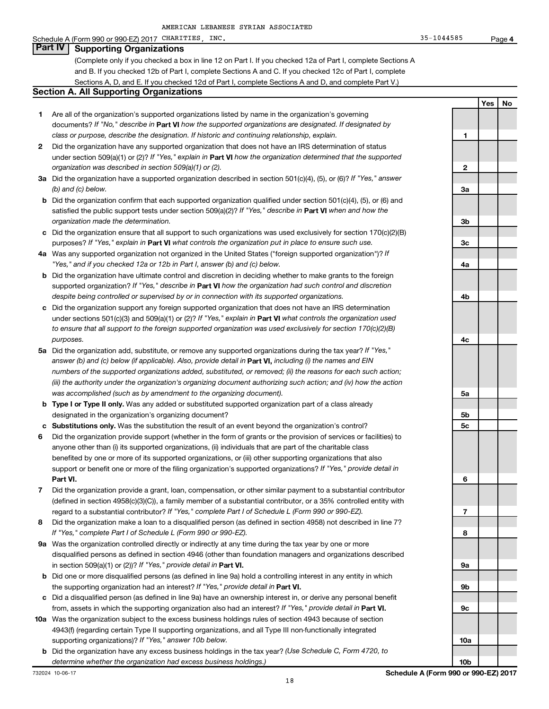## Schedule A (Form 990 or 990-EZ) 2017 CHARITIES, INC.  $35-1044585$  Page 4

## **Part IV Supporting Organizations**

(Complete only if you checked a box in line 12 on Part I. If you checked 12a of Part I, complete Sections A and B. If you checked 12b of Part I, complete Sections A and C. If you checked 12c of Part I, complete Sections A, D, and E. If you checked 12d of Part I, complete Sections A and D, and complete Part V.)

#### **Section A. All Supporting Organizations**

- **1** Are all of the organization's supported organizations listed by name in the organization's governing documents? *If "No," describe in* **Part VI** *how the supported organizations are designated. If designated by class or purpose, describe the designation. If historic and continuing relationship, explain.* **1**
- **2** Did the organization have any supported organization that does not have an IRS determination of status under section 509(a)(1) or (2)? *If "Yes," explain in* **Part VI** *how the organization determined that the supported organization was described in section 509(a)(1) or (2).* **2**
- **3a** Did the organization have a supported organization described in section 501(c)(4), (5), or (6)? *If "Yes," answer (b) and (c) below.* **3a**
- **b** Did the organization confirm that each supported organization qualified under section 501(c)(4), (5), or (6) and satisfied the public support tests under section 509(a)(2)? *If "Yes," describe in* **Part VI** *when and how the organization made the determination.* **3b**
- **c** Did the organization ensure that all support to such organizations was used exclusively for section 170(c)(2)(B) purposes? *If "Yes," explain in* **Part VI** *what controls the organization put in place to ensure such use.* **3c**
- **4a** Was any supported organization not organized in the United States ("foreign supported organization")? *If "Yes," and if you checked 12a or 12b in Part I, answer (b) and (c) below.* **4a**
- **b** Did the organization have ultimate control and discretion in deciding whether to make grants to the foreign supported organization? *If "Yes," describe in* **Part VI** *how the organization had such control and discretion despite being controlled or supervised by or in connection with its supported organizations.* **4b**
- **c** Did the organization support any foreign supported organization that does not have an IRS determination under sections 501(c)(3) and 509(a)(1) or (2)? *If "Yes," explain in* **Part VI** *what controls the organization used to ensure that all support to the foreign supported organization was used exclusively for section 170(c)(2)(B) purposes.* **4c**
- **5a** Did the organization add, substitute, or remove any supported organizations during the tax year? *If "Yes," answer (b) and (c) below (if applicable). Also, provide detail in* **Part VI,** *including (i) the names and EIN numbers of the supported organizations added, substituted, or removed; (ii) the reasons for each such action; (iii) the authority under the organization's organizing document authorizing such action; and (iv) how the action was accomplished (such as by amendment to the organizing document).* **5a**
- **b Type I or Type II only.** Was any added or substituted supported organization part of a class already designated in the organization's organizing document? **5b**
- **c Substitutions only.** Was the substitution the result of an event beyond the organization's control? **5c**
- **6** Did the organization provide support (whether in the form of grants or the provision of services or facilities) to anyone other than (i) its supported organizations, (ii) individuals that are part of the charitable class benefited by one or more of its supported organizations, or (iii) other supporting organizations that also support or benefit one or more of the filing organization's supported organizations? *If "Yes," provide detail in* **Part VI. 6**
- **7** Did the organization provide a grant, loan, compensation, or other similar payment to a substantial contributor (defined in section 4958(c)(3)(C)), a family member of a substantial contributor, or a 35% controlled entity with regard to a substantial contributor? *If "Yes," complete Part I of Schedule L (Form 990 or 990-EZ).* **7**
- **8** Did the organization make a loan to a disqualified person (as defined in section 4958) not described in line 7? *If "Yes," complete Part I of Schedule L (Form 990 or 990-EZ).* **8**
- **9a** Was the organization controlled directly or indirectly at any time during the tax year by one or more disqualified persons as defined in section 4946 (other than foundation managers and organizations described in section 509(a)(1) or (2))? *If "Yes," provide detail in* **Part VI. 9a**
- **b** Did one or more disqualified persons (as defined in line 9a) hold a controlling interest in any entity in which the supporting organization had an interest? *If "Yes," provide detail in* **Part VI. 9b**
- **c** Did a disqualified person (as defined in line 9a) have an ownership interest in, or derive any personal benefit from, assets in which the supporting organization also had an interest? *If "Yes," provide detail in* **Part VI. 9c**
- **10a** Was the organization subject to the excess business holdings rules of section 4943 because of section 4943(f) (regarding certain Type II supporting organizations, and all Type III non-functionally integrated supporting organizations)? *If "Yes," answer 10b below.* **10a**
- **b** Did the organization have any excess business holdings in the tax year? *(Use Schedule C, Form 4720, to determine whether the organization had excess business holdings.)* **10b**

**Yes No**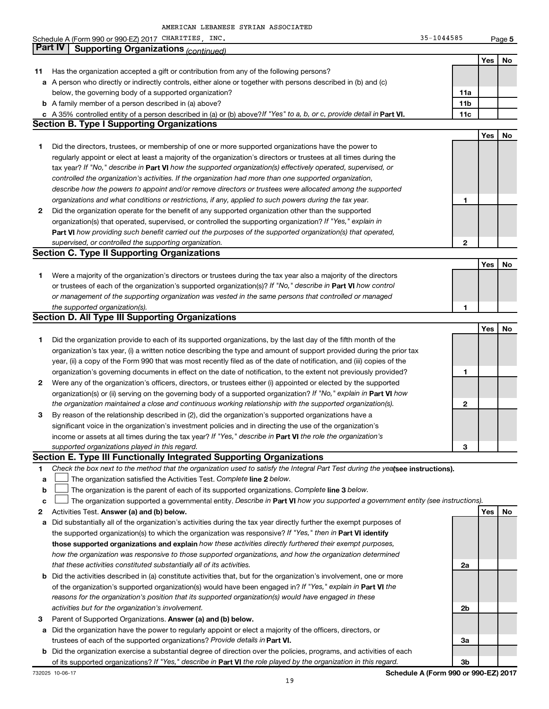|    | Schedule A (Form 990 or 990-EZ) 2017 CHARITIES, INC.                                                                            | $35 - 1044585$  |     | Page 5 |
|----|---------------------------------------------------------------------------------------------------------------------------------|-----------------|-----|--------|
|    | ∣ Part IV  <br><b>Supporting Organizations (continued)</b>                                                                      |                 |     |        |
|    |                                                                                                                                 |                 | Yes | No     |
| 11 | Has the organization accepted a gift or contribution from any of the following persons?                                         |                 |     |        |
|    | a A person who directly or indirectly controls, either alone or together with persons described in (b) and (c)                  |                 |     |        |
|    | below, the governing body of a supported organization?                                                                          | 11a             |     |        |
|    | <b>b</b> A family member of a person described in (a) above?                                                                    | 11 <sub>b</sub> |     |        |
|    | c A 35% controlled entity of a person described in (a) or (b) above? If "Yes" to a, b, or c, provide detail in Part VI.         | 11c             |     |        |
|    | <b>Section B. Type I Supporting Organizations</b>                                                                               |                 |     |        |
|    |                                                                                                                                 |                 | Yes | No     |
| 1  | Did the directors, trustees, or membership of one or more supported organizations have the power to                             |                 |     |        |
|    | regularly appoint or elect at least a majority of the organization's directors or trustees at all times during the              |                 |     |        |
|    | tax year? If "No," describe in Part VI how the supported organization(s) effectively operated, supervised, or                   |                 |     |        |
|    | controlled the organization's activities. If the organization had more than one supported organization,                         |                 |     |        |
|    | describe how the powers to appoint and/or remove directors or trustees were allocated among the supported                       |                 |     |        |
|    | organizations and what conditions or restrictions, if any, applied to such powers during the tax year.                          | 1               |     |        |
| 2  | Did the organization operate for the benefit of any supported organization other than the supported                             |                 |     |        |
|    | organization(s) that operated, supervised, or controlled the supporting organization? If "Yes," explain in                      |                 |     |        |
|    | Part VI how providing such benefit carried out the purposes of the supported organization(s) that operated,                     |                 |     |        |
|    | supervised, or controlled the supporting organization.                                                                          | 2               |     |        |
|    | <b>Section C. Type II Supporting Organizations</b>                                                                              |                 |     |        |
|    |                                                                                                                                 |                 | Yes | No     |
| 1  | Were a majority of the organization's directors or trustees during the tax year also a majority of the directors                |                 |     |        |
|    | or trustees of each of the organization's supported organization(s)? If "No," describe in Part VI how control                   |                 |     |        |
|    | or management of the supporting organization was vested in the same persons that controlled or managed                          |                 |     |        |
|    | the supported organization(s).                                                                                                  | 1               |     |        |
|    | <b>Section D. All Type III Supporting Organizations</b>                                                                         |                 |     |        |
|    |                                                                                                                                 |                 | Yes | No     |
| 1  | Did the organization provide to each of its supported organizations, by the last day of the fifth month of the                  |                 |     |        |
|    | organization's tax year, (i) a written notice describing the type and amount of support provided during the prior tax           |                 |     |        |
|    | year, (ii) a copy of the Form 990 that was most recently filed as of the date of notification, and (iii) copies of the          |                 |     |        |
|    | organization's governing documents in effect on the date of notification, to the extent not previously provided?                | 1               |     |        |
| 2  | Were any of the organization's officers, directors, or trustees either (i) appointed or elected by the supported                |                 |     |        |
|    | organization(s) or (ii) serving on the governing body of a supported organization? If "No," explain in Part VI how              |                 |     |        |
|    | the organization maintained a close and continuous working relationship with the supported organization(s).                     | 2               |     |        |
| 3  | By reason of the relationship described in (2), did the organization's supported organizations have a                           |                 |     |        |
|    | significant voice in the organization's investment policies and in directing the use of the organization's                      |                 |     |        |
|    | income or assets at all times during the tax year? If "Yes," describe in Part VI the role the organization's                    |                 |     |        |
|    | supported organizations played in this regard.                                                                                  | З               |     |        |
|    | Section E. Type III Functionally Integrated Supporting Organizations                                                            |                 |     |        |
| 1  | Check the box next to the method that the organization used to satisfy the Integral Part Test during the yealsee instructions). |                 |     |        |
| a  | The organization satisfied the Activities Test. Complete line 2 below.                                                          |                 |     |        |
| b  | The organization is the parent of each of its supported organizations. Complete line 3 below.                                   |                 |     |        |
| с  | The organization supported a governmental entity. Describe in Part VI how you supported a government entity (see instructions). |                 |     |        |
| 2  | Activities Test. Answer (a) and (b) below.                                                                                      |                 | Yes | No     |
| а  | Did substantially all of the organization's activities during the tax year directly further the exempt purposes of              |                 |     |        |
|    | the supported organization(s) to which the organization was responsive? If "Yes," then in Part VI identify                      |                 |     |        |
|    | those supported organizations and explain how these activities directly furthered their exempt purposes,                        |                 |     |        |
|    | how the organization was responsive to those supported organizations, and how the organization determined                       |                 |     |        |
|    | that these activities constituted substantially all of its activities.                                                          | 2a              |     |        |
|    | <b>b</b> Did the activities described in (a) constitute activities that, but for the organization's involvement, one or more    |                 |     |        |
|    | of the organization's supported organization(s) would have been engaged in? If "Yes," explain in Part VI the                    |                 |     |        |
|    | reasons for the organization's position that its supported organization(s) would have engaged in these                          |                 |     |        |
|    | activities but for the organization's involvement.                                                                              | 2b              |     |        |
| 3  | Parent of Supported Organizations. Answer (a) and (b) below.                                                                    |                 |     |        |
| а  | Did the organization have the power to regularly appoint or elect a majority of the officers, directors, or                     |                 |     |        |
|    | trustees of each of the supported organizations? Provide details in Part VI.                                                    | За              |     |        |
| b  | Did the organization exercise a substantial degree of direction over the policies, programs, and activities of each             |                 |     |        |
|    | of its supported organizations? If "Yes," describe in Part VI the role played by the organization in this regard.               | 3b              |     |        |

732025 10-06-17 **Schedule A (Form 990 or 990-EZ) 2017**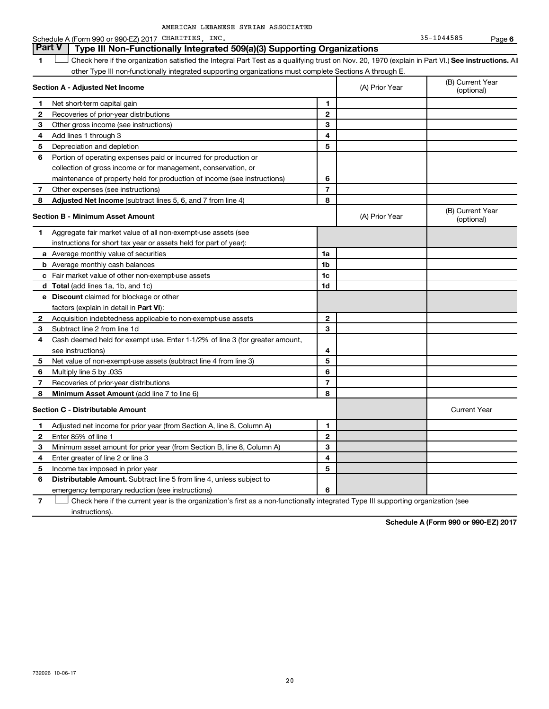Schedule A (Form 990 or 990-EZ) 2017 CHARITIES, INC. 35-1044585 Page **6** 

|    | <b>Part V</b><br>Type III Non-Functionally Integrated 509(a)(3) Supporting Organizations                                                           |                |                |                                |  |  |
|----|----------------------------------------------------------------------------------------------------------------------------------------------------|----------------|----------------|--------------------------------|--|--|
| 1  | Check here if the organization satisfied the Integral Part Test as a qualifying trust on Nov. 20, 1970 (explain in Part VI.) See instructions. All |                |                |                                |  |  |
|    | other Type III non-functionally integrated supporting organizations must complete Sections A through E.                                            |                |                |                                |  |  |
|    | Section A - Adjusted Net Income                                                                                                                    |                | (A) Prior Year | (B) Current Year<br>(optional) |  |  |
| 1. | Net short-term capital gain                                                                                                                        | 1              |                |                                |  |  |
| 2  | Recoveries of prior-year distributions                                                                                                             | $\mathbf{2}$   |                |                                |  |  |
| 3  | Other gross income (see instructions)                                                                                                              | 3              |                |                                |  |  |
| 4  | Add lines 1 through 3                                                                                                                              | 4              |                |                                |  |  |
| 5  | Depreciation and depletion                                                                                                                         | 5              |                |                                |  |  |
| 6  | Portion of operating expenses paid or incurred for production or                                                                                   |                |                |                                |  |  |
|    | collection of gross income or for management, conservation, or                                                                                     |                |                |                                |  |  |
|    | maintenance of property held for production of income (see instructions)                                                                           | 6              |                |                                |  |  |
| 7  | Other expenses (see instructions)                                                                                                                  | $\overline{7}$ |                |                                |  |  |
| 8  | Adjusted Net Income (subtract lines 5, 6, and 7 from line 4)                                                                                       | 8              |                |                                |  |  |
|    | <b>Section B - Minimum Asset Amount</b>                                                                                                            |                | (A) Prior Year | (B) Current Year<br>(optional) |  |  |
| 1. | Aggregate fair market value of all non-exempt-use assets (see                                                                                      |                |                |                                |  |  |
|    | instructions for short tax year or assets held for part of year):                                                                                  |                |                |                                |  |  |
|    | <b>a</b> Average monthly value of securities                                                                                                       | 1a             |                |                                |  |  |
|    | <b>b</b> Average monthly cash balances                                                                                                             | 1 <sub>b</sub> |                |                                |  |  |
|    | <b>c</b> Fair market value of other non-exempt-use assets                                                                                          | 1c             |                |                                |  |  |
|    | <b>d</b> Total (add lines 1a, 1b, and 1c)                                                                                                          | 1d             |                |                                |  |  |
|    | <b>e</b> Discount claimed for blockage or other                                                                                                    |                |                |                                |  |  |
|    | factors (explain in detail in Part VI):                                                                                                            |                |                |                                |  |  |
| 2  | Acquisition indebtedness applicable to non-exempt-use assets                                                                                       | $\mathbf{2}$   |                |                                |  |  |
| 3  | Subtract line 2 from line 1d                                                                                                                       | 3              |                |                                |  |  |
| 4  | Cash deemed held for exempt use. Enter 1-1/2% of line 3 (for greater amount,                                                                       |                |                |                                |  |  |
|    | see instructions)                                                                                                                                  | 4              |                |                                |  |  |
| 5  | Net value of non-exempt-use assets (subtract line 4 from line 3)                                                                                   | 5              |                |                                |  |  |
| 6  | Multiply line 5 by .035                                                                                                                            | 6              |                |                                |  |  |
| 7  | Recoveries of prior-year distributions                                                                                                             | $\overline{7}$ |                |                                |  |  |
| 8  | Minimum Asset Amount (add line 7 to line 6)                                                                                                        | 8              |                |                                |  |  |
|    | <b>Section C - Distributable Amount</b>                                                                                                            |                |                | <b>Current Year</b>            |  |  |
| 1  | Adjusted net income for prior year (from Section A, line 8, Column A)                                                                              | 1              |                |                                |  |  |
| 2  | Enter 85% of line 1                                                                                                                                | $\mathbf{2}$   |                |                                |  |  |
| З  | Minimum asset amount for prior year (from Section B, line 8, Column A)                                                                             | 3              |                |                                |  |  |
| 4  | Enter greater of line 2 or line 3                                                                                                                  | 4              |                |                                |  |  |
| 5  | Income tax imposed in prior year                                                                                                                   | 5              |                |                                |  |  |
| 6  | <b>Distributable Amount.</b> Subtract line 5 from line 4, unless subject to                                                                        |                |                |                                |  |  |
|    | emergency temporary reduction (see instructions)                                                                                                   | 6              |                |                                |  |  |
|    |                                                                                                                                                    |                |                |                                |  |  |

**7**  $\Box$  Check here if the current year is the organization's first as a non-functionally integrated Type III supporting organization (see instructions).

**Schedule A (Form 990 or 990-EZ) 2017**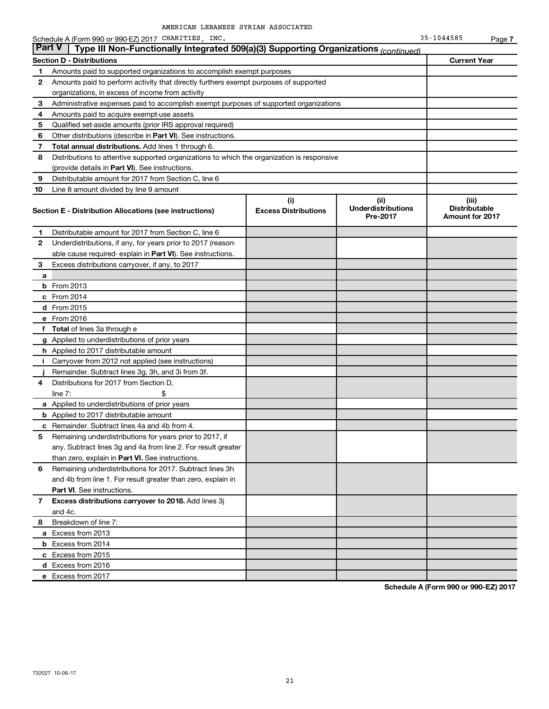Schedule A (Form 990 or 990-EZ) 2017 CHARITIES, INC.  $\overline{35-1044585}$  Page **7** 

|    | Part V<br>Type III Non-Functionally Integrated 509(a)(3) Supporting Organizations (continued) |                                    |                                               |                                                         |
|----|-----------------------------------------------------------------------------------------------|------------------------------------|-----------------------------------------------|---------------------------------------------------------|
|    | <b>Section D - Distributions</b>                                                              |                                    |                                               | <b>Current Year</b>                                     |
| 1  | Amounts paid to supported organizations to accomplish exempt purposes                         |                                    |                                               |                                                         |
| 2  | Amounts paid to perform activity that directly furthers exempt purposes of supported          |                                    |                                               |                                                         |
|    | organizations, in excess of income from activity                                              |                                    |                                               |                                                         |
| 3  | Administrative expenses paid to accomplish exempt purposes of supported organizations         |                                    |                                               |                                                         |
| 4  | Amounts paid to acquire exempt-use assets                                                     |                                    |                                               |                                                         |
| 5  | Qualified set-aside amounts (prior IRS approval required)                                     |                                    |                                               |                                                         |
| 6  | Other distributions (describe in <b>Part VI</b> ). See instructions.                          |                                    |                                               |                                                         |
| 7  | <b>Total annual distributions.</b> Add lines 1 through 6.                                     |                                    |                                               |                                                         |
| 8  | Distributions to attentive supported organizations to which the organization is responsive    |                                    |                                               |                                                         |
|    | (provide details in Part VI). See instructions.                                               |                                    |                                               |                                                         |
| 9  | Distributable amount for 2017 from Section C, line 6                                          |                                    |                                               |                                                         |
| 10 | Line 8 amount divided by line 9 amount                                                        |                                    |                                               |                                                         |
|    | Section E - Distribution Allocations (see instructions)                                       | (i)<br><b>Excess Distributions</b> | (ii)<br><b>Underdistributions</b><br>Pre-2017 | (iii)<br><b>Distributable</b><br><b>Amount for 2017</b> |
| 1. | Distributable amount for 2017 from Section C, line 6                                          |                                    |                                               |                                                         |
| 2  | Underdistributions, if any, for years prior to 2017 (reason-                                  |                                    |                                               |                                                         |
|    | able cause required- explain in <b>Part VI</b> ). See instructions.                           |                                    |                                               |                                                         |
| 3  | Excess distributions carryover, if any, to 2017                                               |                                    |                                               |                                                         |
| a  |                                                                                               |                                    |                                               |                                                         |
|    | <b>b</b> From 2013                                                                            |                                    |                                               |                                                         |
|    | $c$ From 2014                                                                                 |                                    |                                               |                                                         |
|    | d From 2015                                                                                   |                                    |                                               |                                                         |
|    | e From 2016                                                                                   |                                    |                                               |                                                         |
| f. | <b>Total</b> of lines 3a through e                                                            |                                    |                                               |                                                         |
|    | g Applied to underdistributions of prior years                                                |                                    |                                               |                                                         |
|    | <b>h</b> Applied to 2017 distributable amount                                                 |                                    |                                               |                                                         |
| Ť. | Carryover from 2012 not applied (see instructions)                                            |                                    |                                               |                                                         |
|    |                                                                                               |                                    |                                               |                                                         |
|    | Remainder. Subtract lines 3g, 3h, and 3i from 3f.                                             |                                    |                                               |                                                         |
| 4  | Distributions for 2017 from Section D,<br>line $7:$                                           |                                    |                                               |                                                         |
|    | a Applied to underdistributions of prior years                                                |                                    |                                               |                                                         |
|    | <b>b</b> Applied to 2017 distributable amount                                                 |                                    |                                               |                                                         |
|    | c Remainder. Subtract lines 4a and 4b from 4.                                                 |                                    |                                               |                                                         |
| 5  | Remaining underdistributions for years prior to 2017, if                                      |                                    |                                               |                                                         |
|    | any. Subtract lines 3g and 4a from line 2. For result greater                                 |                                    |                                               |                                                         |
|    | than zero, explain in Part VI. See instructions.                                              |                                    |                                               |                                                         |
| 6  | Remaining underdistributions for 2017. Subtract lines 3h                                      |                                    |                                               |                                                         |
|    | and 4b from line 1. For result greater than zero, explain in                                  |                                    |                                               |                                                         |
|    | <b>Part VI.</b> See instructions.                                                             |                                    |                                               |                                                         |
| 7  | Excess distributions carryover to 2018. Add lines 3j                                          |                                    |                                               |                                                         |
|    | and 4c.                                                                                       |                                    |                                               |                                                         |
| 8. | Breakdown of line 7:                                                                          |                                    |                                               |                                                         |
|    | a Excess from 2013                                                                            |                                    |                                               |                                                         |
|    | <b>b</b> Excess from 2014                                                                     |                                    |                                               |                                                         |
|    | c Excess from 2015                                                                            |                                    |                                               |                                                         |
|    | d Excess from 2016                                                                            |                                    |                                               |                                                         |

**Schedule A (Form 990 or 990-EZ) 2017**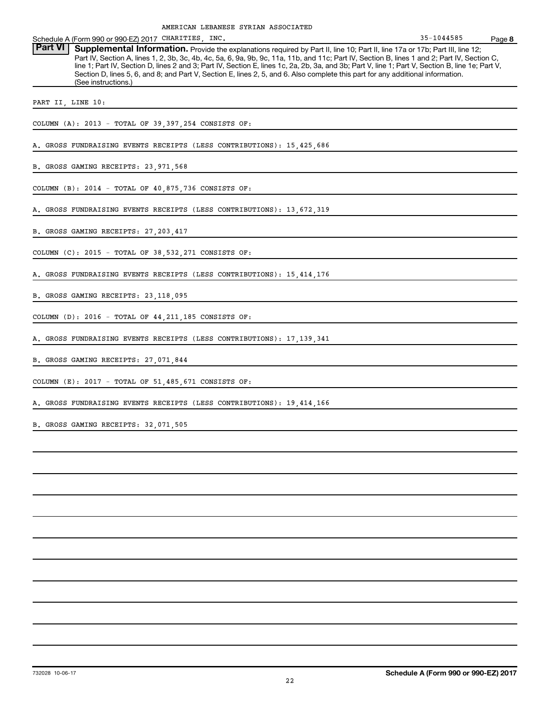| 35-1044585 | Page 8                                                                                                                                                                                                                                                                                                                                                                                                                                                                                                                                                               |
|------------|----------------------------------------------------------------------------------------------------------------------------------------------------------------------------------------------------------------------------------------------------------------------------------------------------------------------------------------------------------------------------------------------------------------------------------------------------------------------------------------------------------------------------------------------------------------------|
|            |                                                                                                                                                                                                                                                                                                                                                                                                                                                                                                                                                                      |
|            |                                                                                                                                                                                                                                                                                                                                                                                                                                                                                                                                                                      |
|            |                                                                                                                                                                                                                                                                                                                                                                                                                                                                                                                                                                      |
|            |                                                                                                                                                                                                                                                                                                                                                                                                                                                                                                                                                                      |
|            |                                                                                                                                                                                                                                                                                                                                                                                                                                                                                                                                                                      |
|            |                                                                                                                                                                                                                                                                                                                                                                                                                                                                                                                                                                      |
|            |                                                                                                                                                                                                                                                                                                                                                                                                                                                                                                                                                                      |
|            |                                                                                                                                                                                                                                                                                                                                                                                                                                                                                                                                                                      |
|            |                                                                                                                                                                                                                                                                                                                                                                                                                                                                                                                                                                      |
|            |                                                                                                                                                                                                                                                                                                                                                                                                                                                                                                                                                                      |
|            |                                                                                                                                                                                                                                                                                                                                                                                                                                                                                                                                                                      |
|            |                                                                                                                                                                                                                                                                                                                                                                                                                                                                                                                                                                      |
|            |                                                                                                                                                                                                                                                                                                                                                                                                                                                                                                                                                                      |
|            |                                                                                                                                                                                                                                                                                                                                                                                                                                                                                                                                                                      |
|            |                                                                                                                                                                                                                                                                                                                                                                                                                                                                                                                                                                      |
|            |                                                                                                                                                                                                                                                                                                                                                                                                                                                                                                                                                                      |
|            |                                                                                                                                                                                                                                                                                                                                                                                                                                                                                                                                                                      |
|            |                                                                                                                                                                                                                                                                                                                                                                                                                                                                                                                                                                      |
|            |                                                                                                                                                                                                                                                                                                                                                                                                                                                                                                                                                                      |
|            |                                                                                                                                                                                                                                                                                                                                                                                                                                                                                                                                                                      |
|            |                                                                                                                                                                                                                                                                                                                                                                                                                                                                                                                                                                      |
|            |                                                                                                                                                                                                                                                                                                                                                                                                                                                                                                                                                                      |
|            |                                                                                                                                                                                                                                                                                                                                                                                                                                                                                                                                                                      |
|            |                                                                                                                                                                                                                                                                                                                                                                                                                                                                                                                                                                      |
|            |                                                                                                                                                                                                                                                                                                                                                                                                                                                                                                                                                                      |
|            | Supplemental Information. Provide the explanations required by Part II, line 10; Part II, line 17a or 17b; Part III, line 12;<br>Part IV, Section A, lines 1, 2, 3b, 3c, 4b, 4c, 5a, 6, 9a, 9b, 9c, 11a, 11b, and 11c; Part IV, Section B, lines 1 and 2; Part IV, Section C,<br>line 1; Part IV, Section D, lines 2 and 3; Part IV, Section E, lines 1c, 2a, 2b, 3a, and 3b; Part V, line 1; Part V, Section B, line 1e; Part V,<br>Section D, lines 5, 6, and 8; and Part V, Section E, lines 2, 5, and 6. Also complete this part for any additional information. |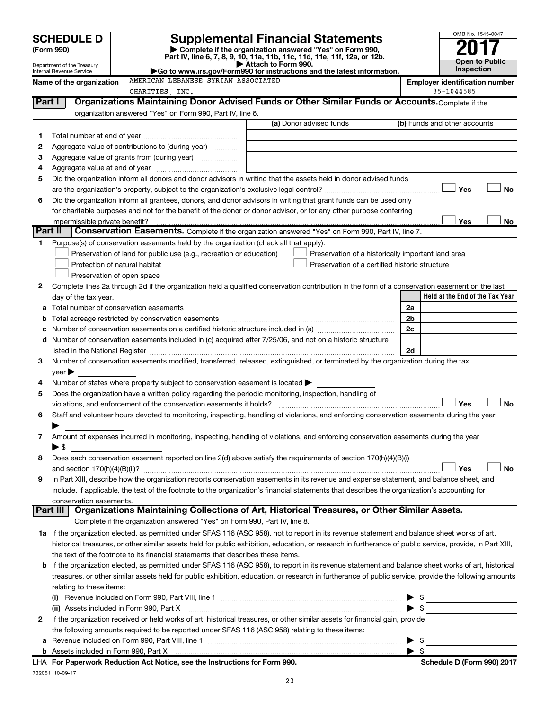| SCHEDULE D |
|------------|
|------------|

| (Form 990) |  |
|------------|--|
|------------|--|

SCHEDULE D<br>
Form 990)<br>
Penartment of the Treasury<br>
Department of the Treasury<br>
Department of the Treasury<br>
Department of the Treasury<br>
Department of the Treasury<br>  $\bullet$  Go to www.irs.gov/Form990 for instructions and the la

| nternal Revenue Service |  |
|-------------------------|--|

**Name of the organization AMERICAN LEBANESE SYRIAN ASSOCIATED Employer identification number**<br>CHARTTIES INC 35-1044585

|         | CHARITIES . INC.                                                                                                                                          |                         | 35-1044585                                         |
|---------|-----------------------------------------------------------------------------------------------------------------------------------------------------------|-------------------------|----------------------------------------------------|
| Part I  | Organizations Maintaining Donor Advised Funds or Other Similar Funds or Accounts. Complete if the                                                         |                         |                                                    |
|         | organization answered "Yes" on Form 990, Part IV, line 6.                                                                                                 |                         |                                                    |
|         |                                                                                                                                                           | (a) Donor advised funds | (b) Funds and other accounts                       |
| 1.      |                                                                                                                                                           |                         |                                                    |
| 2       | Aggregate value of contributions to (during year)                                                                                                         |                         |                                                    |
| З       | Aggregate value of grants from (during year)                                                                                                              |                         |                                                    |
| 4       |                                                                                                                                                           |                         |                                                    |
| 5       | Did the organization inform all donors and donor advisors in writing that the assets held in donor advised funds                                          |                         |                                                    |
|         |                                                                                                                                                           |                         | Yes<br><b>No</b>                                   |
| 6       | Did the organization inform all grantees, donors, and donor advisors in writing that grant funds can be used only                                         |                         |                                                    |
|         | for charitable purposes and not for the benefit of the donor or donor advisor, or for any other purpose conferring                                        |                         |                                                    |
|         |                                                                                                                                                           |                         | Yes<br>No                                          |
| Part II | Conservation Easements. Complete if the organization answered "Yes" on Form 990, Part IV, line 7.                                                         |                         |                                                    |
|         | Purpose(s) of conservation easements held by the organization (check all that apply).                                                                     |                         |                                                    |
|         |                                                                                                                                                           |                         |                                                    |
|         | Preservation of land for public use (e.g., recreation or education)                                                                                       |                         | Preservation of a historically important land area |
|         | Protection of natural habitat                                                                                                                             |                         | Preservation of a certified historic structure     |
|         | Preservation of open space                                                                                                                                |                         |                                                    |
| 2       | Complete lines 2a through 2d if the organization held a qualified conservation contribution in the form of a conservation easement on the last            |                         |                                                    |
|         | day of the tax year.                                                                                                                                      |                         | Held at the End of the Tax Year                    |
| а       |                                                                                                                                                           |                         | 2a                                                 |
|         |                                                                                                                                                           |                         | 2 <sub>b</sub>                                     |
|         |                                                                                                                                                           |                         | 2c                                                 |
| d       | Number of conservation easements included in (c) acquired after 7/25/06, and not on a historic structure                                                  |                         |                                                    |
|         |                                                                                                                                                           |                         | 2d                                                 |
| 3       | Number of conservation easements modified, transferred, released, extinguished, or terminated by the organization during the tax                          |                         |                                                    |
|         | year                                                                                                                                                      |                         |                                                    |
| 4       | Number of states where property subject to conservation easement is located >                                                                             |                         |                                                    |
| 5       | Does the organization have a written policy regarding the periodic monitoring, inspection, handling of                                                    |                         |                                                    |
|         | violations, and enforcement of the conservation easements it holds?                                                                                       |                         | Yes<br>No                                          |
| 6       | Staff and volunteer hours devoted to monitoring, inspecting, handling of violations, and enforcing conservation easements during the year                 |                         |                                                    |
|         |                                                                                                                                                           |                         |                                                    |
| 7       | Amount of expenses incurred in monitoring, inspecting, handling of violations, and enforcing conservation easements during the year                       |                         |                                                    |
|         | $\blacktriangleright$ \$                                                                                                                                  |                         |                                                    |
| 8       | Does each conservation easement reported on line 2(d) above satisfy the requirements of section 170(h)(4)(B)(i)                                           |                         |                                                    |
|         |                                                                                                                                                           |                         | No<br>Yes                                          |
| 9       | In Part XIII, describe how the organization reports conservation easements in its revenue and expense statement, and balance sheet, and                   |                         |                                                    |
|         | include, if applicable, the text of the footnote to the organization's financial statements that describes the organization's accounting for              |                         |                                                    |
|         | conservation easements.                                                                                                                                   |                         |                                                    |
|         | Organizations Maintaining Collections of Art, Historical Treasures, or Other Similar Assets.<br>Part III                                                  |                         |                                                    |
|         | Complete if the organization answered "Yes" on Form 990, Part IV, line 8.                                                                                 |                         |                                                    |
|         | 1a If the organization elected, as permitted under SFAS 116 (ASC 958), not to report in its revenue statement and balance sheet works of art,             |                         |                                                    |
|         | historical treasures, or other similar assets held for public exhibition, education, or research in furtherance of public service, provide, in Part XIII, |                         |                                                    |
|         | the text of the footnote to its financial statements that describes these items.                                                                          |                         |                                                    |
| b       | If the organization elected, as permitted under SFAS 116 (ASC 958), to report in its revenue statement and balance sheet works of art, historical         |                         |                                                    |
|         | treasures, or other similar assets held for public exhibition, education, or research in furtherance of public service, provide the following amounts     |                         |                                                    |
|         | relating to these items:                                                                                                                                  |                         |                                                    |
|         |                                                                                                                                                           |                         | $\frac{1}{2}$<br>▶                                 |
|         | (ii) Assets included in Form 990, Part X                                                                                                                  |                         | $\blacktriangleright$ \$                           |
| 2       | If the organization received or held works of art, historical treasures, or other similar assets for financial gain, provide                              |                         |                                                    |
|         | the following amounts required to be reported under SFAS 116 (ASC 958) relating to these items:                                                           |                         |                                                    |
|         |                                                                                                                                                           |                         | - \$                                               |
| а       |                                                                                                                                                           |                         | ▶                                                  |
|         |                                                                                                                                                           |                         |                                                    |

LHA **For Paperwork Reduction Act Notice, see the Instructions for Form 990. Schedule D (Form 990) 2017** 732051 10-09-17

23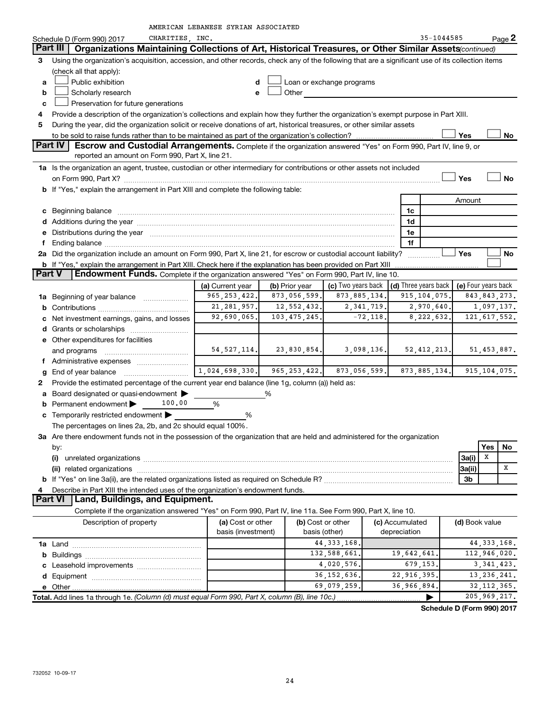|  | AMERICAN LEBANESE SYRIAN ASSOCIATED |
|--|-------------------------------------|
|  |                                     |

|   | CHARITIES, INC.<br>Schedule D (Form 990) 2017                                                                                                     |                    |                |                           |              |                      | 35-1044585 |                | Page 2              |
|---|---------------------------------------------------------------------------------------------------------------------------------------------------|--------------------|----------------|---------------------------|--------------|----------------------|------------|----------------|---------------------|
|   | Part III<br>Organizations Maintaining Collections of Art, Historical Treasures, or Other Similar Assets (continued)                               |                    |                |                           |              |                      |            |                |                     |
| 3 | Using the organization's acquisition, accession, and other records, check any of the following that are a significant use of its collection items |                    |                |                           |              |                      |            |                |                     |
|   | (check all that apply):                                                                                                                           |                    |                |                           |              |                      |            |                |                     |
| a | Public exhibition                                                                                                                                 | d                  |                | Loan or exchange programs |              |                      |            |                |                     |
| b | Scholarly research                                                                                                                                | e                  | Other          |                           |              |                      |            |                |                     |
| c | Preservation for future generations                                                                                                               |                    |                |                           |              |                      |            |                |                     |
| 4 | Provide a description of the organization's collections and explain how they further the organization's exempt purpose in Part XIII.              |                    |                |                           |              |                      |            |                |                     |
| 5 | During the year, did the organization solicit or receive donations of art, historical treasures, or other similar assets                          |                    |                |                           |              |                      |            |                |                     |
|   |                                                                                                                                                   |                    |                |                           |              |                      |            | <b>Yes</b>     | No                  |
|   | Part IV<br>Escrow and Custodial Arrangements. Complete if the organization answered "Yes" on Form 990, Part IV, line 9, or                        |                    |                |                           |              |                      |            |                |                     |
|   | reported an amount on Form 990, Part X, line 21.                                                                                                  |                    |                |                           |              |                      |            |                |                     |
|   | 1a Is the organization an agent, trustee, custodian or other intermediary for contributions or other assets not included                          |                    |                |                           |              |                      |            |                |                     |
|   |                                                                                                                                                   |                    |                |                           |              |                      |            | Yes            | No                  |
|   | <b>b</b> If "Yes," explain the arrangement in Part XIII and complete the following table:                                                         |                    |                |                           |              |                      |            |                |                     |
|   |                                                                                                                                                   |                    |                |                           |              |                      |            | Amount         |                     |
|   |                                                                                                                                                   |                    |                |                           |              | 1c                   |            |                |                     |
|   |                                                                                                                                                   |                    |                |                           |              | 1d                   |            |                |                     |
|   | e Distributions during the year manufactured and all the year manufactured and the year manufactured and the year                                 |                    |                |                           |              | 1e                   |            |                |                     |
|   |                                                                                                                                                   |                    | 1f             |                           |              |                      |            |                |                     |
|   | 2a Did the organization include an amount on Form 990, Part X, line 21, for escrow or custodial account liability?                                |                    |                |                           |              |                      |            | Yes            | No                  |
|   | <b>b</b> If "Yes," explain the arrangement in Part XIII. Check here if the explanation has been provided on Part XIII                             |                    |                |                           |              |                      |            |                |                     |
|   | Part V<br>Endowment Funds. Complete if the organization answered "Yes" on Form 990, Part IV, line 10.                                             |                    |                |                           |              |                      |            |                |                     |
|   |                                                                                                                                                   | (a) Current year   | (b) Prior year | (c) Two years back        |              | (d) Three years back |            |                | (e) Four years back |
|   | 1a Beginning of year balance                                                                                                                      | 965, 253, 422.     | 873,056,599.   | 873, 885, 134.            |              | 915, 104, 075.       |            |                | 843, 843, 273.      |
|   |                                                                                                                                                   | 21, 281, 957.      | 12,552,432.    |                           | 2, 341, 719. | 2,970,640.           |            |                | 1,097,137.          |
|   | c Net investment earnings, gains, and losses                                                                                                      | 92,690,065.        | 103, 475, 245. |                           | $-72,118.$   | 8,222,632.           |            |                | 121, 617, 552.      |
|   |                                                                                                                                                   |                    |                |                           |              |                      |            |                |                     |
|   | e Other expenditures for facilities                                                                                                               |                    |                |                           |              |                      |            |                |                     |
|   | and programs                                                                                                                                      | 54, 527, 114.      | 23,830,854.    |                           | 3,098,136.   | 52, 412, 213.        |            |                | 51,453,887.         |
|   |                                                                                                                                                   |                    |                |                           |              |                      |            |                |                     |
|   |                                                                                                                                                   | 1,024,698,330.     | 965, 253, 422. | 873,056,599.              |              | 873, 885, 134.       |            |                | 915, 104, 075.      |
| 2 | Provide the estimated percentage of the current year end balance (line 1g, column (a)) held as:                                                   |                    |                |                           |              |                      |            |                |                     |
| a | Board designated or quasi-endowment                                                                                                               |                    | %              |                           |              |                      |            |                |                     |
| b | Permanent endowment ><br>100.00                                                                                                                   | %                  |                |                           |              |                      |            |                |                     |
|   | c Temporarily restricted endowment                                                                                                                | %                  |                |                           |              |                      |            |                |                     |
|   | The percentages on lines 2a, 2b, and 2c should equal 100%.                                                                                        |                    |                |                           |              |                      |            |                |                     |
|   | 3a Are there endowment funds not in the possession of the organization that are held and administered for the organization                        |                    |                |                           |              |                      |            |                |                     |
|   | by:                                                                                                                                               |                    |                |                           |              |                      |            |                | Yes<br>No           |
|   |                                                                                                                                                   |                    |                |                           |              |                      |            | 3a(i)          | Х                   |
|   |                                                                                                                                                   |                    |                |                           |              |                      |            | 3a(ii)         | x                   |
|   |                                                                                                                                                   |                    |                |                           |              |                      |            | 3b             |                     |
| 4 | Describe in Part XIII the intended uses of the organization's endowment funds.                                                                    |                    |                |                           |              |                      |            |                |                     |
|   | Part VI   Land, Buildings, and Equipment.                                                                                                         |                    |                |                           |              |                      |            |                |                     |
|   | Complete if the organization answered "Yes" on Form 990, Part IV, line 11a. See Form 990, Part X, line 10.                                        |                    |                |                           |              |                      |            |                |                     |
|   | Description of property                                                                                                                           | (a) Cost or other  |                | (b) Cost or other         |              | (c) Accumulated      |            | (d) Book value |                     |
|   |                                                                                                                                                   | basis (investment) |                | basis (other)             |              | depreciation         |            |                |                     |
|   |                                                                                                                                                   |                    |                | 44, 333, 168.             |              |                      |            |                | 44, 333, 168.       |
|   |                                                                                                                                                   |                    |                | 132,588,661.              |              | 19,642,641.          |            |                | 112,946,020.        |
|   |                                                                                                                                                   |                    |                | 4,020,576.                |              | 679,153.             |            |                | 3, 341, 423.        |
|   |                                                                                                                                                   |                    |                | 36, 152, 636.             |              | 22, 916, 395.        |            |                | 13, 236, 241.       |
|   |                                                                                                                                                   |                    |                | 69,079,259.               |              | 36,966,894.          |            |                | 32, 112, 365.       |

Total. Add lines 1a through 1e. *(Column (d) must equal Form 990, Part X, column (B), line 10c.*) **| 205, 205, 1069,217.** 205,969,217.

**Schedule D (Form 990) 2017**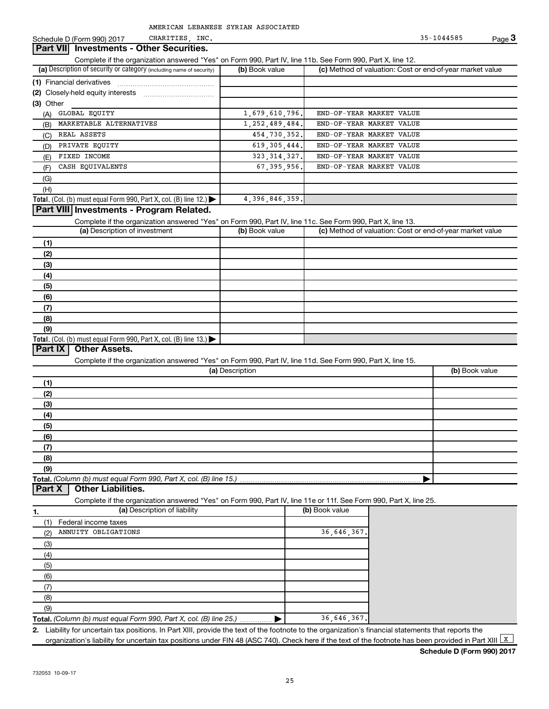## Schedule D (Form 990) 2017 CHARITIES, INC. 35-1044585 Page **3 Part VII** Investments - Other Securities. Complete if the organization answered "Yes" on Form 990, Part IV, line 11b. See Form 990, Part X, line 12. **(a)** Description of security or category (including name of security) **(b)** Book value **(c)** Method of valuation: Cost or end-of-year market value **(1)** Financial derivatives  $\ldots$   $\ldots$   $\ldots$   $\ldots$   $\ldots$   $\ldots$   $\ldots$   $\ldots$   $\ldots$ **(2)** Closely-held equity interests ~~~~~~~~~~~ **(3)** Other (A) GLOBAL EQUITY 1,679,610,796. END-OF-YEAR MARKET VALUE (B) MARKETABLE ALTERNATIVES 1,252,489,484. END-OF-YEAR MARKET VALUE (C) REAL ASSETS 454,730,352. END-OF-YEAR MARKET VALUE (D) PRIVATE EQUITY 619,305,444. END-OF-YEAR MARKET VALUE (E) FIXED INCOME 323,314,327. END-OF-YEAR MARKET VALUE (F) CASH EQUIVALENTS 67,395,956. END-OF-YEAR MARKET VALUE (G) (H) **Total.** (Col. (b) must equal Form 990, Part X, col. (B) line 12.) | 4,396,846,359. **Part VIII Investments - Program Related.** Complete if the organization answered "Yes" on Form 990, Part IV, line 11c. See Form 990, Part X, line 13. **(a)** Description of investment **(b)** Book value **(c)** Method of valuation: Cost or end-of-year market value **(1) (2) (3) (4) (5) (6) (7) (8) (9) Total.** (Col. (b) must equal Form 990, Part X, col. (B) line 13.) **Part IX Other Assets.** Complete if the organization answered "Yes" on Form 990, Part IV, line 11d. See Form 990, Part X, line 15. **(a)** Description **(b)** Book value **(1) (2) (3) (4) (5) (6) (7) (8) (9) Total.** *(Column (b) must equal Form 990, Part X, col. (B) line 15.)* | **Part X | Other Liabilities.** Complete if the organization answered "Yes" on Form 990, Part IV, line 11e or 11f. See Form 990, Part X, line 25. **1. 1. (a)** Description of liability **1. 1. 1. (b)** Book value (1) Federal income taxes (2) ANNUITY OBLIGATIONS 36,646,367. (3) (4) (5) (6) (7) (8) (9) **Total.** *(Column (b) must equal Form 990, Part X, col. (B) line 25.) ..............*  $\blacktriangleright$  | 36,646,367. **2.** Liability for uncertain tax positions. In Part XIII, provide the text of the footnote to the organization's financial statements that reports the organization's liability for uncertain tax positions under FIN 48 (ASC 740). Check here if the text of the footnote has been provided in Part XIII  $\frac{X}{X}$

**Schedule D (Form 990) 2017**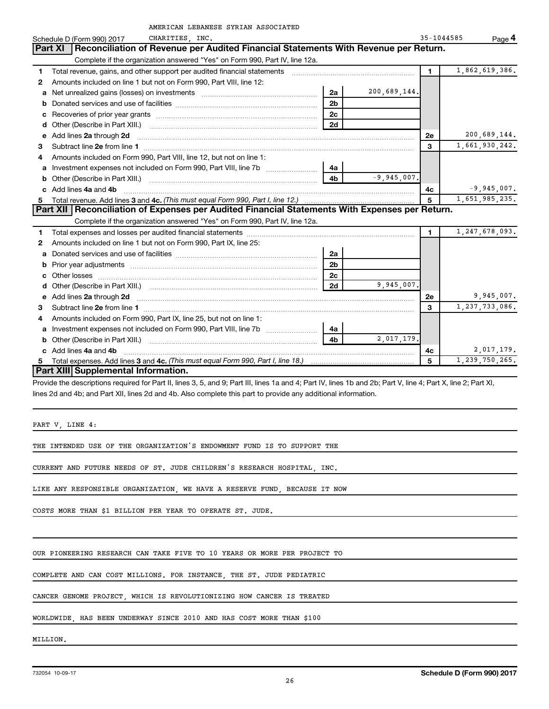|                                                                                                                                                                                                                                          | AMERICAN LEBANESE SYRIAN ASSOCIATED |                | 35-1044585     |                   |
|------------------------------------------------------------------------------------------------------------------------------------------------------------------------------------------------------------------------------------------|-------------------------------------|----------------|----------------|-------------------|
| CHARITIES INC.<br>Schedule D (Form 990) 2017<br>Reconciliation of Revenue per Audited Financial Statements With Revenue per Return.<br>Part XI                                                                                           |                                     |                |                | Page 4            |
| Complete if the organization answered "Yes" on Form 990, Part IV, line 12a.                                                                                                                                                              |                                     |                |                |                   |
| Total revenue, gains, and other support per audited financial statements [[[[[[[[[[[[[[[[[[[[[[[]]]]]]]]]]]]]<br>1                                                                                                                       |                                     |                | $\mathbf{1}$   | 1,862,619,386.    |
| Amounts included on line 1 but not on Form 990, Part VIII, line 12:<br>2                                                                                                                                                                 |                                     |                |                |                   |
|                                                                                                                                                                                                                                          | 2a                                  | 200,689,144.   |                |                   |
| a                                                                                                                                                                                                                                        | 2 <sub>b</sub>                      |                |                |                   |
| b                                                                                                                                                                                                                                        | 2c                                  |                |                |                   |
| с                                                                                                                                                                                                                                        | 2d                                  |                |                |                   |
| d                                                                                                                                                                                                                                        |                                     |                |                | 200,689,144.      |
| Add lines 2a through 2d<br>e                                                                                                                                                                                                             |                                     |                | <b>2e</b><br>3 |                   |
| Subtract line 2e from line 1 <b>manufacture in the contract of the 2e</b> from line 1<br>з                                                                                                                                               |                                     |                |                | 1,661,930,242.    |
| Amounts included on Form 990, Part VIII, line 12, but not on line 1:<br>4                                                                                                                                                                |                                     |                |                |                   |
| Investment expenses not included on Form 990, Part VIII, line 7b<br>a                                                                                                                                                                    | 4a                                  |                |                |                   |
| Other (Describe in Part XIII.) <b>2000</b> 2000 2010 2010 2010 2010 2011 2012 2013 2014 2015 2016 2017 2018 2019 201<br>b                                                                                                                | 4 <sub>b</sub>                      | $-9.945.007$ . |                |                   |
| Add lines 4a and 4b<br>$\mathbf{c}$                                                                                                                                                                                                      |                                     |                | 4с             | $-9,945,007.$     |
| 5                                                                                                                                                                                                                                        |                                     |                | 5              | 1,651,985,235.    |
| Part XII   Reconciliation of Expenses per Audited Financial Statements With Expenses per Return.<br>Complete if the organization answered "Yes" on Form 990, Part IV, line 12a.                                                          |                                     |                |                |                   |
|                                                                                                                                                                                                                                          |                                     |                |                |                   |
|                                                                                                                                                                                                                                          |                                     |                |                |                   |
|                                                                                                                                                                                                                                          |                                     |                | $\blacksquare$ | 1, 247, 678, 093. |
| Amounts included on line 1 but not on Form 990, Part IX, line 25:<br>2                                                                                                                                                                   |                                     |                |                |                   |
| а                                                                                                                                                                                                                                        | 2a                                  |                |                |                   |
| Prior year adjustments [111] Prior year adjustments [11] Masseum Masseum Masseum Masseum Masseum Masseum Mass                                                                                                                            | 2 <sub>b</sub>                      |                |                |                   |
|                                                                                                                                                                                                                                          | 2 <sub>c</sub>                      |                |                |                   |
| Other (Describe in Part XIII.) (COLORGIAL COMMODIAL CONTROL)<br>d                                                                                                                                                                        | 2d                                  | 9,945,007.     |                |                   |
| Add lines 2a through 2d <b>contained a contained a contained a contained a</b> contained a contact the set of the set of the set of the set of the set of the set of the set of the set of the set of the set of the set of the set<br>e |                                     |                | 2е             | 9,945,007.        |
| 3                                                                                                                                                                                                                                        |                                     |                | 3              | 1,237,733,086.    |
| Amounts included on Form 990, Part IX, line 25, but not on line 1:<br>4                                                                                                                                                                  |                                     |                |                |                   |
| Investment expenses not included on Form 990, Part VIII, line 7b<br>a                                                                                                                                                                    | 4a                                  |                |                |                   |
| b<br>c Add lines 4a and 4b                                                                                                                                                                                                               | 4 <sub>b</sub>                      | 2,017,179.     | 4c             | 2,017,179.        |

**Part XIII Supplemental Information.** 

Provide the descriptions required for Part II, lines 3, 5, and 9; Part III, lines 1a and 4; Part IV, lines 1b and 2b; Part V, line 4; Part X, line 2; Part XI, lines 2d and 4b; and Part XII, lines 2d and 4b. Also complete this part to provide any additional information.

PART V, LINE 4:

THE INTENDED USE OF THE ORGANIZATION'S ENDOWMENT FUND IS TO SUPPORT THE

CURRENT AND FUTURE NEEDS OF ST. JUDE CHILDREN'S RESEARCH HOSPITAL, INC.

LIKE ANY RESPONSIBLE ORGANIZATION, WE HAVE A RESERVE FUND, BECAUSE IT NOW

COSTS MORE THAN \$1 BILLION PER YEAR TO OPERATE ST. JUDE.

OUR PIONEERING RESEARCH CAN TAKE FIVE TO 10 YEARS OR MORE PER PROJECT TO

COMPLETE AND CAN COST MILLIONS. FOR INSTANCE, THE ST. JUDE PEDIATRIC

CANCER GENOME PROJECT, WHICH IS REVOLUTIONIZING HOW CANCER IS TREATED

WORLDWIDE, HAS BEEN UNDERWAY SINCE 2010 AND HAS COST MORE THAN \$100

MILLION.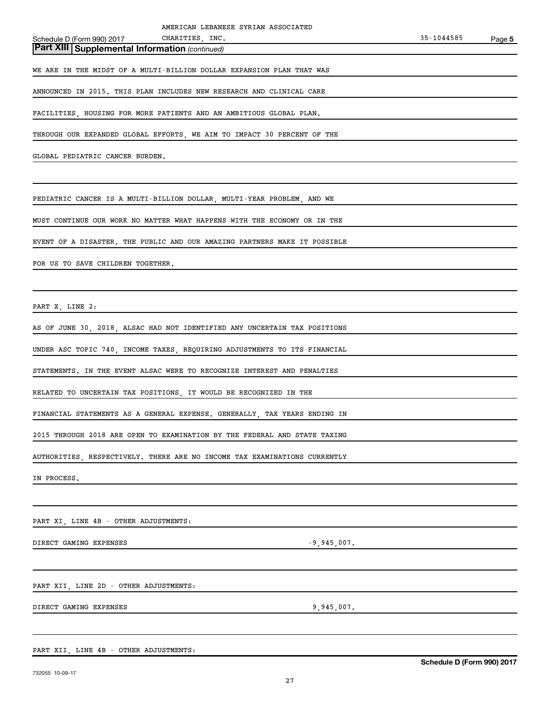**Part XIII Supplemental Information** *(continued)*

WE ARE IN THE MIDST OF A MULTI-BILLION DOLLAR EXPANSION PLAN THAT WAS

ANNOUNCED IN 2015. THIS PLAN INCLUDES NEW RESEARCH AND CLINICAL CARE

FACILITIES, HOUSING FOR MORE PATIENTS AND AN AMBITIOUS GLOBAL PLAN.

THROUGH OUR EXPANDED GLOBAL EFFORTS, WE AIM TO IMPACT 30 PERCENT OF THE

GLOBAL PEDIATRIC CANCER BURDEN.

PEDIATRIC CANCER IS A MULTI-BILLION DOLLAR, MULTI-YEAR PROBLEM, AND WE

MUST CONTINUE OUR WORK NO MATTER WHAT HAPPENS WITH THE ECONOMY OR IN THE

EVENT OF A DISASTER. THE PUBLIC AND OUR AMAZING PARTNERS MAKE IT POSSIBLE

FOR US TO SAVE CHILDREN TOGETHER.

PART X, LINE 2:

AS OF JUNE 30, 2018, ALSAC HAD NOT IDENTIFIED ANY UNCERTAIN TAX POSITIONS

UNDER ASC TOPIC 740, INCOME TAXES, REQUIRING ADJUSTMENTS TO ITS FINANCIAL

STATEMENTS. IN THE EVENT ALSAC WERE TO RECOGNIZE INTEREST AND PENALTIES

RELATED TO UNCERTAIN TAX POSITIONS, IT WOULD BE RECOGNIZED IN THE

FINANCIAL STATEMENTS AS A GENERAL EXPENSE. GENERALLY, TAX YEARS ENDING IN

2015 THROUGH 2018 ARE OPEN TO EXAMINATION BY THE FEDERAL AND STATE TAXING

AUTHORITIES, RESPECTIVELY. THERE ARE NO INCOME TAX EXAMINATIONS CURRENTLY

IN PROCESS.

PART XI, LINE 4B - OTHER ADJUSTMENTS:

DIRECT GAMING EXPENSES  $-9,945,007$ .

PART XII, LINE 2D - OTHER ADJUSTMENTS:

DIRECT GAMING EXPENSES 9,945,007.

PART XII, LINE 4B - OTHER ADJUSTMENTS: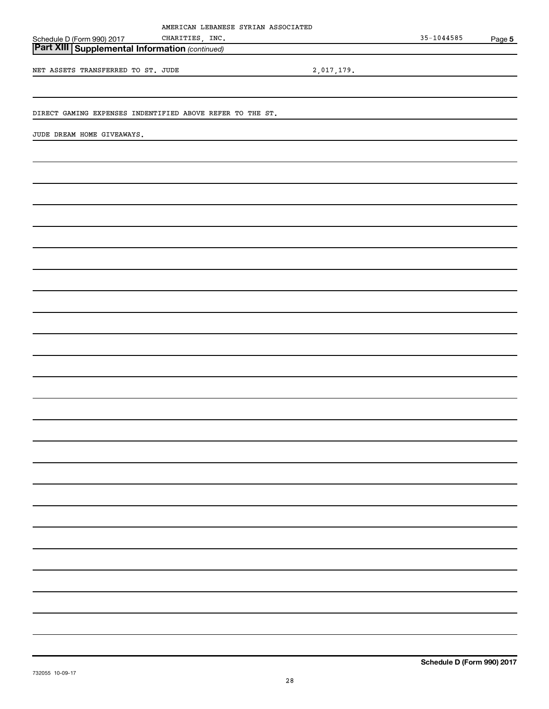|                                                           | AMERICAN LEBANESE SYRIAN ASSOCIATED |            |                |        |
|-----------------------------------------------------------|-------------------------------------|------------|----------------|--------|
| Schedule D (Form 990) 2017                                | CHARITIES, INC.                     |            | $35 - 1044585$ | Page 5 |
| <b>Part XIII Supplemental Information (continued)</b>     |                                     |            |                |        |
|                                                           |                                     |            |                |        |
| NET ASSETS TRANSFERRED TO ST. JUDE                        |                                     | 2,017,179. |                |        |
|                                                           |                                     |            |                |        |
|                                                           |                                     |            |                |        |
| DIRECT GAMING EXPENSES INDENTIFIED ABOVE REFER TO THE ST. |                                     |            |                |        |
|                                                           |                                     |            |                |        |
| JUDE DREAM HOME GIVEAWAYS.                                |                                     |            |                |        |
|                                                           |                                     |            |                |        |
|                                                           |                                     |            |                |        |
|                                                           |                                     |            |                |        |
|                                                           |                                     |            |                |        |
|                                                           |                                     |            |                |        |
|                                                           |                                     |            |                |        |
|                                                           |                                     |            |                |        |
|                                                           |                                     |            |                |        |
|                                                           |                                     |            |                |        |
|                                                           |                                     |            |                |        |
|                                                           |                                     |            |                |        |
|                                                           |                                     |            |                |        |
|                                                           |                                     |            |                |        |
|                                                           |                                     |            |                |        |
|                                                           |                                     |            |                |        |
|                                                           |                                     |            |                |        |
|                                                           |                                     |            |                |        |
|                                                           |                                     |            |                |        |
|                                                           |                                     |            |                |        |
|                                                           |                                     |            |                |        |
|                                                           |                                     |            |                |        |
|                                                           |                                     |            |                |        |
|                                                           |                                     |            |                |        |
|                                                           |                                     |            |                |        |
|                                                           |                                     |            |                |        |
|                                                           |                                     |            |                |        |
|                                                           |                                     |            |                |        |
|                                                           |                                     |            |                |        |
|                                                           |                                     |            |                |        |
|                                                           |                                     |            |                |        |
|                                                           |                                     |            |                |        |
|                                                           |                                     |            |                |        |
|                                                           |                                     |            |                |        |
|                                                           |                                     |            |                |        |
|                                                           |                                     |            |                |        |
|                                                           |                                     |            |                |        |
|                                                           |                                     |            |                |        |
|                                                           |                                     |            |                |        |
|                                                           |                                     |            |                |        |
|                                                           |                                     |            |                |        |
|                                                           |                                     |            |                |        |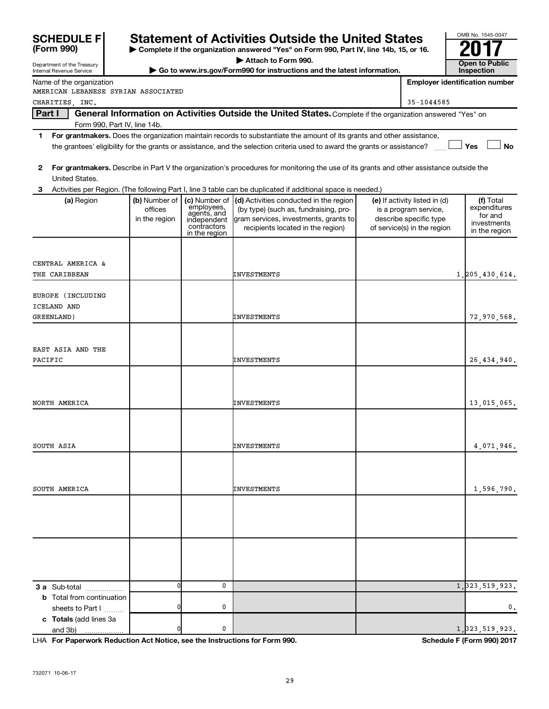| <b>SCHEDULE FI</b>                     |                          |                             | <b>Statement of Activities Outside the United States</b>                                                                                |                                                        | OMB No. 1545-0047                     |
|----------------------------------------|--------------------------|-----------------------------|-----------------------------------------------------------------------------------------------------------------------------------------|--------------------------------------------------------|---------------------------------------|
| (Form 990)                             |                          |                             | Complete if the organization answered "Yes" on Form 990, Part IV, line 14b, 15, or 16.                                                  |                                                        |                                       |
| Department of the Treasury             |                          |                             | Attach to Form 990.                                                                                                                     |                                                        | <b>Open to Public</b>                 |
| Internal Revenue Service               |                          |                             | Go to www.irs.gov/Form990 for instructions and the latest information.                                                                  |                                                        | Inspection                            |
| Name of the organization               |                          |                             |                                                                                                                                         |                                                        | <b>Employer identification number</b> |
| AMERICAN LEBANESE SYRIAN ASSOCIATED    |                          |                             |                                                                                                                                         |                                                        |                                       |
| CHARITIES, INC.                        |                          |                             |                                                                                                                                         | 35-1044585                                             |                                       |
| Part I<br>Form 990, Part IV, line 14b. |                          |                             | General Information on Activities Outside the United States. Complete if the organization answered "Yes" on                             |                                                        |                                       |
| 1.                                     |                          |                             | For grantmakers. Does the organization maintain records to substantiate the amount of its grants and other assistance,                  |                                                        |                                       |
|                                        |                          |                             | the grantees' eligibility for the grants or assistance, and the selection criteria used to award the grants or assistance?              |                                                        | Yes<br><b>No</b>                      |
| 2                                      |                          |                             | For grantmakers. Describe in Part V the organization's procedures for monitoring the use of its grants and other assistance outside the |                                                        |                                       |
| United States.                         |                          |                             |                                                                                                                                         |                                                        |                                       |
| 3                                      |                          |                             | Activities per Region. (The following Part I, line 3 table can be duplicated if additional space is needed.)                            |                                                        |                                       |
| (a) Region                             | (b) Number of<br>offices | (c) Number of<br>employees, | (d) Activities conducted in the region<br>(by type) (such as, fundraising, pro-                                                         | (e) If activity listed in (d)<br>is a program service, | (f) Total<br>expenditures             |
|                                        | in the region            | agents, and<br>independent  | gram services, investments, grants to                                                                                                   | describe specific type                                 | for and                               |
|                                        |                          | contractors                 | recipients located in the region)                                                                                                       | of service(s) in the region                            | investments                           |
|                                        |                          | in the region               |                                                                                                                                         |                                                        | in the region                         |
|                                        |                          |                             |                                                                                                                                         |                                                        |                                       |
| CENTRAL AMERICA &                      |                          |                             |                                                                                                                                         |                                                        |                                       |
| THE CARIBBEAN                          |                          |                             | INVESTMENTS                                                                                                                             |                                                        | 1, 205, 430, 614.                     |
|                                        |                          |                             |                                                                                                                                         |                                                        |                                       |
| EUROPE (INCLUDING                      |                          |                             |                                                                                                                                         |                                                        |                                       |
| ICELAND AND                            |                          |                             |                                                                                                                                         |                                                        |                                       |
| GREENLAND)                             |                          |                             | INVESTMENTS                                                                                                                             |                                                        | 72,970,568.                           |
|                                        |                          |                             |                                                                                                                                         |                                                        |                                       |
|                                        |                          |                             |                                                                                                                                         |                                                        |                                       |
| EAST ASIA AND THE                      |                          |                             |                                                                                                                                         |                                                        |                                       |
| PACIFIC                                |                          |                             | INVESTMENTS                                                                                                                             |                                                        | 26,434,940.                           |
|                                        |                          |                             |                                                                                                                                         |                                                        |                                       |
|                                        |                          |                             |                                                                                                                                         |                                                        |                                       |
| NORTH AMERICA                          |                          |                             | INVESTMENTS                                                                                                                             |                                                        | 13,015,065.                           |
|                                        |                          |                             |                                                                                                                                         |                                                        |                                       |
|                                        |                          |                             |                                                                                                                                         |                                                        |                                       |
|                                        |                          |                             |                                                                                                                                         |                                                        |                                       |
| SOUTH ASIA                             |                          |                             | INVESTMENTS                                                                                                                             |                                                        | 4,071,946.                            |
|                                        |                          |                             |                                                                                                                                         |                                                        |                                       |
|                                        |                          |                             |                                                                                                                                         |                                                        |                                       |
| SOUTH AMERICA                          |                          |                             | INVESTMENTS                                                                                                                             |                                                        | 1,596,790.                            |
|                                        |                          |                             |                                                                                                                                         |                                                        |                                       |
|                                        |                          |                             |                                                                                                                                         |                                                        |                                       |
|                                        |                          |                             |                                                                                                                                         |                                                        |                                       |
|                                        |                          |                             |                                                                                                                                         |                                                        |                                       |
|                                        |                          |                             |                                                                                                                                         |                                                        |                                       |
|                                        |                          |                             |                                                                                                                                         |                                                        |                                       |
|                                        |                          |                             |                                                                                                                                         |                                                        |                                       |
| 3 a Sub-total                          | $\Omega$                 | 0                           |                                                                                                                                         |                                                        | 1, 323, 519, 923.                     |
| <b>b</b> Total from continuation       |                          |                             |                                                                                                                                         |                                                        |                                       |
| sheets to Part I                       |                          | 0                           |                                                                                                                                         |                                                        | 0.                                    |
| c Totals (add lines 3a                 |                          |                             |                                                                                                                                         |                                                        |                                       |
| and 3b)                                |                          | 0                           |                                                                                                                                         |                                                        | 1, 323, 519, 923.                     |

LHA **For Paperwork Reduction Act Notice, see the Instructions for Form 990.** Schedule F (Form 990) 2017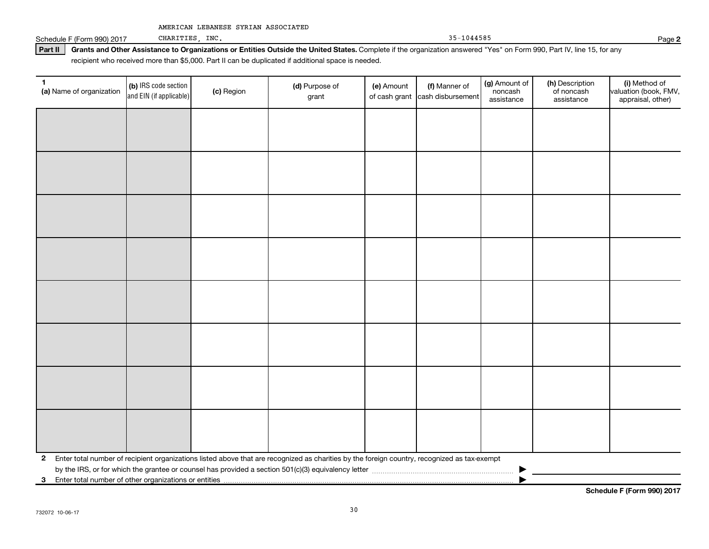Schedule F (Form 990) 2017 CHARITIES, INC. Page 2

**Part II** Grants and Other Assistance to Organizations or Entities Outside the United States. Complete if the organization answered "Yes" on Form 990, Part IV, line 15, for any recipient who received more than \$5,000. Part II can be duplicated if additional space is needed.

| 1<br>(a) Name of organization                              | (b) IRS code section<br>and EIN (if applicable) | (c) Region | (d) Purpose of<br>grant                                                                                                                      | (e) Amount | (f) Manner of<br>of cash grant cash disbursement | (g) Amount of<br>noncash<br>assistance | (h) Description<br>of noncash<br>assistance | (i) Method of<br>valuation (book, FMV,<br>appraisal, other) |
|------------------------------------------------------------|-------------------------------------------------|------------|----------------------------------------------------------------------------------------------------------------------------------------------|------------|--------------------------------------------------|----------------------------------------|---------------------------------------------|-------------------------------------------------------------|
|                                                            |                                                 |            |                                                                                                                                              |            |                                                  |                                        |                                             |                                                             |
|                                                            |                                                 |            |                                                                                                                                              |            |                                                  |                                        |                                             |                                                             |
|                                                            |                                                 |            |                                                                                                                                              |            |                                                  |                                        |                                             |                                                             |
|                                                            |                                                 |            |                                                                                                                                              |            |                                                  |                                        |                                             |                                                             |
|                                                            |                                                 |            |                                                                                                                                              |            |                                                  |                                        |                                             |                                                             |
|                                                            |                                                 |            |                                                                                                                                              |            |                                                  |                                        |                                             |                                                             |
|                                                            |                                                 |            |                                                                                                                                              |            |                                                  |                                        |                                             |                                                             |
|                                                            |                                                 |            |                                                                                                                                              |            |                                                  |                                        |                                             |                                                             |
|                                                            |                                                 |            |                                                                                                                                              |            |                                                  |                                        |                                             |                                                             |
|                                                            |                                                 |            |                                                                                                                                              |            |                                                  |                                        |                                             |                                                             |
|                                                            |                                                 |            |                                                                                                                                              |            |                                                  |                                        |                                             |                                                             |
|                                                            |                                                 |            |                                                                                                                                              |            |                                                  |                                        |                                             |                                                             |
|                                                            |                                                 |            |                                                                                                                                              |            |                                                  |                                        |                                             |                                                             |
|                                                            |                                                 |            |                                                                                                                                              |            |                                                  |                                        |                                             |                                                             |
|                                                            |                                                 |            |                                                                                                                                              |            |                                                  |                                        |                                             |                                                             |
|                                                            |                                                 |            |                                                                                                                                              |            |                                                  |                                        |                                             |                                                             |
| $\mathbf{2}$                                               |                                                 |            | Enter total number of recipient organizations listed above that are recognized as charities by the foreign country, recognized as tax-exempt |            |                                                  |                                        |                                             |                                                             |
| Enter total number of other organizations or entities<br>3 |                                                 |            |                                                                                                                                              |            |                                                  |                                        |                                             |                                                             |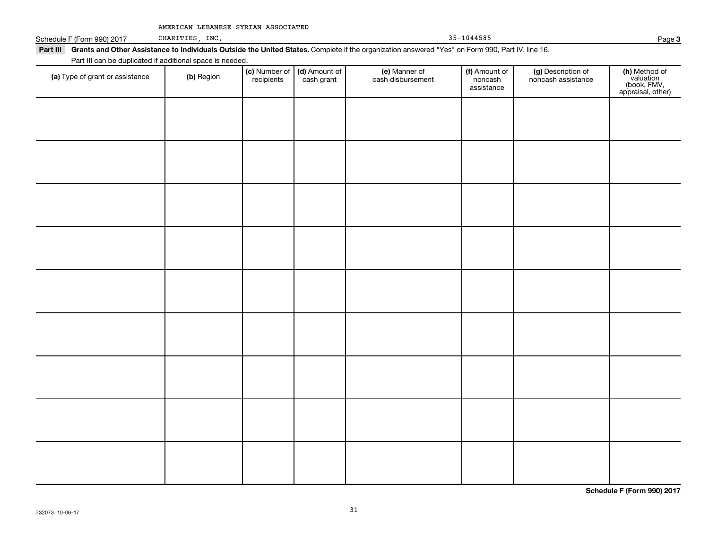|  |  |  |  | AMERICAN LEBANESE SYRIAN ASSOCIATED |
|--|--|--|--|-------------------------------------|
|--|--|--|--|-------------------------------------|

Schedule F (Form 990) 2017

CHARITIES, INC. 35-1044585 Page **3**

Part III Grants and Other Assistance to Individuals Outside the United States. Complete if the organization answered "Yes" on Form 990, Part IV, line 16. Part III can be duplicated if additional space is needed.

| (a) Type of grant or assistance | (b) Region | (c) Number of<br>recipients | (d) Amount of<br>cash grant | (e) Manner of<br>cash disbursement | (f) Amount of<br>noncash<br>assistance | (g) Description of<br>noncash assistance | (h) Method of<br>valuation<br>(book, FMV,<br>appraisal, other) |
|---------------------------------|------------|-----------------------------|-----------------------------|------------------------------------|----------------------------------------|------------------------------------------|----------------------------------------------------------------|
|                                 |            |                             |                             |                                    |                                        |                                          |                                                                |
|                                 |            |                             |                             |                                    |                                        |                                          |                                                                |
|                                 |            |                             |                             |                                    |                                        |                                          |                                                                |
|                                 |            |                             |                             |                                    |                                        |                                          |                                                                |
|                                 |            |                             |                             |                                    |                                        |                                          |                                                                |
|                                 |            |                             |                             |                                    |                                        |                                          |                                                                |
|                                 |            |                             |                             |                                    |                                        |                                          |                                                                |
|                                 |            |                             |                             |                                    |                                        |                                          |                                                                |
|                                 |            |                             |                             |                                    |                                        |                                          |                                                                |
|                                 |            |                             |                             |                                    |                                        |                                          |                                                                |
|                                 |            |                             |                             |                                    |                                        |                                          |                                                                |
|                                 |            |                             |                             |                                    |                                        |                                          |                                                                |
|                                 |            |                             |                             |                                    |                                        |                                          |                                                                |
|                                 |            |                             |                             |                                    |                                        |                                          |                                                                |
|                                 |            |                             |                             |                                    |                                        |                                          |                                                                |

**Schedule F (Form 990) 2017**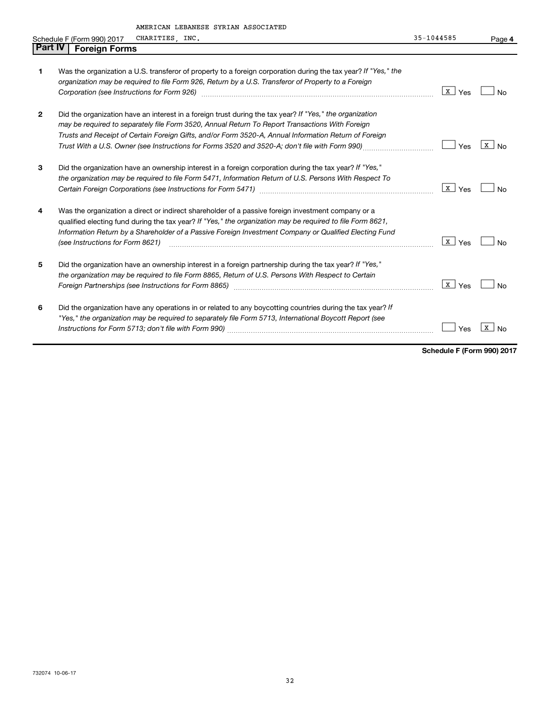|                |                                             | AMERICAN LEBANESE SIRIAN ASSOCIATED                                                                            |                         |              |
|----------------|---------------------------------------------|----------------------------------------------------------------------------------------------------------------|-------------------------|--------------|
|                | Schedule F (Form 990) 2017                  | CHARITIES, INC.                                                                                                | 35-1044585              | Page 4       |
| Part IV        | <b>Foreign Forms</b>                        |                                                                                                                |                         |              |
|                |                                             |                                                                                                                |                         |              |
| 1              |                                             | Was the organization a U.S. transferor of property to a foreign corporation during the tax year? If "Yes," the |                         |              |
|                |                                             | organization may be required to file Form 926, Return by a U.S. Transferor of Property to a Foreign            |                         |              |
|                | Corporation (see Instructions for Form 926) |                                                                                                                | x  <br>Yes              | No           |
|                |                                             |                                                                                                                |                         |              |
| $\overline{2}$ |                                             | Did the organization have an interest in a foreign trust during the tax year? If "Yes," the organization       |                         |              |
|                |                                             | may be required to separately file Form 3520, Annual Return To Report Transactions With Foreign                |                         |              |
|                |                                             | Trusts and Receipt of Certain Foreign Gifts, and/or Form 3520-A, Annual Information Return of Foreign          |                         |              |
|                |                                             | Trust With a U.S. Owner (see Instructions for Forms 3520 and 3520-A; don't file with Form 990)                 | Yes                     | $X \mid N_0$ |
|                |                                             |                                                                                                                |                         |              |
| 3              |                                             | Did the organization have an ownership interest in a foreign corporation during the tax year? If "Yes,"        |                         |              |
|                |                                             | the organization may be required to file Form 5471, Information Return of U.S. Persons With Respect To         |                         |              |
|                |                                             |                                                                                                                | x  <br>Yes              | No           |
|                |                                             |                                                                                                                |                         |              |
| 4              |                                             | Was the organization a direct or indirect shareholder of a passive foreign investment company or a             |                         |              |
|                |                                             | qualified electing fund during the tax year? If "Yes," the organization may be required to file Form 8621,     |                         |              |
|                |                                             | Information Return by a Shareholder of a Passive Foreign Investment Company or Qualified Electing Fund         |                         |              |
|                | (see Instructions for Form 8621)            |                                                                                                                | $\lfloor x \rfloor$ Yes | No           |
|                |                                             |                                                                                                                |                         |              |
| 5              |                                             | Did the organization have an ownership interest in a foreign partnership during the tax year? If "Yes,"        |                         |              |
|                |                                             | the organization may be required to file Form 8865, Return of U.S. Persons With Respect to Certain             |                         |              |
|                |                                             | Foreign Partnerships (see Instructions for Form 8865) manufactured controller controller and the extension of  | x  <br>Yes              | No           |
|                |                                             |                                                                                                                |                         |              |
| 6              |                                             | Did the organization have any operations in or related to any boycotting countries during the tax year? If     |                         |              |
|                |                                             | "Yes," the organization may be required to separately file Form 5713, International Boycott Report (see        |                         |              |
|                |                                             | Instructions for Form 5713; don't file with Form 990)                                                          | Yes                     | X  <br>No    |

**Schedule F (Form 990) 2017**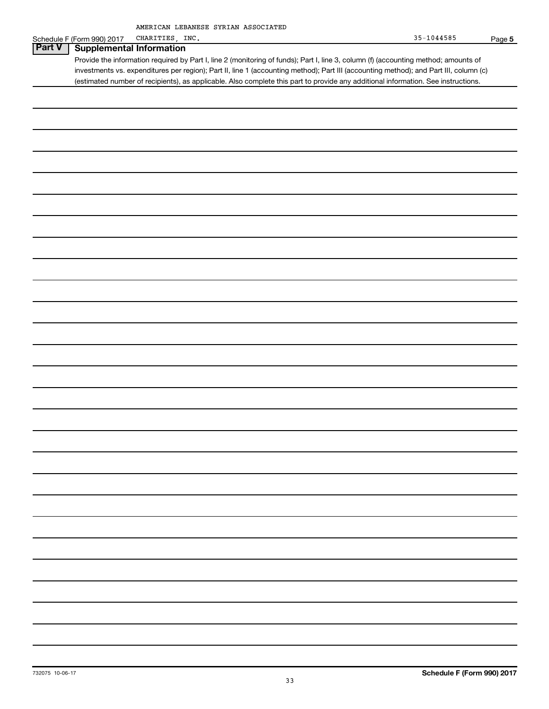#### Schedule F (Form 990) 2017 CHARITIES, INC. 35-1044585 Page 5 **Part V Supplemental Information**

Provide the information required by Part I, line 2 (monitoring of funds); Part I, line 3, column (f) (accounting method; amounts of investments vs. expenditures per region); Part II, line 1 (accounting method); Part III (accounting method); and Part III, column (c) (estimated number of recipients), as applicable. Also complete this part to provide any additional information. See instructions.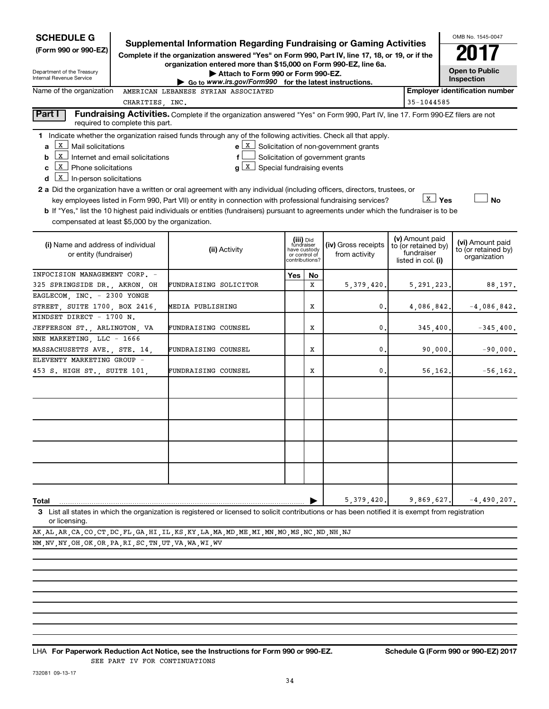| <b>SCHEDULE G</b><br>(Form 990 or 990-EZ)<br>Department of the Treasury                                                                                                            |                                  | <b>Supplemental Information Regarding Fundraising or Gaming Activities</b><br>Complete if the organization answered "Yes" on Form 990, Part IV, line 17, 18, or 19, or if the<br>organization entered more than \$15,000 on Form 990-EZ, line 6a.<br>Attach to Form 990 or Form 990-EZ.                                                                                                                                                                                                                                                                                                |                                                                            |    |                                                                                       |                                                                            | OMB No. 1545-0047<br>2017<br><b>Open to Public</b>      |
|------------------------------------------------------------------------------------------------------------------------------------------------------------------------------------|----------------------------------|----------------------------------------------------------------------------------------------------------------------------------------------------------------------------------------------------------------------------------------------------------------------------------------------------------------------------------------------------------------------------------------------------------------------------------------------------------------------------------------------------------------------------------------------------------------------------------------|----------------------------------------------------------------------------|----|---------------------------------------------------------------------------------------|----------------------------------------------------------------------------|---------------------------------------------------------|
| Internal Revenue Service                                                                                                                                                           |                                  | Go to www.irs.gov/Form990 for the latest instructions.                                                                                                                                                                                                                                                                                                                                                                                                                                                                                                                                 |                                                                            |    |                                                                                       |                                                                            | Inspection                                              |
| Name of the organization                                                                                                                                                           |                                  | AMERICAN LEBANESE SYRIAN ASSOCIATED                                                                                                                                                                                                                                                                                                                                                                                                                                                                                                                                                    |                                                                            |    |                                                                                       |                                                                            | <b>Employer identification number</b>                   |
|                                                                                                                                                                                    | CHARITIES, INC.                  |                                                                                                                                                                                                                                                                                                                                                                                                                                                                                                                                                                                        |                                                                            |    |                                                                                       | 35-1044585                                                                 |                                                         |
| Part I                                                                                                                                                                             | required to complete this part.  | Fundraising Activities. Complete if the organization answered "Yes" on Form 990, Part IV, line 17. Form 990-EZ filers are not                                                                                                                                                                                                                                                                                                                                                                                                                                                          |                                                                            |    |                                                                                       |                                                                            |                                                         |
| X<br>Mail solicitations<br>a<br>X<br>b<br>  X   Phone solicitations<br>c<br>$\boxed{\textbf{x}}$ In-person solicitations<br>d<br>compensated at least \$5,000 by the organization. | Internet and email solicitations | 1 Indicate whether the organization raised funds through any of the following activities. Check all that apply.<br>$g\left[\begin{matrix} x \\ x \end{matrix}\right]$ Special fundraising events<br>2 a Did the organization have a written or oral agreement with any individual (including officers, directors, trustees, or<br>key employees listed in Form 990, Part VII) or entity in connection with professional fundraising services?<br>b If "Yes," list the 10 highest paid individuals or entities (fundraisers) pursuant to agreements under which the fundraiser is to be |                                                                            |    | $e \mid X$ Solicitation of non-government grants<br>Solicitation of government grants | <b>X</b> Yes                                                               | <b>No</b>                                               |
| (i) Name and address of individual<br>or entity (fundraiser)                                                                                                                       |                                  | (ii) Activity                                                                                                                                                                                                                                                                                                                                                                                                                                                                                                                                                                          | (iii) Did<br>fundraiser<br>have custody<br>or control of<br>contributions? |    | (iv) Gross receipts<br>from activity                                                  | (v) Amount paid<br>to (or retained by)<br>fundraiser<br>listed in col. (i) | (vi) Amount paid<br>to (or retained by)<br>organization |
| INFOCISION MANAGEMENT CORP. -                                                                                                                                                      |                                  |                                                                                                                                                                                                                                                                                                                                                                                                                                                                                                                                                                                        | Yes                                                                        | No |                                                                                       |                                                                            |                                                         |
| 325 SPRINGSIDE DR., AKRON, OH                                                                                                                                                      |                                  | FUNDRAISING SOLICITOR                                                                                                                                                                                                                                                                                                                                                                                                                                                                                                                                                                  |                                                                            | x  | 5,379,420.                                                                            | 5, 291, 223.                                                               | 88,197.                                                 |
| EAGLECOM, INC. - 2300 YONGE<br>STREET, SUITE 1700, BOX 2416,                                                                                                                       |                                  | MEDIA PUBLISHING                                                                                                                                                                                                                                                                                                                                                                                                                                                                                                                                                                       |                                                                            | х  | 0.                                                                                    | 4,086,842.                                                                 | $-4,086,842.$                                           |
| MINDSET DIRECT - 1700 N.<br>JEFFERSON ST., ARLINGTON, VA                                                                                                                           |                                  | FUNDRAISING COUNSEL                                                                                                                                                                                                                                                                                                                                                                                                                                                                                                                                                                    |                                                                            | X  | 0.                                                                                    | 345,400.                                                                   | $-345,400.$                                             |
| NNE MARKETING, LLC - 1666                                                                                                                                                          |                                  |                                                                                                                                                                                                                                                                                                                                                                                                                                                                                                                                                                                        |                                                                            |    |                                                                                       |                                                                            |                                                         |
| MASSACHUSETTS AVE., STE. 14,                                                                                                                                                       |                                  | FUNDRAISING COUNSEL                                                                                                                                                                                                                                                                                                                                                                                                                                                                                                                                                                    |                                                                            | X  | 0.                                                                                    | 90,000.                                                                    | $-90,000.$                                              |
| ELEVENTY MARKETING GROUP -<br>453 S. HIGH ST., SUITE 101,                                                                                                                          |                                  | FUNDRAISING COUNSEL                                                                                                                                                                                                                                                                                                                                                                                                                                                                                                                                                                    |                                                                            | х  | 0.                                                                                    | 56,162.                                                                    | $-56, 162.$                                             |
|                                                                                                                                                                                    |                                  |                                                                                                                                                                                                                                                                                                                                                                                                                                                                                                                                                                                        |                                                                            |    |                                                                                       |                                                                            |                                                         |
|                                                                                                                                                                                    |                                  |                                                                                                                                                                                                                                                                                                                                                                                                                                                                                                                                                                                        |                                                                            |    | 5,379,420.                                                                            | 9,869,627.                                                                 | $-4,490,207$ .                                          |
| Total<br>or licensing.                                                                                                                                                             |                                  | 3 List all states in which the organization is registered or licensed to solicit contributions or has been notified it is exempt from registration                                                                                                                                                                                                                                                                                                                                                                                                                                     |                                                                            |    |                                                                                       |                                                                            |                                                         |
|                                                                                                                                                                                    |                                  | AK , AL , AR , CA , CO , CT , DC , FL , GA , HI , IL , KS , KY , LA , MA , MD , ME , MI , MN , MO , MS , NC , ND , NH , NJ                                                                                                                                                                                                                                                                                                                                                                                                                                                             |                                                                            |    |                                                                                       |                                                                            |                                                         |
| NM, NV, NY, OH, OK, OR, PA, RI, SC, TN, UT, VA, WA, WI, WV                                                                                                                         |                                  |                                                                                                                                                                                                                                                                                                                                                                                                                                                                                                                                                                                        |                                                                            |    |                                                                                       |                                                                            |                                                         |

732081 09-13-17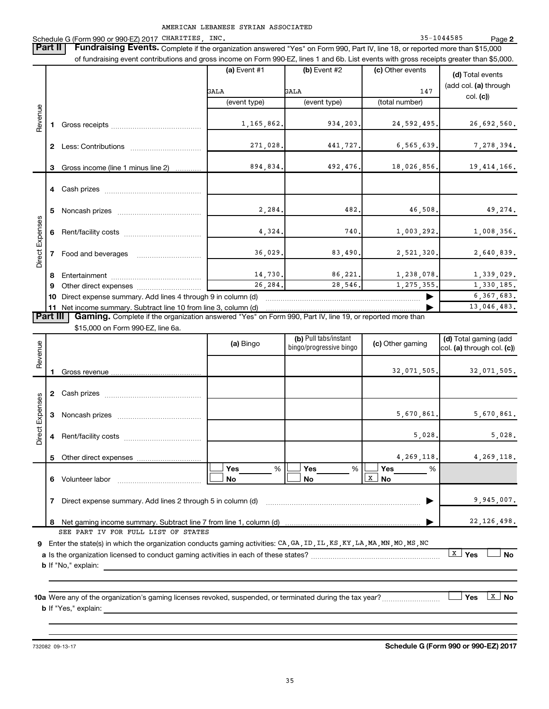AMERICAN LEBANESE SYRIAN ASSOCIATED Schedule G (Form 990 or 990-EZ) 2017 CHARITIES, INC. 35-1044585 Page 2 **Part II** Fundraising Events. Complete if the organization answered "Yes" on Form 990, Part IV, line 18, or reported more than \$15,000 of fundraising event contributions and gross income on Form 990-EZ, lines 1 and 6b. List events with gross receipts greater than \$5,000. **(a)** Event #1 **(b)** Event #2 **(c)** Other events **(d)** Total events GALA GALA GALA 147 (add col. **(a)** through  $\overline{C}$  (event type) (total number) (total number) Direct Expenses Revenue Direct Expenses Revenue Revenue **1** Gross receipts ~~~~~~~~~~~~~~ 1,165,862. 934,203. 24,592,495. 26,692,560. **2** Less: Contributions ~~~~~~~~~~~ 271,028. 441,727. 6,565,639. 7,278,394. **3** Gross income (line 1 minus line 2)  $\ldots$  894,834. 492,476. 18,026,856. 19,414,166. **4** Cash prizes ~~~~~~~~~~~~~~~ **5** Noncash prizes  $\frac{482}{2}$  2,284. 482. 46,508. 49,274. Direct Expenses **6** Rent/facility costs ~~~~~~~~~~~~ 4,324. 740. 1,003,292. 1,008,356. **7** Food and beverages ~~~~~~~~~~ 36,029. 83,490. 2,521,320. 2,640,839. **8** Entertainment ~~~~~~~~~~~~~~ 14,730. 86,221. 1,238,078. 1,339,029. **9** Other direct expenses ~~~~~~~~~~ 26,284. 28,546. 1,275,355. 1,330,185. 10 Direct expense summary. Add lines 4 through 9 in column (d) **Fig. 10** 10 Direct expense summary. Add lines 4 through 9 in column (d) **11** Net income summary. Subtract line 10 from line 3, column (d)  $\ldots$   $\ldots$   $\ldots$   $\ldots$   $\ldots$   $\ldots$   $\ldots$   $\ldots$   $\ldots$   $\ldots$   $\ldots$   $\ldots$   $\ldots$   $\ldots$   $\ldots$   $\ldots$   $\ldots$   $\ldots$   $\ldots$   $\ldots$   $\ldots$   $\ldots$   $\ldots$   $\ldots$   $\ldots$   $\ldots$  **Part III** Gaming. Complete if the organization answered "Yes" on Form 990, Part IV, line 19, or reported more than \$15,000 on Form 990-EZ, line 6a. **(a)** Bingo **(b)** <sup>Pull tabs/instant **(c)** Other gaming **(d)** Total gaming (add **bingo/progressive bingo (c)**) **(c)** Other gaming **(d) (d)** through col. **(c)**</sup> Revenue **1** Gross revenue 32,071,505. 32,071,505. **2** Cash prizes ~~~~~~~~~~~~~~~ Direct Expenses **3** Noncash prizes  $\ldots$   $\ldots$   $\ldots$   $\ldots$   $\ldots$   $\ldots$   $\ldots$   $\ldots$   $\ldots$   $\ldots$   $\ldots$   $\ldots$   $\ldots$   $\ldots$   $\ldots$   $\ldots$   $\ldots$   $\ldots$   $\ldots$   $\ldots$   $\ldots$   $\ldots$   $\ldots$   $\ldots$   $\ldots$   $\ldots$   $\ldots$   $\ldots$   $\ldots$   $\ldots$   $\ldots$   $\ldots$   $\ldots$   $\ldots$ **4** Rent/facility costs ~~~~~~~~~~~~ 5,028. 5,028. **5** Other direct expenses 4,269,118. 4,269,118.

| 10a Were any of the organization's gaming licenses revoked, suspended, or terminated during the tax year? | <b>Yes</b> | ∣ No |
|-----------------------------------------------------------------------------------------------------------|------------|------|
| <b>b</b> If "Yes," explain:                                                                               |            |      |

**6** Volunteer labor  $\frac{\sqrt{X}}{X}$  **No** 

**9** Enter the state(s) in which the organization conducts gaming activities: CA, GA, ID, IL, KS, KY, LA, MA, MN, MO, MS, NC

SEE PART IV FOR FULL LIST OF STATES

**b** If "No," explain:

732082 09-13-17 **Schedule G (Form 990 or 990-EZ) 2017**

**7** Direct expense summary. Add lines 2 through 5 in column (d) ~~~~~~~~~~~~~~~~~~~~~~~~ | 9,945,007.

**8** Net gaming income summary. Subtract line 7 from line 1, column (d) | 22,126,498.

**a** Is the organization licensed to conduct gaming activities in each of these states? ~~~~~~~~~~~~~~~~~~~~ †X **Yes** † **No**

† **Yes** %† **Yes** %† **Yes** %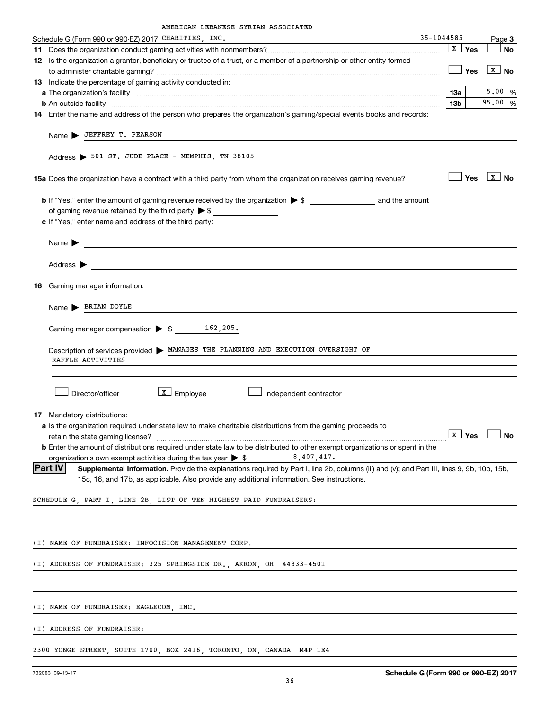|  | AMERICAN LEBANESE SYRIAN ASSOCIATED |
|--|-------------------------------------|
|  |                                     |

| 35-1044585<br>Schedule G (Form 990 or 990-EZ) 2017 CHARITIES, INC.                                                                                                                                                                                                                                                                                                                                                  |                                                                                                                                                                                                                                                 |                  | Page 3                  |
|---------------------------------------------------------------------------------------------------------------------------------------------------------------------------------------------------------------------------------------------------------------------------------------------------------------------------------------------------------------------------------------------------------------------|-------------------------------------------------------------------------------------------------------------------------------------------------------------------------------------------------------------------------------------------------|------------------|-------------------------|
|                                                                                                                                                                                                                                                                                                                                                                                                                     |                                                                                                                                                                                                                                                 | $\mathbf{X}$ Yes | <b>No</b>               |
| 12 Is the organization a grantor, beneficiary or trustee of a trust, or a member of a partnership or other entity formed                                                                                                                                                                                                                                                                                            |                                                                                                                                                                                                                                                 |                  |                         |
|                                                                                                                                                                                                                                                                                                                                                                                                                     |                                                                                                                                                                                                                                                 | Yes              | $\boxed{\mathbf{X}}$ No |
| 13 Indicate the percentage of gaming activity conducted in:                                                                                                                                                                                                                                                                                                                                                         |                                                                                                                                                                                                                                                 |                  |                         |
|                                                                                                                                                                                                                                                                                                                                                                                                                     | <b>13a</b>                                                                                                                                                                                                                                      |                  | 5.00 %                  |
|                                                                                                                                                                                                                                                                                                                                                                                                                     | 13 <sub>b</sub>                                                                                                                                                                                                                                 |                  | 95.00%                  |
| 14 Enter the name and address of the person who prepares the organization's gaming/special events books and records:                                                                                                                                                                                                                                                                                                |                                                                                                                                                                                                                                                 |                  |                         |
| Name > JEFFREY T. PEARSON<br>Address > 501 ST. JUDE PLACE - MEMPHIS, TN 38105                                                                                                                                                                                                                                                                                                                                       |                                                                                                                                                                                                                                                 |                  |                         |
|                                                                                                                                                                                                                                                                                                                                                                                                                     |                                                                                                                                                                                                                                                 |                  |                         |
| of gaming revenue retained by the third party $\triangleright$ \$<br>c If "Yes," enter name and address of the third party:                                                                                                                                                                                                                                                                                         |                                                                                                                                                                                                                                                 |                  |                         |
| Name $\blacktriangleright$<br><u> Alexandria de la contrada de la contrada de la contrada de la contrada de la contrada de la contrada de la c</u>                                                                                                                                                                                                                                                                  |                                                                                                                                                                                                                                                 |                  |                         |
| Address $\blacktriangleright$<br><u> 1989 - Johann Barn, mars ann an t-Amhain Aonaich an t-Aonaich an t-Aonaich ann an t-Aonaich ann an t-Aonaich</u>                                                                                                                                                                                                                                                               |                                                                                                                                                                                                                                                 |                  |                         |
| <b>16</b> Gaming manager information:                                                                                                                                                                                                                                                                                                                                                                               |                                                                                                                                                                                                                                                 |                  |                         |
| Name > BRIAN DOYLE                                                                                                                                                                                                                                                                                                                                                                                                  |                                                                                                                                                                                                                                                 |                  |                         |
|                                                                                                                                                                                                                                                                                                                                                                                                                     |                                                                                                                                                                                                                                                 |                  |                         |
| Description of services provided > MANAGES THE PLANNING AND EXECUTION OVERSIGHT OF                                                                                                                                                                                                                                                                                                                                  |                                                                                                                                                                                                                                                 |                  |                         |
| RAFFLE ACTIVITIES                                                                                                                                                                                                                                                                                                                                                                                                   |                                                                                                                                                                                                                                                 |                  |                         |
|                                                                                                                                                                                                                                                                                                                                                                                                                     |                                                                                                                                                                                                                                                 |                  |                         |
| $\lfloor x \rfloor$ Employee<br>Director/officer<br>Independent contractor                                                                                                                                                                                                                                                                                                                                          |                                                                                                                                                                                                                                                 |                  |                         |
| 17 Mandatory distributions:<br>a Is the organization required under state law to make charitable distributions from the gaming proceeds to<br>retain the state gaming license?<br><b>b</b> Enter the amount of distributions required under state law to be distributed to other exempt organizations or spent in the<br>organization's own exempt activities during the tax year $\triangleright$ \$<br>8,407,417. | <b>The Contract of the Contract of the Contract of the Contract of the Contract of the Contract of the Contract of the Contract of the Contract of the Contract of the Contract of the Contract of the Contract of the Contract </b><br>LX∟ Yes |                  | $\Box$ No               |
| <b>Part IV</b><br>Supplemental Information. Provide the explanations required by Part I, line 2b, columns (iii) and (v); and Part III, lines 9, 9b, 10b, 15b,<br>15c, 16, and 17b, as applicable. Also provide any additional information. See instructions.                                                                                                                                                        |                                                                                                                                                                                                                                                 |                  |                         |
| SCHEDULE G, PART I, LINE 2B, LIST OF TEN HIGHEST PAID FUNDRAISERS:                                                                                                                                                                                                                                                                                                                                                  |                                                                                                                                                                                                                                                 |                  |                         |
|                                                                                                                                                                                                                                                                                                                                                                                                                     |                                                                                                                                                                                                                                                 |                  |                         |
| (I) NAME OF FUNDRAISER: INFOCISION MANAGEMENT CORP.                                                                                                                                                                                                                                                                                                                                                                 |                                                                                                                                                                                                                                                 |                  |                         |
| (I) ADDRESS OF FUNDRAISER: 325 SPRINGSIDE DR., AKRON, OH 44333-4501                                                                                                                                                                                                                                                                                                                                                 |                                                                                                                                                                                                                                                 |                  |                         |
|                                                                                                                                                                                                                                                                                                                                                                                                                     |                                                                                                                                                                                                                                                 |                  |                         |
| (I) NAME OF FUNDRAISER: EAGLECOM, INC.                                                                                                                                                                                                                                                                                                                                                                              |                                                                                                                                                                                                                                                 |                  |                         |
| (I) ADDRESS OF FUNDRAISER:                                                                                                                                                                                                                                                                                                                                                                                          |                                                                                                                                                                                                                                                 |                  |                         |
| 2300 YONGE STREET, SUITE 1700, BOX 2416, TORONTO, ON, CANADA M4P 1E4                                                                                                                                                                                                                                                                                                                                                |                                                                                                                                                                                                                                                 |                  |                         |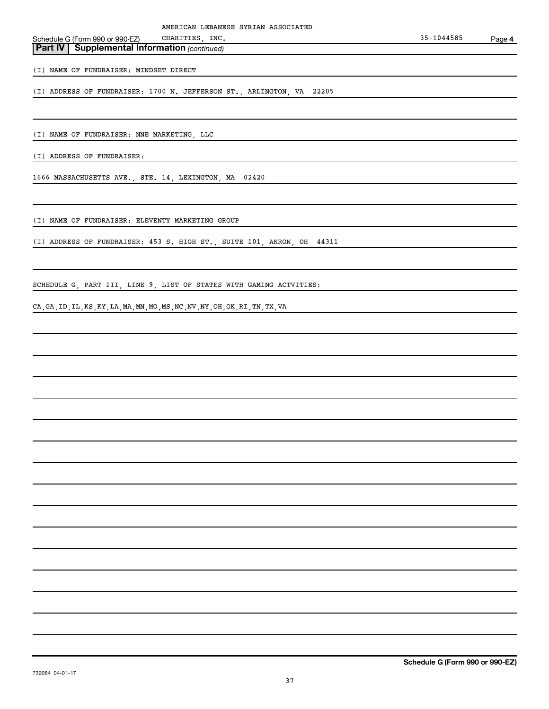| Schedule G (Form 990 or 990-EZ)                       | CHARITIES INC. | 35-1044585 | Page 4 |
|-------------------------------------------------------|----------------|------------|--------|
| <b>Part IV   Supplemental Information (continued)</b> |                |            |        |

(I) NAME OF FUNDRAISER: MINDSET DIRECT

(I) ADDRESS OF FUNDRAISER: 1700 N. JEFFERSON ST., ARLINGTON, VA 22205

(I) NAME OF FUNDRAISER: NNE MARKETING, LLC

(I) ADDRESS OF FUNDRAISER:

1666 MASSACHUSETTS AVE., STE. 14, LEXINGTON, MA 02420

(I) NAME OF FUNDRAISER: ELEVENTY MARKETING GROUP

(I) ADDRESS OF FUNDRAISER: 453 S. HIGH ST., SUITE 101, AKRON, OH 44311

SCHEDULE G, PART III, LINE 9, LIST OF STATES WITH GAMING ACTVITIES:

CA,GA,ID,IL,KS,KY,LA,MA,MN,MO,MS,NC,NV,NY,OH,OK,RI,TN,TX,VA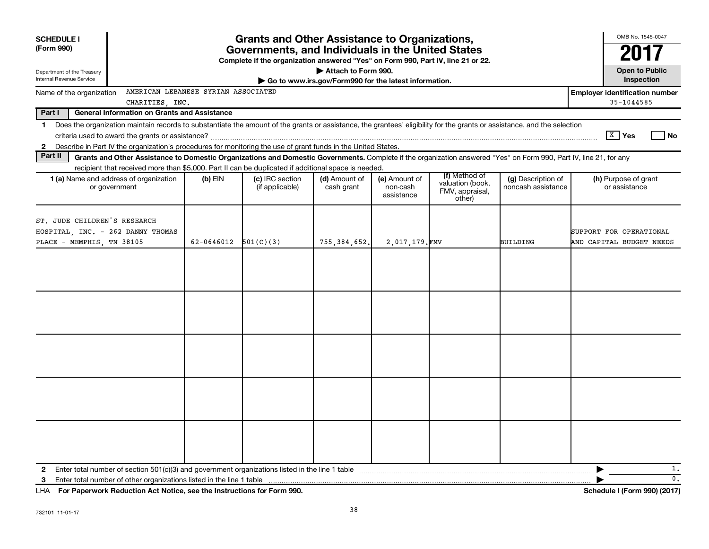| <b>Grants and Other Assistance to Organizations,</b><br><b>SCHEDULE I</b><br>(Form 990)<br>Governments, and Individuals in the United States<br>Complete if the organization answered "Yes" on Form 990, Part IV, line 21 or 22.<br>Attach to Form 990.<br>Department of the Treasury<br>Internal Revenue Service<br>Go to www.irs.gov/Form990 for the latest information. |                                                                                                                                                                          |            |                                    |                             |                                         |                                               |                                          |                                                     |  |  |
|----------------------------------------------------------------------------------------------------------------------------------------------------------------------------------------------------------------------------------------------------------------------------------------------------------------------------------------------------------------------------|--------------------------------------------------------------------------------------------------------------------------------------------------------------------------|------------|------------------------------------|-----------------------------|-----------------------------------------|-----------------------------------------------|------------------------------------------|-----------------------------------------------------|--|--|
| Name of the organization                                                                                                                                                                                                                                                                                                                                                   | AMERICAN LEBANESE SYRIAN ASSOCIATED                                                                                                                                      |            |                                    |                             |                                         |                                               |                                          | Inspection<br><b>Employer identification number</b> |  |  |
|                                                                                                                                                                                                                                                                                                                                                                            | CHARITIES, INC.                                                                                                                                                          |            |                                    |                             |                                         |                                               |                                          | $35 - 1044585$                                      |  |  |
| Part I                                                                                                                                                                                                                                                                                                                                                                     | <b>General Information on Grants and Assistance</b>                                                                                                                      |            |                                    |                             |                                         |                                               |                                          |                                                     |  |  |
| $\mathbf 1$                                                                                                                                                                                                                                                                                                                                                                | Does the organization maintain records to substantiate the amount of the grants or assistance, the grantees' eligibility for the grants or assistance, and the selection |            |                                    |                             |                                         |                                               |                                          |                                                     |  |  |
|                                                                                                                                                                                                                                                                                                                                                                            |                                                                                                                                                                          |            |                                    |                             |                                         |                                               |                                          | $X$ Yes<br>l No                                     |  |  |
| 2                                                                                                                                                                                                                                                                                                                                                                          | Describe in Part IV the organization's procedures for monitoring the use of grant funds in the United States.                                                            |            |                                    |                             |                                         |                                               |                                          |                                                     |  |  |
| Part II                                                                                                                                                                                                                                                                                                                                                                    | Grants and Other Assistance to Domestic Organizations and Domestic Governments. Complete if the organization answered "Yes" on Form 990, Part IV, line 21, for any       |            |                                    |                             |                                         |                                               |                                          |                                                     |  |  |
|                                                                                                                                                                                                                                                                                                                                                                            | recipient that received more than \$5,000. Part II can be duplicated if additional space is needed.                                                                      |            |                                    |                             |                                         | (f) Method of                                 |                                          |                                                     |  |  |
|                                                                                                                                                                                                                                                                                                                                                                            | <b>1 (a)</b> Name and address of organization<br>or government                                                                                                           | (b) EIN    | (c) IRC section<br>(if applicable) | (d) Amount of<br>cash grant | (e) Amount of<br>non-cash<br>assistance | valuation (book,<br>FMV, appraisal,<br>other) | (g) Description of<br>noncash assistance | (h) Purpose of grant<br>or assistance               |  |  |
| ST. JUDE CHILDREN'S RESEARCH<br>HOSPITAL, INC. - 262 DANNY THOMAS<br>PLACE - MEMPHIS, TN 38105                                                                                                                                                                                                                                                                             |                                                                                                                                                                          | 62-0646012 | 501(C)(3)                          | 755, 384, 652,              | 2,017,179.FMV                           |                                               | <b>BUILDING</b>                          | SUPPORT FOR OPERATIONAL<br>AND CAPITAL BUDGET NEEDS |  |  |
|                                                                                                                                                                                                                                                                                                                                                                            |                                                                                                                                                                          |            |                                    |                             |                                         |                                               |                                          |                                                     |  |  |
|                                                                                                                                                                                                                                                                                                                                                                            |                                                                                                                                                                          |            |                                    |                             |                                         |                                               |                                          |                                                     |  |  |
|                                                                                                                                                                                                                                                                                                                                                                            |                                                                                                                                                                          |            |                                    |                             |                                         |                                               |                                          |                                                     |  |  |
|                                                                                                                                                                                                                                                                                                                                                                            |                                                                                                                                                                          |            |                                    |                             |                                         |                                               |                                          |                                                     |  |  |
|                                                                                                                                                                                                                                                                                                                                                                            |                                                                                                                                                                          |            |                                    |                             |                                         |                                               |                                          |                                                     |  |  |
|                                                                                                                                                                                                                                                                                                                                                                            |                                                                                                                                                                          |            |                                    |                             |                                         |                                               |                                          |                                                     |  |  |
| $\mathbf{2}$                                                                                                                                                                                                                                                                                                                                                               |                                                                                                                                                                          |            |                                    |                             |                                         |                                               |                                          | 1.                                                  |  |  |
| 3                                                                                                                                                                                                                                                                                                                                                                          | Enter total number of other organizations listed in the line 1 table                                                                                                     |            |                                    |                             |                                         |                                               |                                          | $\mathbf{0}$ .                                      |  |  |
|                                                                                                                                                                                                                                                                                                                                                                            | LHA For Paperwork Reduction Act Notice, see the Instructions for Form 990.                                                                                               |            |                                    |                             |                                         |                                               |                                          | Schedule I (Form 990) (2017)                        |  |  |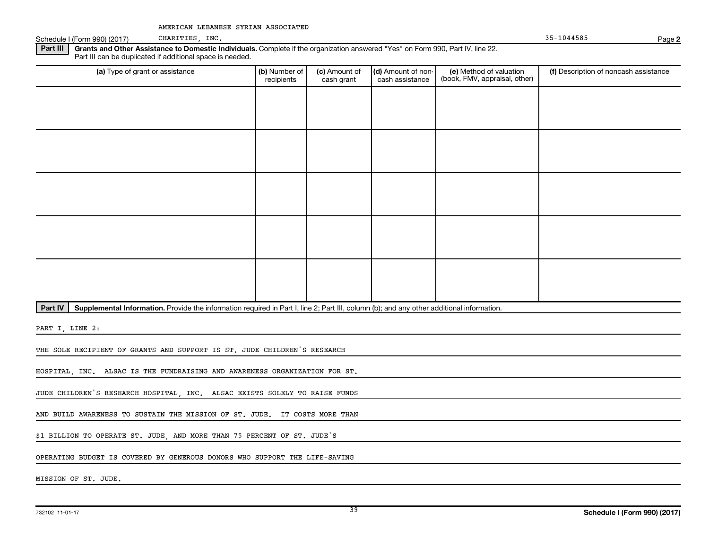Schedule I (Form 990) (2017) CHARITIES, INC. 35-1044585 Page **2**

**Part III Grants and Other Assistance to Domestic Individuals.** Complete if the organization answered "Yes" on Form 990, Part IV, line 22. Part III can be duplicated if additional space is needed.

| (a) Type of grant or assistance | (b) Number of<br>recipients | (c) Amount of<br>cash grant | (d) Amount of non-<br>cash assistance | (e) Method of valuation<br>(book, FMV, appraisal, other) | (f) Description of noncash assistance |
|---------------------------------|-----------------------------|-----------------------------|---------------------------------------|----------------------------------------------------------|---------------------------------------|
|                                 |                             |                             |                                       |                                                          |                                       |
|                                 |                             |                             |                                       |                                                          |                                       |
|                                 |                             |                             |                                       |                                                          |                                       |
|                                 |                             |                             |                                       |                                                          |                                       |
|                                 |                             |                             |                                       |                                                          |                                       |
|                                 |                             |                             |                                       |                                                          |                                       |
|                                 |                             |                             |                                       |                                                          |                                       |
|                                 |                             |                             |                                       |                                                          |                                       |
|                                 |                             |                             |                                       |                                                          |                                       |
|                                 |                             |                             |                                       |                                                          |                                       |

**Part IV** Supplemental Information. Provide the information required in Part I, line 2; Part III, column (b); and any other additional information.

PART I, LINE 2:

THE SOLE RECIPIENT OF GRANTS AND SUPPORT IS ST. JUDE CHILDREN'S RESEARCH

HOSPITAL, INC. ALSAC IS THE FUNDRAISING AND AWARENESS ORGANIZATION FOR ST.

JUDE CHILDREN'S RESEARCH HOSPITAL, INC. ALSAC EXISTS SOLELY TO RAISE FUNDS

AND BUILD AWARENESS TO SUSTAIN THE MISSION OF ST. JUDE. IT COSTS MORE THAN

\$1 BILLION TO OPERATE ST. JUDE, AND MORE THAN 75 PERCENT OF ST. JUDE'S

OPERATING BUDGET IS COVERED BY GENEROUS DONORS WHO SUPPORT THE LIFE-SAVING

MISSION OF ST. JUDE.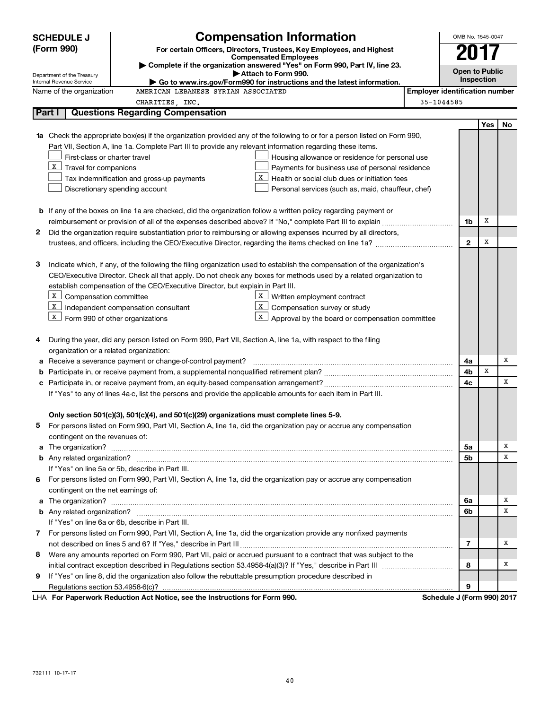|   | <b>SCHEDULE J</b>                                                                                        | <b>Compensation Information</b>                                                                                           |            | OMB No. 1545-0047          |                       |    |  |  |
|---|----------------------------------------------------------------------------------------------------------|---------------------------------------------------------------------------------------------------------------------------|------------|----------------------------|-----------------------|----|--|--|
|   | (Form 990)                                                                                               | For certain Officers, Directors, Trustees, Key Employees, and Highest                                                     |            |                            |                       |    |  |  |
|   |                                                                                                          | <b>Compensated Employees</b>                                                                                              |            |                            |                       |    |  |  |
|   | Department of the Treasury                                                                               | Complete if the organization answered "Yes" on Form 990, Part IV, line 23.<br>Attach to Form 990.                         |            |                            | <b>Open to Public</b> |    |  |  |
|   | Internal Revenue Service                                                                                 | Go to www.irs.gov/Form990 for instructions and the latest information.                                                    |            |                            | Inspection            |    |  |  |
|   | <b>Employer identification number</b><br>Name of the organization<br>AMERICAN LEBANESE SYRIAN ASSOCIATED |                                                                                                                           |            |                            |                       |    |  |  |
|   |                                                                                                          | CHARITIES, INC.                                                                                                           | 35-1044585 |                            |                       |    |  |  |
|   | Part I                                                                                                   | <b>Questions Regarding Compensation</b>                                                                                   |            |                            |                       |    |  |  |
|   |                                                                                                          |                                                                                                                           |            |                            | Yes                   | No |  |  |
|   |                                                                                                          | 1a Check the appropriate box(es) if the organization provided any of the following to or for a person listed on Form 990, |            |                            |                       |    |  |  |
|   |                                                                                                          | Part VII, Section A, line 1a. Complete Part III to provide any relevant information regarding these items.                |            |                            |                       |    |  |  |
|   | First-class or charter travel                                                                            | Housing allowance or residence for personal use                                                                           |            |                            |                       |    |  |  |
|   | $X$ Travel for companions                                                                                | Payments for business use of personal residence                                                                           |            |                            |                       |    |  |  |
|   |                                                                                                          | X<br>Health or social club dues or initiation fees<br>Tax indemnification and gross-up payments                           |            |                            |                       |    |  |  |
|   |                                                                                                          | Discretionary spending account<br>Personal services (such as, maid, chauffeur, chef)                                      |            |                            |                       |    |  |  |
|   |                                                                                                          |                                                                                                                           |            |                            |                       |    |  |  |
|   |                                                                                                          | <b>b</b> If any of the boxes on line 1a are checked, did the organization follow a written policy regarding payment or    |            |                            |                       |    |  |  |
|   |                                                                                                          |                                                                                                                           |            | 1b                         | х                     |    |  |  |
| 2 |                                                                                                          | Did the organization require substantiation prior to reimbursing or allowing expenses incurred by all directors,          |            |                            | х                     |    |  |  |
|   |                                                                                                          |                                                                                                                           |            | $\mathbf{2}$               |                       |    |  |  |
|   |                                                                                                          | Indicate which, if any, of the following the filing organization used to establish the compensation of the organization's |            |                            |                       |    |  |  |
| з |                                                                                                          | CEO/Executive Director. Check all that apply. Do not check any boxes for methods used by a related organization to        |            |                            |                       |    |  |  |
|   |                                                                                                          | establish compensation of the CEO/Executive Director, but explain in Part III.                                            |            |                            |                       |    |  |  |
|   | X Compensation committee                                                                                 | X  <br>Written employment contract                                                                                        |            |                            |                       |    |  |  |
|   |                                                                                                          | $X$ Independent compensation consultant<br>X<br>Compensation survey or study                                              |            |                            |                       |    |  |  |
|   | $X$ Form 990 of other organizations                                                                      | X  <br>Approval by the board or compensation committee                                                                    |            |                            |                       |    |  |  |
|   |                                                                                                          |                                                                                                                           |            |                            |                       |    |  |  |
| 4 |                                                                                                          | During the year, did any person listed on Form 990, Part VII, Section A, line 1a, with respect to the filing              |            |                            |                       |    |  |  |
|   | organization or a related organization:                                                                  |                                                                                                                           |            |                            |                       |    |  |  |
| а |                                                                                                          | Receive a severance payment or change-of-control payment?                                                                 |            | 4a                         |                       | X  |  |  |
| b |                                                                                                          |                                                                                                                           |            | 4b                         | X                     |    |  |  |
|   |                                                                                                          |                                                                                                                           |            | 4с                         |                       | x  |  |  |
|   |                                                                                                          | If "Yes" to any of lines 4a-c, list the persons and provide the applicable amounts for each item in Part III.             |            |                            |                       |    |  |  |
|   |                                                                                                          |                                                                                                                           |            |                            |                       |    |  |  |
|   |                                                                                                          | Only section 501(c)(3), 501(c)(4), and 501(c)(29) organizations must complete lines 5-9.                                  |            |                            |                       |    |  |  |
|   |                                                                                                          | For persons listed on Form 990, Part VII, Section A, line 1a, did the organization pay or accrue any compensation         |            |                            |                       |    |  |  |
|   | contingent on the revenues of:                                                                           |                                                                                                                           |            |                            |                       |    |  |  |
|   |                                                                                                          |                                                                                                                           |            | 5a                         |                       | х  |  |  |
|   |                                                                                                          |                                                                                                                           |            | 5b                         |                       | х  |  |  |
|   |                                                                                                          | If "Yes" on line 5a or 5b, describe in Part III.                                                                          |            |                            |                       |    |  |  |
|   |                                                                                                          | 6 For persons listed on Form 990, Part VII, Section A, line 1a, did the organization pay or accrue any compensation       |            |                            |                       |    |  |  |
|   | contingent on the net earnings of:                                                                       |                                                                                                                           |            |                            |                       |    |  |  |
|   |                                                                                                          |                                                                                                                           |            | 6a                         |                       | х  |  |  |
|   |                                                                                                          |                                                                                                                           |            | 6b                         |                       | х  |  |  |
|   |                                                                                                          | If "Yes" on line 6a or 6b, describe in Part III.                                                                          |            |                            |                       |    |  |  |
|   |                                                                                                          | 7 For persons listed on Form 990, Part VII, Section A, line 1a, did the organization provide any nonfixed payments        |            |                            |                       |    |  |  |
|   |                                                                                                          |                                                                                                                           |            | 7                          |                       | х  |  |  |
| 8 |                                                                                                          | Were any amounts reported on Form 990, Part VII, paid or accrued pursuant to a contract that was subject to the           |            |                            |                       |    |  |  |
|   |                                                                                                          |                                                                                                                           |            | 8                          |                       | х  |  |  |
| 9 |                                                                                                          | If "Yes" on line 8, did the organization also follow the rebuttable presumption procedure described in                    |            |                            |                       |    |  |  |
|   |                                                                                                          |                                                                                                                           |            | 9                          |                       |    |  |  |
|   |                                                                                                          | LHA For Paperwork Reduction Act Notice, see the Instructions for Form 990.                                                |            | Schedule J (Form 990) 2017 |                       |    |  |  |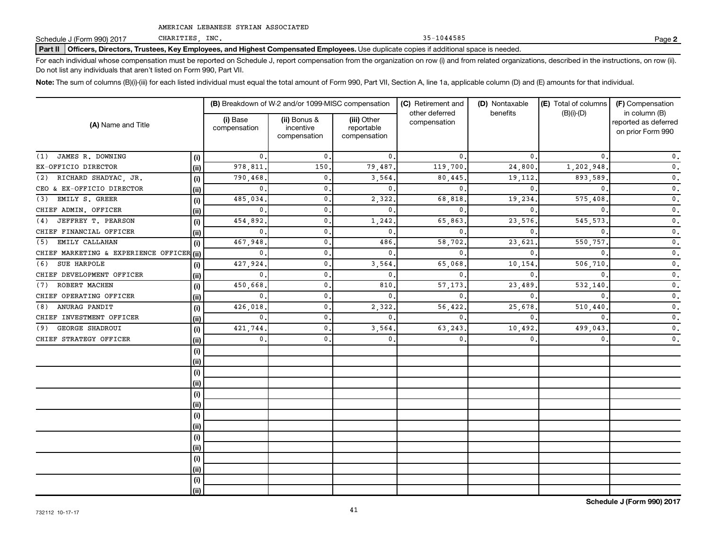Schedule J (Form 990) 2017

**Part II Officers, Directors, Trustees, Key Employees, and Highest Compensated Employees.** Use duplicate copies if additional space is needed.

For each individual whose compensation must be reported on Schedule J, report compensation from the organization on row (i) and from related organizations, described in the instructions, on row (ii). Do not list any individuals that aren't listed on Form 990, Part VII.

Note: The sum of columns (B)(i)-(iii) for each listed individual must equal the total amount of Form 990, Part VII, Section A, line 1a, applicable column (D) and (E) amounts for that individual.

|                                           |            |                          | (B) Breakdown of W-2 and/or 1099-MISC compensation |                                           | (C) Retirement and             | (D) Nontaxable | (E) Total of columns | (F) Compensation                                           |  |
|-------------------------------------------|------------|--------------------------|----------------------------------------------------|-------------------------------------------|--------------------------------|----------------|----------------------|------------------------------------------------------------|--|
| (A) Name and Title                        |            | (i) Base<br>compensation | (ii) Bonus &<br>incentive<br>compensation          | (iii) Other<br>reportable<br>compensation | other deferred<br>compensation | benefits       | $(B)(i)-(D)$         | in column (B)<br>reported as deferred<br>on prior Form 990 |  |
| JAMES R. DOWNING<br>(1)                   | (i)        | 0.                       | $\mathbf{0}$ .                                     | $\mathbf{0}$                              | 0                              | 0.             | 0.                   | $\mathfrak o$ .                                            |  |
| EX-OFFICIO DIRECTOR                       | (ii)       | 978.811                  | 150                                                | 79,487                                    | 119,700                        | 24,800         | 1,202,948            | $\mathbf{0}$ .                                             |  |
| RICHARD SHADYAC, JR.<br>(2)               | (i)        | 790,468                  | 0.                                                 | 3,564                                     | 80,445                         | 19,112.        | 893,589              | $\mathbf{0}$ .                                             |  |
| CEO & EX-OFFICIO DIRECTOR                 | (ii)       | 0                        | 0.                                                 | $\mathbf{0}$                              | 0                              | $\mathbf{0}$ . | $\mathbf{0}$         | $\mathfrak o$ .                                            |  |
| EMILY S. GREER<br>(3)                     | (i)        | 485,034                  | $\mathbf{0}$ .                                     | 2,322                                     | 68,818                         | 19,234         | 575,408              | $\mathfrak o$ .                                            |  |
| CHIEF ADMIN. OFFICER                      | (ii)       | 0                        | 0.                                                 | $\mathbf{0}$                              | 0                              | $\mathbf{0}$   | 0                    | $\mathfrak o$ .                                            |  |
| JEFFREY T. PEARSON<br>(4)                 | (i)        | 454,892                  | $\mathbf{0}$ .                                     | 1,242                                     | 65,863                         | 23,576         | 545,573              | $\mathfrak o$ .                                            |  |
| CHIEF FINANCIAL OFFICER                   | (i)        | 0                        | 0.                                                 | $\mathbf{0}$                              | $\Omega$                       | $\Omega$       |                      | $\mathbf 0$ .                                              |  |
| EMILY CALLAHAN<br>(5)                     | (i)        | 467,948                  | $\mathbf{0}$ .                                     | 486                                       | 58,702                         | 23,621         | 550,757              | $\mathfrak o$ .                                            |  |
| CHIEF MARKETING & EXPERIENCE OFFICER (ii) |            | 0                        | $\mathbf{0}$ .                                     | $\mathbf{0}$                              | $\Omega$                       | $\Omega$       |                      | $\mathfrak o$ .                                            |  |
| SUE HARPOLE<br>(6)                        | (i)        | 427,924                  | $\mathbf{0}$ .                                     | 3,564                                     | 65,068                         | 10,154         | 506,710              | $\mathfrak o$ .                                            |  |
| CHIEF DEVELOPMENT OFFICER                 | (ii)       | 0                        | $\mathbf{0}$ .                                     | $\mathbf{0}$                              | $\Omega$                       | $\Omega$       |                      | $\mathfrak o$ .                                            |  |
| ROBERT MACHEN<br>(7)                      | (i)        | 450,668                  | $\mathbf{0}$ .                                     | 810                                       | 57,173                         | 23,489         | 532,140              | $\mathfrak o$ .                                            |  |
| CHIEF OPERATING OFFICER                   | (i)        | $\mathbf{0}$             | 0.                                                 | $\mathbf{0}$ .                            | 0                              | $\Omega$       |                      | $\mathbf 0$ .                                              |  |
| ANURAG PANDIT<br>(8)                      | (i)        | 426,018                  | $\mathbf{0}$ .                                     | 2,322                                     | 56,422                         | 25,678         | 510,440              | $\mathfrak o$ .                                            |  |
| CHIEF INVESTMENT OFFICER                  | (iii)      | $\mathbf 0$              | $\mathbf{0}$ .                                     | $\mathbf{0}$ .                            | $\Omega$                       | $\Omega$       | $\Omega$             | $\mathfrak o$ .                                            |  |
| GEORGE SHADROUI<br>(9)                    | (i)        | 421,744                  | 0.                                                 | 3,564                                     | 63,243                         | 10,492         | 499,043              | $\mathfrak o$ .                                            |  |
| CHIEF STRATEGY OFFICER                    | (iii)      | 0.                       | 0.                                                 | 0.                                        | 0                              | $\mathbf{0}$ . | $\mathbf 0$ .        | $\mathbf 0$ .                                              |  |
|                                           | (i)<br>(i) |                          |                                                    |                                           |                                |                |                      |                                                            |  |
|                                           | (i)        |                          |                                                    |                                           |                                |                |                      |                                                            |  |
|                                           | (ii)       |                          |                                                    |                                           |                                |                |                      |                                                            |  |
|                                           | (i)        |                          |                                                    |                                           |                                |                |                      |                                                            |  |
|                                           | (ii)       |                          |                                                    |                                           |                                |                |                      |                                                            |  |
|                                           | (i)        |                          |                                                    |                                           |                                |                |                      |                                                            |  |
|                                           | (ii)       |                          |                                                    |                                           |                                |                |                      |                                                            |  |
|                                           | (i)        |                          |                                                    |                                           |                                |                |                      |                                                            |  |
|                                           | (i)        |                          |                                                    |                                           |                                |                |                      |                                                            |  |
|                                           | (i)        |                          |                                                    |                                           |                                |                |                      |                                                            |  |
|                                           | (ii)       |                          |                                                    |                                           |                                |                |                      |                                                            |  |
|                                           | (i)        |                          |                                                    |                                           |                                |                |                      |                                                            |  |
|                                           | (ii)       |                          |                                                    |                                           |                                |                |                      |                                                            |  |

CHARITIES, INC. 35-1044585 Page **2**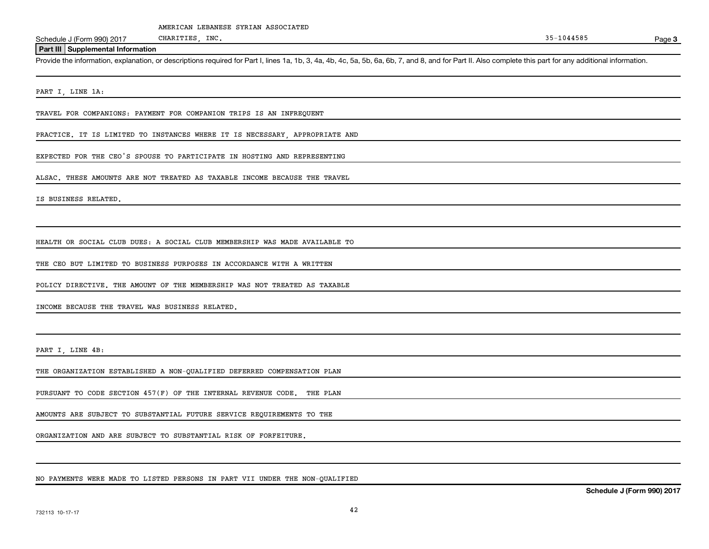Schedule J (Form 990) 2017

**Part III Supplemental Information**

Provide the information, explanation, or descriptions required for Part I, lines 1a, 1b, 3, 4a, 4b, 4c, 5a, 5b, 6a, 6b, 7, and 8, and for Part II. Also complete this part for any additional information.

PART I, LINE 1A:

TRAVEL FOR COMPANIONS: PAYMENT FOR COMPANION TRIPS IS AN INFREQUENT

PRACTICE. IT IS LIMITED TO INSTANCES WHERE IT IS NECESSARY, APPROPRIATE AND

EXPECTED FOR THE CEO'S SPOUSE TO PARTICIPATE IN HOSTING AND REPRESENTING

ALSAC. THESE AMOUNTS ARE NOT TREATED AS TAXABLE INCOME BECAUSE THE TRAVEL

IS BUSINESS RELATED.

HEALTH OR SOCIAL CLUB DUES: A SOCIAL CLUB MEMBERSHIP WAS MADE AVAILABLE TO

THE CEO BUT LIMITED TO BUSINESS PURPOSES IN ACCORDANCE WITH A WRITTEN

POLICY DIRECTIVE. THE AMOUNT OF THE MEMBERSHIP WAS NOT TREATED AS TAXABLE

INCOME BECAUSE THE TRAVEL WAS BUSINESS RELATED.

PART I, LINE 4B:

THE ORGANIZATION ESTABLISHED A NON-QUALIFIED DEFERRED COMPENSATION PLAN

PURSUANT TO CODE SECTION 457(F) OF THE INTERNAL REVENUE CODE. THE PLAN

AMOUNTS ARE SUBJECT TO SUBSTANTIAL FUTURE SERVICE REQUIREMENTS TO THE

ORGANIZATION AND ARE SUBJECT TO SUBSTANTIAL RISK OF FORFEITURE.

NO PAYMENTS WERE MADE TO LISTED PERSONS IN PART VII UNDER THE NON-QUALIFIED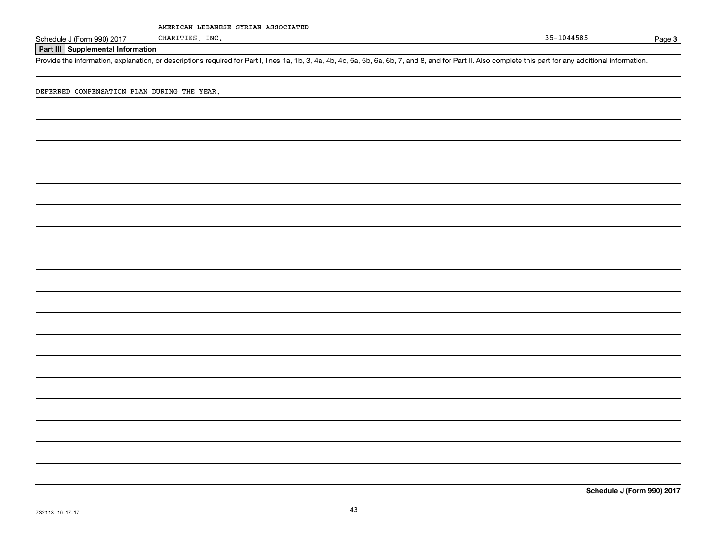Schedule J (Form 990) 2017

CHARITIES, INC. 35-1044585 Page **3**

#### **Part III Supplemental Information**

Provide the information, explanation, or descriptions required for Part I, lines 1a, 1b, 3, 4a, 4b, 4c, 5a, 5b, 6a, 6b, 7, and 8, and for Part II. Also complete this part for any additional information.

DEFERRED COMPENSATION PLAN DURING THE YEAR.

**Schedule J (Form 990) 2017**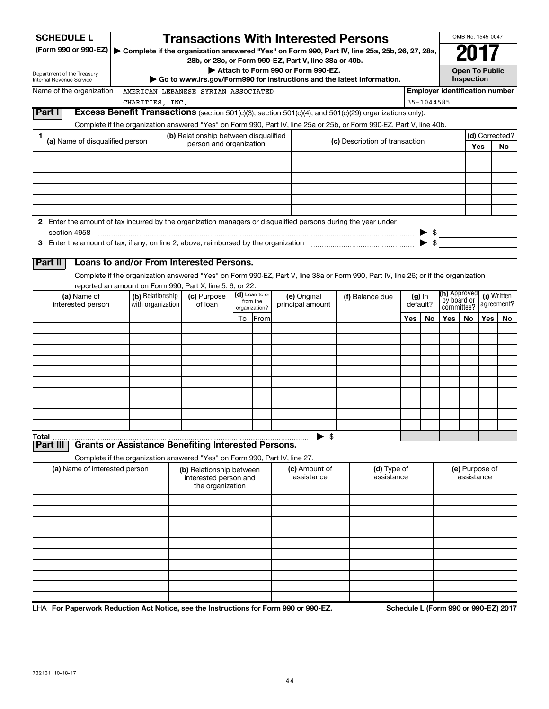| <b>SCHEDULE L</b>                                                                                                    |                                                                            |  | <b>Transactions With Interested Persons</b>                                                                  |    |                              |                                                     |                             |  |                                                                                                                                    |              |                                       |                                     | OMB No. 1545-0047            |            |                |  |
|----------------------------------------------------------------------------------------------------------------------|----------------------------------------------------------------------------|--|--------------------------------------------------------------------------------------------------------------|----|------------------------------|-----------------------------------------------------|-----------------------------|--|------------------------------------------------------------------------------------------------------------------------------------|--------------|---------------------------------------|-------------------------------------|------------------------------|------------|----------------|--|
| (Form 990 or 990-EZ)   Complete if the organization answered "Yes" on Form 990, Part IV, line 25a, 25b, 26, 27, 28a, |                                                                            |  |                                                                                                              |    |                              |                                                     |                             |  |                                                                                                                                    |              |                                       |                                     |                              |            |                |  |
|                                                                                                                      |                                                                            |  | 28b, or 28c, or Form 990-EZ, Part V, line 38a or 40b.                                                        |    |                              |                                                     |                             |  |                                                                                                                                    |              |                                       |                                     |                              |            |                |  |
| Department of the Treasury<br>Internal Revenue Service                                                               |                                                                            |  | Attach to Form 990 or Form 990-EZ.<br>Go to www.irs.gov/Form990 for instructions and the latest information. |    |                              |                                                     |                             |  |                                                                                                                                    |              |                                       | <b>Open To Public</b><br>Inspection |                              |            |                |  |
| Name of the organization                                                                                             |                                                                            |  | AMERICAN LEBANESE SYRIAN ASSOCIATED                                                                          |    |                              |                                                     |                             |  |                                                                                                                                    |              | <b>Employer identification number</b> |                                     |                              |            |                |  |
|                                                                                                                      | CHARITIES, INC.                                                            |  |                                                                                                              |    |                              |                                                     |                             |  |                                                                                                                                    |              | 35-1044585                            |                                     |                              |            |                |  |
| Part I                                                                                                               |                                                                            |  |                                                                                                              |    |                              |                                                     |                             |  | Excess Benefit Transactions (section 501(c)(3), section 501(c)(4), and 501(c)(29) organizations only).                             |              |                                       |                                     |                              |            |                |  |
|                                                                                                                      |                                                                            |  |                                                                                                              |    |                              |                                                     |                             |  | Complete if the organization answered "Yes" on Form 990, Part IV, line 25a or 25b, or Form 990-EZ, Part V, line 40b.               |              |                                       |                                     |                              |            |                |  |
| 1<br>(a) Name of disqualified person                                                                                 |                                                                            |  | (b) Relationship between disqualified<br>person and organization                                             |    |                              |                                                     |                             |  | (c) Description of transaction                                                                                                     |              |                                       |                                     |                              |            | (d) Corrected? |  |
|                                                                                                                      |                                                                            |  |                                                                                                              |    |                              |                                                     |                             |  |                                                                                                                                    |              |                                       |                                     | Yes                          | <b>No</b>  |                |  |
|                                                                                                                      |                                                                            |  |                                                                                                              |    |                              |                                                     |                             |  |                                                                                                                                    |              |                                       |                                     |                              |            |                |  |
|                                                                                                                      |                                                                            |  |                                                                                                              |    |                              |                                                     |                             |  |                                                                                                                                    |              |                                       |                                     |                              |            |                |  |
|                                                                                                                      |                                                                            |  |                                                                                                              |    |                              |                                                     |                             |  |                                                                                                                                    |              |                                       |                                     |                              |            |                |  |
|                                                                                                                      |                                                                            |  |                                                                                                              |    |                              |                                                     |                             |  |                                                                                                                                    |              |                                       |                                     |                              |            |                |  |
|                                                                                                                      |                                                                            |  |                                                                                                              |    |                              |                                                     |                             |  |                                                                                                                                    |              |                                       |                                     |                              |            |                |  |
| 2 Enter the amount of tax incurred by the organization managers or disqualified persons during the year under        |                                                                            |  |                                                                                                              |    |                              |                                                     |                             |  |                                                                                                                                    |              |                                       |                                     |                              |            |                |  |
| section 4958                                                                                                         |                                                                            |  |                                                                                                              |    |                              |                                                     |                             |  |                                                                                                                                    |              | $\blacktriangleright$ \$              | $\triangleright$ \$                 |                              |            |                |  |
|                                                                                                                      |                                                                            |  |                                                                                                              |    |                              |                                                     |                             |  |                                                                                                                                    |              |                                       |                                     |                              |            |                |  |
| Part II                                                                                                              | Loans to and/or From Interested Persons.                                   |  |                                                                                                              |    |                              |                                                     |                             |  |                                                                                                                                    |              |                                       |                                     |                              |            |                |  |
|                                                                                                                      |                                                                            |  |                                                                                                              |    |                              |                                                     |                             |  | Complete if the organization answered "Yes" on Form 990-EZ, Part V, line 38a or Form 990, Part IV, line 26; or if the organization |              |                                       |                                     |                              |            |                |  |
|                                                                                                                      | reported an amount on Form 990, Part X, line 5, 6, or 22.                  |  |                                                                                                              |    |                              |                                                     |                             |  |                                                                                                                                    |              |                                       | <b>(h)</b> Approved                 |                              |            |                |  |
| (a) Name of<br>interested person                                                                                     | (b) Relationship<br>with organization                                      |  | (c) Purpose<br>of loan                                                                                       |    | $(d)$ Loan to or<br>from the | (e) Original<br>(f) Balance due<br>principal amount |                             |  | $(g)$ In<br>default?                                                                                                               | `by board or |                                       |                                     | (i) Written<br>agreement?    |            |                |  |
|                                                                                                                      |                                                                            |  |                                                                                                              | To | organization?<br>From        |                                                     |                             |  | Yes                                                                                                                                |              | No                                    | committee?<br>Yes                   | No.                          | <b>Yes</b> | No             |  |
|                                                                                                                      |                                                                            |  |                                                                                                              |    |                              |                                                     |                             |  |                                                                                                                                    |              |                                       |                                     |                              |            |                |  |
|                                                                                                                      |                                                                            |  |                                                                                                              |    |                              |                                                     |                             |  |                                                                                                                                    |              |                                       |                                     |                              |            |                |  |
|                                                                                                                      |                                                                            |  |                                                                                                              |    |                              |                                                     |                             |  |                                                                                                                                    |              |                                       |                                     |                              |            |                |  |
|                                                                                                                      |                                                                            |  |                                                                                                              |    |                              |                                                     |                             |  |                                                                                                                                    |              |                                       |                                     |                              |            |                |  |
|                                                                                                                      |                                                                            |  |                                                                                                              |    |                              |                                                     |                             |  |                                                                                                                                    |              |                                       |                                     |                              |            |                |  |
|                                                                                                                      |                                                                            |  |                                                                                                              |    |                              |                                                     |                             |  |                                                                                                                                    |              |                                       |                                     |                              |            |                |  |
|                                                                                                                      |                                                                            |  |                                                                                                              |    |                              |                                                     |                             |  |                                                                                                                                    |              |                                       |                                     |                              |            |                |  |
|                                                                                                                      |                                                                            |  |                                                                                                              |    |                              |                                                     |                             |  |                                                                                                                                    |              |                                       |                                     |                              |            |                |  |
|                                                                                                                      |                                                                            |  |                                                                                                              |    |                              |                                                     |                             |  |                                                                                                                                    |              |                                       |                                     |                              |            |                |  |
| Total                                                                                                                |                                                                            |  |                                                                                                              |    |                              |                                                     | $\blacktriangleright$ \$    |  |                                                                                                                                    |              |                                       |                                     |                              |            |                |  |
| Part II                                                                                                              | <b>Grants or Assistance Benefiting Interested Persons.</b>                 |  |                                                                                                              |    |                              |                                                     |                             |  |                                                                                                                                    |              |                                       |                                     |                              |            |                |  |
|                                                                                                                      | Complete if the organization answered "Yes" on Form 990, Part IV, line 27. |  |                                                                                                              |    |                              |                                                     |                             |  |                                                                                                                                    |              |                                       |                                     |                              |            |                |  |
| (a) Name of interested person                                                                                        |                                                                            |  | (b) Relationship between<br>interested person and<br>the organization                                        |    |                              |                                                     | (c) Amount of<br>assistance |  | (d) Type of<br>assistance                                                                                                          |              |                                       |                                     | (e) Purpose of<br>assistance |            |                |  |
|                                                                                                                      |                                                                            |  |                                                                                                              |    |                              |                                                     |                             |  |                                                                                                                                    |              |                                       |                                     |                              |            |                |  |
|                                                                                                                      |                                                                            |  |                                                                                                              |    |                              |                                                     |                             |  |                                                                                                                                    |              |                                       |                                     |                              |            |                |  |
|                                                                                                                      |                                                                            |  |                                                                                                              |    |                              |                                                     |                             |  |                                                                                                                                    |              |                                       |                                     |                              |            |                |  |
|                                                                                                                      |                                                                            |  |                                                                                                              |    |                              |                                                     |                             |  |                                                                                                                                    |              |                                       |                                     |                              |            |                |  |
|                                                                                                                      |                                                                            |  |                                                                                                              |    |                              |                                                     |                             |  |                                                                                                                                    |              |                                       |                                     |                              |            |                |  |
|                                                                                                                      |                                                                            |  |                                                                                                              |    |                              |                                                     |                             |  |                                                                                                                                    |              |                                       |                                     |                              |            |                |  |
|                                                                                                                      |                                                                            |  |                                                                                                              |    |                              |                                                     |                             |  |                                                                                                                                    |              |                                       |                                     |                              |            |                |  |
|                                                                                                                      |                                                                            |  |                                                                                                              |    |                              |                                                     |                             |  |                                                                                                                                    |              |                                       |                                     |                              |            |                |  |
|                                                                                                                      |                                                                            |  |                                                                                                              |    |                              |                                                     |                             |  |                                                                                                                                    |              |                                       |                                     |                              |            |                |  |

LHA **For Paperwork Reduction Act Notice, see the Instructions for Form 990 or 990-EZ. Schedule L (Form 990 or 990-EZ) 2017**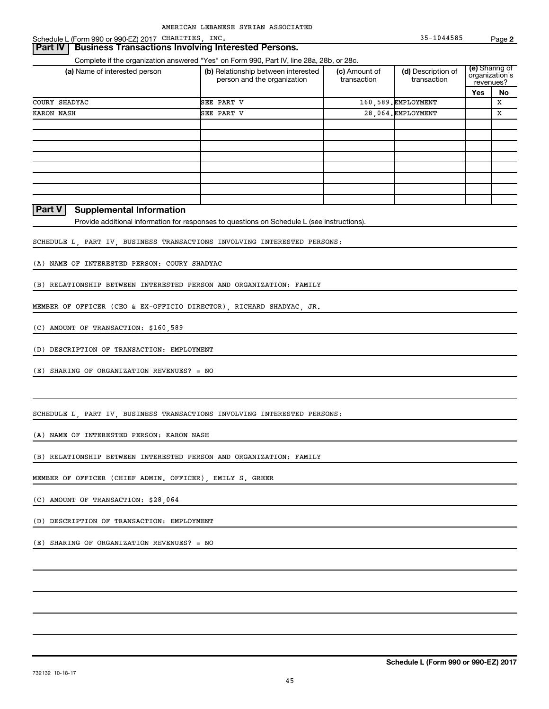#### **Part IV | Business Transactions Involving Interested Persons.**

Complete if the organization answered "Yes" on Form 990, Part IV, line 28a, 28b, or 28c.

| (a) Name of interested person | (b) Relationship between interested<br>(c) Amount of<br>person and the organization<br>transaction<br>transaction |  | (d) Description of  | revenues? | (e) Sharing of<br>organization's |
|-------------------------------|-------------------------------------------------------------------------------------------------------------------|--|---------------------|-----------|----------------------------------|
|                               |                                                                                                                   |  |                     | Yes       | No                               |
| COURY SHADYAC                 | SEE PART V                                                                                                        |  | 160,589. EMPLOYMENT |           | X                                |
| KARON NASH                    | SEE PART V                                                                                                        |  | 28.064. EMPLOYMENT  |           | x                                |
|                               |                                                                                                                   |  |                     |           |                                  |
|                               |                                                                                                                   |  |                     |           |                                  |
|                               |                                                                                                                   |  |                     |           |                                  |
|                               |                                                                                                                   |  |                     |           |                                  |
|                               |                                                                                                                   |  |                     |           |                                  |
|                               |                                                                                                                   |  |                     |           |                                  |
|                               |                                                                                                                   |  |                     |           |                                  |
|                               |                                                                                                                   |  |                     |           |                                  |

#### **Part V Supplemental Information**

Provide additional information for responses to questions on Schedule L (see instructions).

SCHEDULE L, PART IV, BUSINESS TRANSACTIONS INVOLVING INTERESTED PERSONS:

(A) NAME OF INTERESTED PERSON: COURY SHADYAC

(B) RELATIONSHIP BETWEEN INTERESTED PERSON AND ORGANIZATION: FAMILY

MEMBER OF OFFICER (CEO & EX-OFFICIO DIRECTOR), RICHARD SHADYAC, JR.

(C) AMOUNT OF TRANSACTION: \$160,589

(D) DESCRIPTION OF TRANSACTION: EMPLOYMENT

(E) SHARING OF ORGANIZATION REVENUES? = NO

SCHEDULE L, PART IV, BUSINESS TRANSACTIONS INVOLVING INTERESTED PERSONS:

(A) NAME OF INTERESTED PERSON: KARON NASH

(B) RELATIONSHIP BETWEEN INTERESTED PERSON AND ORGANIZATION: FAMILY

MEMBER OF OFFICER (CHIEF ADMIN. OFFICER), EMILY S. GREER

(C) AMOUNT OF TRANSACTION: \$28,064

(D) DESCRIPTION OF TRANSACTION: EMPLOYMENT

(E) SHARING OF ORGANIZATION REVENUES? = NO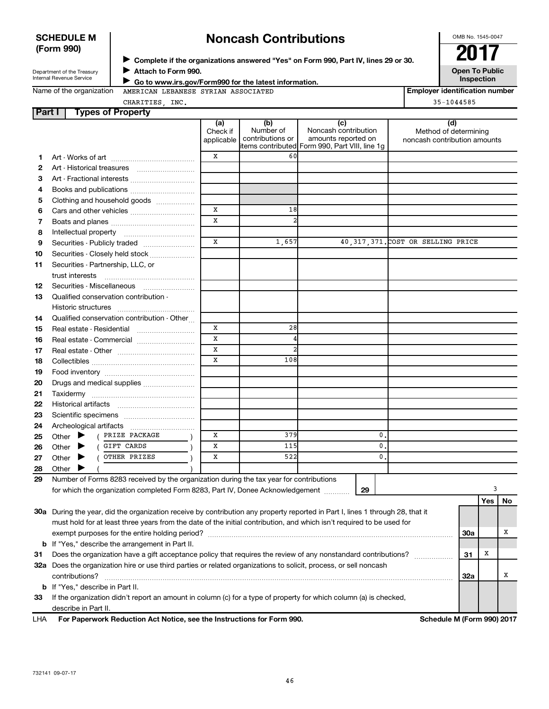# SCHEDULE M **Noncash Contributions**  $\begin{array}{|c|c|c|c|c|}\n\hline\n\text{Form 990} & & \text{Mean 1545-0047}\n\hline\n\end{array}$

<sup>J</sup>**Complete if the organizations answered "Yes" on Form 990, Part IV, lines 29 or 30. 2017**

# Department of the Treasury **Department of the Treasury Department of the Treasury Department of the Treasury Department of the Inspection in the Internal Revenue Service <b>Service Joseph To Public** Inspection **Continues t**

Internal Revenue Service **Internal Revenue Service July 1999 Go to www.irs.gov/Form990 for the latest information.**<br>Name of the organization AMERICAN LEBANESE SYRIAN ASSOCIATED **Inspection Inspection number** AMERICAN LEBANESE SYRIAN ASSOCIATED

CHARITIES, INC. 35-1044585

**Part I Types of Property**

| Part i   | Types of Property                                                                                                                                                                                                                                       |                               |                                      |                                                                                                      |                                                              |     |     |    |
|----------|---------------------------------------------------------------------------------------------------------------------------------------------------------------------------------------------------------------------------------------------------------|-------------------------------|--------------------------------------|------------------------------------------------------------------------------------------------------|--------------------------------------------------------------|-----|-----|----|
|          |                                                                                                                                                                                                                                                         | (a)<br>Check if<br>applicable | (b)<br>Number of<br>contributions or | (c)<br>Noncash contribution<br>amounts reported on<br>items contributed Form 990, Part VIII, line 1g | (d)<br>Method of determining<br>noncash contribution amounts |     |     |    |
| 1        |                                                                                                                                                                                                                                                         | x                             | 60                                   |                                                                                                      |                                                              |     |     |    |
| 2        |                                                                                                                                                                                                                                                         |                               |                                      |                                                                                                      |                                                              |     |     |    |
| З        | Art - Fractional interests                                                                                                                                                                                                                              |                               |                                      |                                                                                                      |                                                              |     |     |    |
| 4        | Books and publications                                                                                                                                                                                                                                  |                               |                                      |                                                                                                      |                                                              |     |     |    |
| 5        | Clothing and household goods                                                                                                                                                                                                                            |                               |                                      |                                                                                                      |                                                              |     |     |    |
| 6        | Cars and other vehicles                                                                                                                                                                                                                                 | X                             | 18                                   |                                                                                                      |                                                              |     |     |    |
| 7        |                                                                                                                                                                                                                                                         | $\mathbf x$                   | $\overline{a}$                       |                                                                                                      |                                                              |     |     |    |
| 8        |                                                                                                                                                                                                                                                         |                               |                                      |                                                                                                      |                                                              |     |     |    |
| 9        | Securities - Publicly traded                                                                                                                                                                                                                            | $\mathbf x$                   | 1,657                                |                                                                                                      | 40, 317, 371. COST OR SELLING PRICE                          |     |     |    |
| 10       | Securities - Closely held stock                                                                                                                                                                                                                         |                               |                                      |                                                                                                      |                                                              |     |     |    |
| 11       | Securities - Partnership, LLC, or                                                                                                                                                                                                                       |                               |                                      |                                                                                                      |                                                              |     |     |    |
|          |                                                                                                                                                                                                                                                         |                               |                                      |                                                                                                      |                                                              |     |     |    |
|          | Securities - Miscellaneous                                                                                                                                                                                                                              |                               |                                      |                                                                                                      |                                                              |     |     |    |
| 12<br>13 | Qualified conservation contribution -                                                                                                                                                                                                                   |                               |                                      |                                                                                                      |                                                              |     |     |    |
|          |                                                                                                                                                                                                                                                         |                               |                                      |                                                                                                      |                                                              |     |     |    |
| 14       | Qualified conservation contribution - Other                                                                                                                                                                                                             |                               |                                      |                                                                                                      |                                                              |     |     |    |
| 15       |                                                                                                                                                                                                                                                         | Х                             | 28                                   |                                                                                                      |                                                              |     |     |    |
| 16       | Real estate - Commercial                                                                                                                                                                                                                                | $\mathbf x$                   | 4                                    |                                                                                                      |                                                              |     |     |    |
| 17       |                                                                                                                                                                                                                                                         | $\mathbf x$                   | $\overline{2}$                       |                                                                                                      |                                                              |     |     |    |
| 18       |                                                                                                                                                                                                                                                         | $\mathbf x$                   | 108                                  |                                                                                                      |                                                              |     |     |    |
|          |                                                                                                                                                                                                                                                         |                               |                                      |                                                                                                      |                                                              |     |     |    |
| 19       |                                                                                                                                                                                                                                                         |                               |                                      |                                                                                                      |                                                              |     |     |    |
| 20       | Drugs and medical supplies                                                                                                                                                                                                                              |                               |                                      |                                                                                                      |                                                              |     |     |    |
| 21<br>22 |                                                                                                                                                                                                                                                         |                               |                                      |                                                                                                      |                                                              |     |     |    |
|          |                                                                                                                                                                                                                                                         |                               |                                      |                                                                                                      |                                                              |     |     |    |
| 23       |                                                                                                                                                                                                                                                         |                               |                                      |                                                                                                      |                                                              |     |     |    |
| 24       | Other $\blacktriangleright$<br>( PRIZE PACKAGE                                                                                                                                                                                                          | Х                             | 379                                  |                                                                                                      | 0.                                                           |     |     |    |
| 25       | GIFT CARDS<br>Other $\blacktriangleright$                                                                                                                                                                                                               | X                             | 115                                  |                                                                                                      | $\mathbf{0}$                                                 |     |     |    |
| 26       | OTHER PRIZES                                                                                                                                                                                                                                            | Х                             | 522                                  |                                                                                                      | 0.                                                           |     |     |    |
| 27       | Other $\blacktriangleright$                                                                                                                                                                                                                             |                               |                                      |                                                                                                      |                                                              |     |     |    |
| 28       | Other<br>Number of Forms 8283 received by the organization during the tax year for contributions                                                                                                                                                        |                               |                                      |                                                                                                      |                                                              |     |     |    |
| 29       |                                                                                                                                                                                                                                                         |                               |                                      |                                                                                                      |                                                              |     | 3   |    |
|          | for which the organization completed Form 8283, Part IV, Donee Acknowledgement                                                                                                                                                                          |                               |                                      | 29                                                                                                   |                                                              |     |     |    |
|          |                                                                                                                                                                                                                                                         |                               |                                      |                                                                                                      |                                                              |     | Yes | No |
|          | 30a During the year, did the organization receive by contribution any property reported in Part I, lines 1 through 28, that it<br>must hold for at least three years from the date of the initial contribution, and which isn't required to be used for |                               |                                      |                                                                                                      |                                                              |     |     |    |
|          |                                                                                                                                                                                                                                                         |                               |                                      |                                                                                                      |                                                              |     |     | х  |
|          |                                                                                                                                                                                                                                                         |                               |                                      |                                                                                                      |                                                              | 30a |     |    |
|          | <b>b</b> If "Yes," describe the arrangement in Part II.<br>Does the organization have a gift acceptance policy that requires the review of any nonstandard contributions?<br>31                                                                         |                               |                                      |                                                                                                      |                                                              |     |     |    |
| 31       |                                                                                                                                                                                                                                                         |                               |                                      |                                                                                                      |                                                              |     |     |    |
|          | 32a Does the organization hire or use third parties or related organizations to solicit, process, or sell noncash<br>contributions?                                                                                                                     |                               |                                      |                                                                                                      |                                                              |     |     |    |
|          | <b>b</b> If "Yes," describe in Part II.                                                                                                                                                                                                                 |                               |                                      |                                                                                                      |                                                              | 32a |     | х  |
|          | If the organization didn't report an amount in column (c) for a type of property for which column (a) is checked,                                                                                                                                       |                               |                                      |                                                                                                      |                                                              |     |     |    |
| 33       | describe in Part II.                                                                                                                                                                                                                                    |                               |                                      |                                                                                                      |                                                              |     |     |    |
| LHA      | For Paperwork Reduction Act Notice, see the Instructions for Form 990.                                                                                                                                                                                  |                               |                                      |                                                                                                      | Schedule M (Form 990) 2017                                   |     |     |    |
|          |                                                                                                                                                                                                                                                         |                               |                                      |                                                                                                      |                                                              |     |     |    |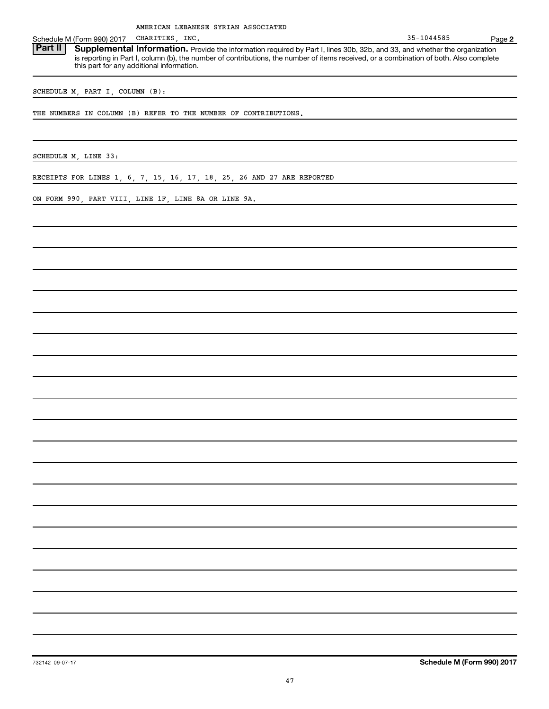Schedule M (Form 990) 2017 CHARITIES, INC.<br>**Part II | Supplemental Information.** Provide the information required by Part I. lines 30b, 32b, and 33, and whether the organization **Supplemental Information.** Provide the information required by Part I, lines 30b, 32b, and 33, and whether the organization is reporting in Part I, column (b), the number of contributions, the number of items received, or a combination of both. Also complete this part for any additional information.

SCHEDULE M, PART I, COLUMN (B):

THE NUMBERS IN COLUMN (B) REFER TO THE NUMBER OF CONTRIBUTIONS.

SCHEDULE M, LINE 33:

RECEIPTS FOR LINES 1, 6, 7, 15, 16, 17, 18, 25, 26 AND 27 ARE REPORTED

ON FORM 990, PART VIII, LINE 1F, LINE 8A OR LINE 9A.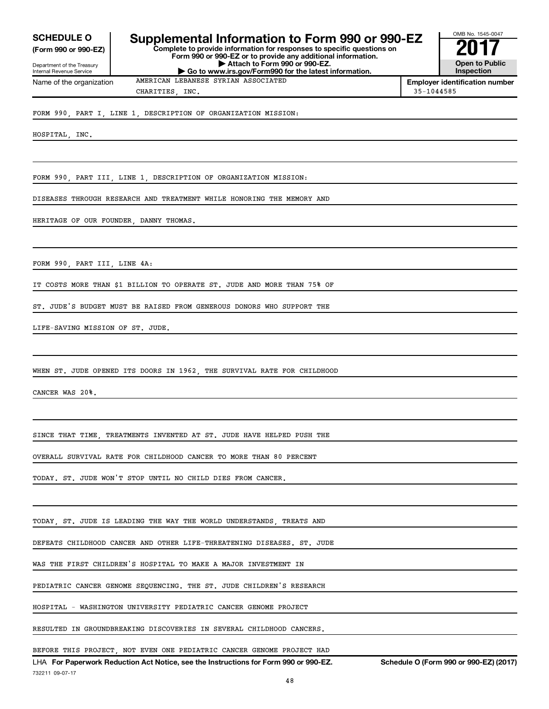**SCHEDULE O**

**(Form 990 or 990-EZ)**

Department of the Treasury Internal Revenue Service

## **Supplemental Information to Form 990 or 990-EZ Complete to provide information for responses to specific questions on**

**Form 990 or 990-EZ or to provide any additional information. | Attach to Form 990 or 990-EZ. | Go to www.irs.gov/Form990 for the latest information.**

OMB No. 1545-0047 **2017 Open to Public Inspection**

Name of the organization MERICAN LEBANESE SYRIAN ASSOCIATED **Employer identification number** CHARITIES, INC. 35-1044585

FORM 990, PART I, LINE 1, DESCRIPTION OF ORGANIZATION MISSION:

HOSPITAL, INC.

FORM 990, PART III, LINE 1, DESCRIPTION OF ORGANIZATION MISSION:

DISEASES THROUGH RESEARCH AND TREATMENT WHILE HONORING THE MEMORY AND

HERITAGE OF OUR FOUNDER, DANNY THOMAS.

FORM 990, PART III, LINE 4A:

IT COSTS MORE THAN \$1 BILLION TO OPERATE ST. JUDE AND MORE THAN 75% OF

ST. JUDE'S BUDGET MUST BE RAISED FROM GENEROUS DONORS WHO SUPPORT THE

LIFE-SAVING MISSION OF ST. JUDE.

WHEN ST. JUDE OPENED ITS DOORS IN 1962, THE SURVIVAL RATE FOR CHILDHOOD

CANCER WAS 20%.

SINCE THAT TIME, TREATMENTS INVENTED AT ST. JUDE HAVE HELPED PUSH THE

OVERALL SURVIVAL RATE FOR CHILDHOOD CANCER TO MORE THAN 80 PERCENT

TODAY. ST. JUDE WON'T STOP UNTIL NO CHILD DIES FROM CANCER.

TODAY, ST. JUDE IS LEADING THE WAY THE WORLD UNDERSTANDS, TREATS AND

DEFEATS CHILDHOOD CANCER AND OTHER LIFE-THREATENING DISEASES. ST. JUDE

WAS THE FIRST CHILDREN'S HOSPITAL TO MAKE A MAJOR INVESTMENT IN

PEDIATRIC CANCER GENOME SEQUENCING. THE ST. JUDE CHILDREN'S RESEARCH

HOSPITAL - WASHINGTON UNIVERSITY PEDIATRIC CANCER GENOME PROJECT

RESULTED IN GROUNDBREAKING DISCOVERIES IN SEVERAL CHILDHOOD CANCERS.

BEFORE THIS PROJECT, NOT EVEN ONE PEDIATRIC CANCER GENOME PROJECT HAD

LHA **For Paperwork Reduction Act Notice, see the Instructions for Form 990 or 990-EZ. Schedule O (Form 990 or 990-EZ) (2017)** 732211 09-07-17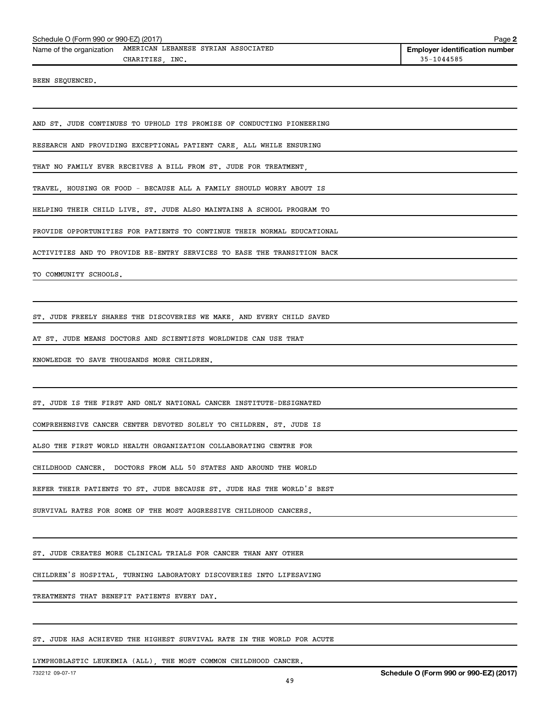| Schedule O (Form 990 or 990-EZ) (2017) | Page : |
|----------------------------------------|--------|
|                                        |        |

Name of the organization AMERICAN LEBANESE SYRIAN ASSOCIATED **Employer identification number** CHARITIES INC. 35-1044585

BEEN SEQUENCED.

AND ST. JUDE CONTINUES TO UPHOLD ITS PROMISE OF CONDUCTING PIONEERING

RESEARCH AND PROVIDING EXCEPTIONAL PATIENT CARE, ALL WHILE ENSURING

THAT NO FAMILY EVER RECEIVES A BILL FROM ST. JUDE FOR TREATMENT,

TRAVEL, HOUSING OR FOOD - BECAUSE ALL A FAMILY SHOULD WORRY ABOUT IS

HELPING THEIR CHILD LIVE. ST. JUDE ALSO MAINTAINS A SCHOOL PROGRAM TO

PROVIDE OPPORTUNITIES FOR PATIENTS TO CONTINUE THEIR NORMAL EDUCATIONAL

ACTIVITIES AND TO PROVIDE RE-ENTRY SERVICES TO EASE THE TRANSITION BACK

TO COMMUNITY SCHOOLS.

ST. JUDE FREELY SHARES THE DISCOVERIES WE MAKE, AND EVERY CHILD SAVED

AT ST. JUDE MEANS DOCTORS AND SCIENTISTS WORLDWIDE CAN USE THAT

KNOWLEDGE TO SAVE THOUSANDS MORE CHILDREN.

ST. JUDE IS THE FIRST AND ONLY NATIONAL CANCER INSTITUTE-DESIGNATED

COMPREHENSIVE CANCER CENTER DEVOTED SOLELY TO CHILDREN. ST. JUDE IS

ALSO THE FIRST WORLD HEALTH ORGANIZATION COLLABORATING CENTRE FOR

CHILDHOOD CANCER. DOCTORS FROM ALL 50 STATES AND AROUND THE WORLD

REFER THEIR PATIENTS TO ST. JUDE BECAUSE ST. JUDE HAS THE WORLD'S BEST

SURVIVAL RATES FOR SOME OF THE MOST AGGRESSIVE CHILDHOOD CANCERS.

ST. JUDE CREATES MORE CLINICAL TRIALS FOR CANCER THAN ANY OTHER

CHILDREN'S HOSPITAL, TURNING LABORATORY DISCOVERIES INTO LIFESAVING

TREATMENTS THAT BENEFIT PATIENTS EVERY DAY.

ST. JUDE HAS ACHIEVED THE HIGHEST SURVIVAL RATE IN THE WORLD FOR ACUTE

LYMPHOBLASTIC LEUKEMIA (ALL), THE MOST COMMON CHILDHOOD CANCER.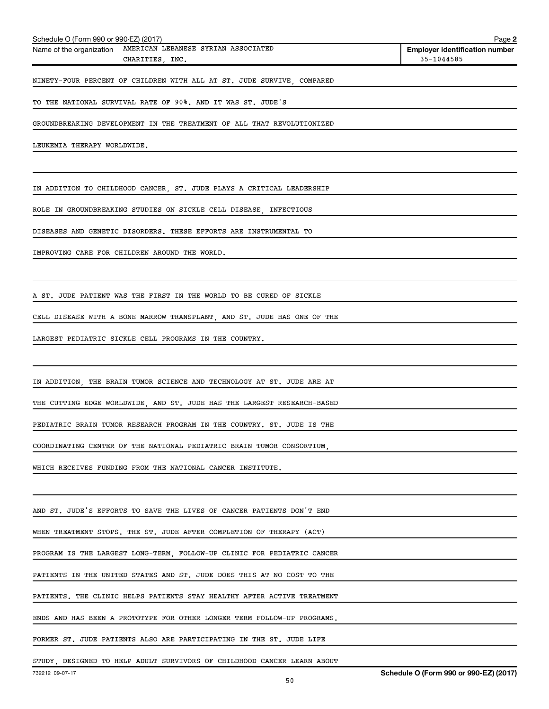| Schedule O (Form 990 or 990-EZ) (2017)                                  | Page 2                                |
|-------------------------------------------------------------------------|---------------------------------------|
| Name of the organization AMERICAN LEBANESE SYRIAN ASSOCIATED            | <b>Employer identification number</b> |
| CHARITIES, INC.                                                         | 35-1044585                            |
| NINETY-FOUR PERCENT OF CHILDREN WITH ALL AT ST. JUDE SURVIVE, COMPARED  |                                       |
| TO THE NATIONAL SURVIVAL RATE OF 90%. AND IT WAS ST. JUDE'S             |                                       |
| GROUNDBREAKING DEVELOPMENT IN THE TREATMENT OF ALL THAT REVOLUTIONIZED  |                                       |
| LEUKEMIA THERAPY WORLDWIDE.                                             |                                       |
|                                                                         |                                       |
| IN ADDITION TO CHILDHOOD CANCER, ST. JUDE PLAYS A CRITICAL LEADERSHIP   |                                       |
| ROLE IN GROUNDBREAKING STUDIES ON SICKLE CELL DISEASE, INFECTIOUS       |                                       |
| DISEASES AND GENETIC DISORDERS. THESE EFFORTS ARE INSTRUMENTAL TO       |                                       |
| IMPROVING CARE FOR CHILDREN AROUND THE WORLD.                           |                                       |
|                                                                         |                                       |
| A ST. JUDE PATIENT WAS THE FIRST IN THE WORLD TO BE CURED OF SICKLE     |                                       |
| CELL DISEASE WITH A BONE MARROW TRANSPLANT, AND ST. JUDE HAS ONE OF THE |                                       |
| LARGEST PEDIATRIC SICKLE CELL PROGRAMS IN THE COUNTRY.                  |                                       |
|                                                                         |                                       |
| IN ADDITION, THE BRAIN TUMOR SCIENCE AND TECHNOLOGY AT ST. JUDE ARE AT  |                                       |
| THE CUTTING EDGE WORLDWIDE, AND ST. JUDE HAS THE LARGEST RESEARCH-BASED |                                       |
| PEDIATRIC BRAIN TUMOR RESEARCH PROGRAM IN THE COUNTRY. ST. JUDE IS THE  |                                       |

COORDINATING CENTER OF THE NATIONAL PEDIATRIC BRAIN TUMOR CONSORTIUM,

WHICH RECEIVES FUNDING FROM THE NATIONAL CANCER INSTITUTE.

AND ST. JUDE'S EFFORTS TO SAVE THE LIVES OF CANCER PATIENTS DON'T END

WHEN TREATMENT STOPS. THE ST. JUDE AFTER COMPLETION OF THERAPY (ACT)

PROGRAM IS THE LARGEST LONG-TERM, FOLLOW-UP CLINIC FOR PEDIATRIC CANCER

PATIENTS IN THE UNITED STATES AND ST. JUDE DOES THIS AT NO COST TO THE

PATIENTS. THE CLINIC HELPS PATIENTS STAY HEALTHY AFTER ACTIVE TREATMENT

ENDS AND HAS BEEN A PROTOTYPE FOR OTHER LONGER TERM FOLLOW-UP PROGRAMS.

FORMER ST. JUDE PATIENTS ALSO ARE PARTICIPATING IN THE ST. JUDE LIFE

STUDY, DESIGNED TO HELP ADULT SURVIVORS OF CHILDHOOD CANCER LEARN ABOUT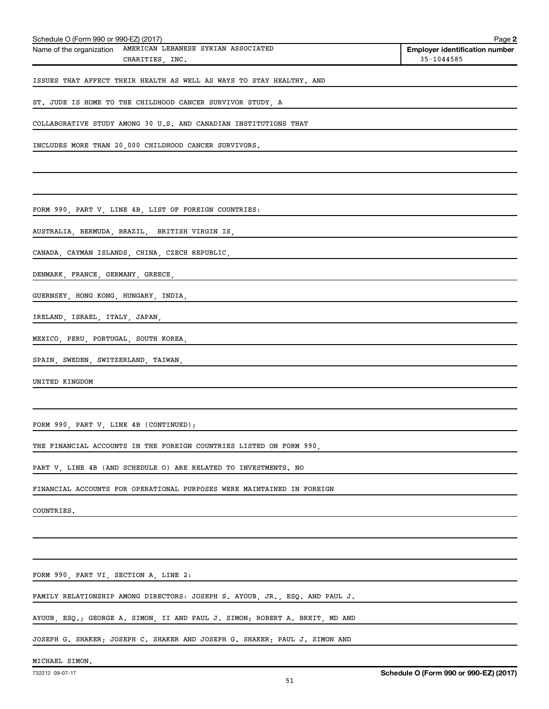| Schedule O (Form 990 or 990-EZ) (2017)                               | Page 2                                |
|----------------------------------------------------------------------|---------------------------------------|
| Name of the organization AMERICAN LEBANESE SYRIAN ASSOCIATED         | <b>Employer identification number</b> |
| CHARITIES, INC.                                                      | 35-1044585                            |
| ISSUES THAT AFFECT THEIR HEALTH AS WELL AS WAYS TO STAY HEALTHY. AND |                                       |
| ST. JUDE IS HOME TO THE CHILDHOOD CANCER SURVIVOR STUDY, A           |                                       |
| COLLABORATIVE STUDY AMONG 30 U.S. AND CANADIAN INSTITUTIONS THAT     |                                       |
| INCLUDES MORE THAN 20,000 CHILDHOOD CANCER SURVIVORS.                |                                       |
|                                                                      |                                       |
|                                                                      |                                       |
| FORM 990, PART V, LINE 4B, LIST OF FOREIGN COUNTRIES:                |                                       |
| AUSTRALIA, BERMUDA, BRAZIL, BRITISH VIRGIN IS,                       |                                       |
| CANADA, CAYMAN ISLANDS, CHINA, CZECH REPUBLIC,                       |                                       |
| DENMARK, FRANCE, GERMANY, GREECE,                                    |                                       |
| GUERNSEY, HONG KONG, HUNGARY, INDIA,                                 |                                       |

IRELAND, ISRAEL, ITALY, JAPAN,

MEXICO, PERU, PORTUGAL, SOUTH KOREA,

SPAIN, SWEDEN, SWITZERLAND, TAIWAN,

UNITED KINGDOM

FORM 990, PART V, LINE 4B (CONTINUED);

THE FINANCIAL ACCOUNTS IN THE FOREIGN COUNTRIES LISTED ON FORM 990,

PART V, LINE 4B (AND SCHEDULE O) ARE RELATED TO INVESTMENTS. NO

FINANCIAL ACCOUNTS FOR OPERATIONAL PURPOSES WERE MAINTAINED IN FOREIGN

COUNTRIES.

FORM 990, PART VI, SECTION A, LINE 2:

FAMILY RELATIONSHIP AMONG DIRECTORS: JOSEPH S. AYOUB, JR., ESQ. AND PAUL J.

AYOUB, ESQ.; GEORGE A. SIMON, II AND PAUL J. SIMON; ROBERT A. BREIT, MD AND

JOSEPH G. SHAKER; JOSEPH C. SHAKER AND JOSEPH G. SHAKER; PAUL J. SIMON AND

MICHAEL SIMON.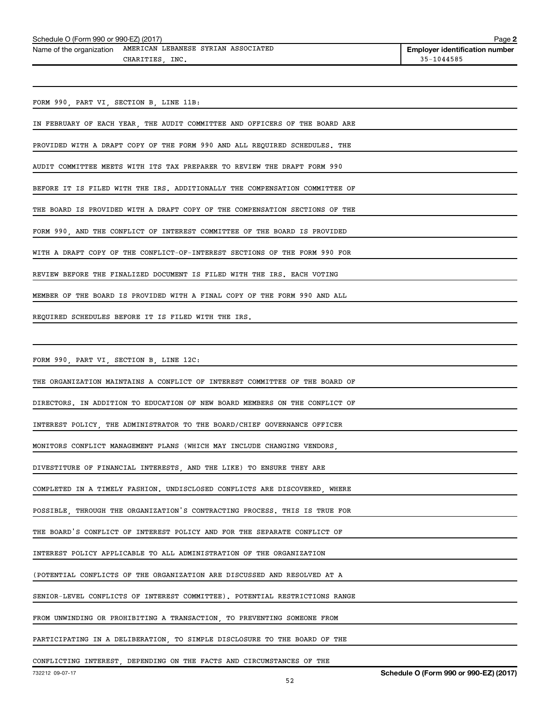| Schedule O (Form 990 or 990-EZ) (2017) |  | Page 2 |  |
|----------------------------------------|--|--------|--|
|                                        |  |        |  |

| Name of the organization | MERICAN LEBANESE SYRIAN ASSOCIATED | <b>Employer identif</b> |
|--------------------------|------------------------------------|-------------------------|
|                          | INC<br>CHARITIES                   | 35-1044585              |

**Employer identification number** 

FORM 990, PART VI, SECTION B, LINE 11B:

IN FEBRUARY OF EACH YEAR, THE AUDIT COMMITTEE AND OFFICERS OF THE BOARD ARE

PROVIDED WITH A DRAFT COPY OF THE FORM 990 AND ALL REQUIRED SCHEDULES. THE

AUDIT COMMITTEE MEETS WITH ITS TAX PREPARER TO REVIEW THE DRAFT FORM 990

BEFORE IT IS FILED WITH THE IRS. ADDITIONALLY THE COMPENSATION COMMITTEE OF

THE BOARD IS PROVIDED WITH A DRAFT COPY OF THE COMPENSATION SECTIONS OF THE

FORM 990, AND THE CONFLICT OF INTEREST COMMITTEE OF THE BOARD IS PROVIDED

WITH A DRAFT COPY OF THE CONFLICT-OF-INTEREST SECTIONS OF THE FORM 990 FOR

REVIEW BEFORE THE FINALIZED DOCUMENT IS FILED WITH THE IRS. EACH VOTING

MEMBER OF THE BOARD IS PROVIDED WITH A FINAL COPY OF THE FORM 990 AND ALL

REQUIRED SCHEDULES BEFORE IT IS FILED WITH THE IRS.

FORM 990, PART VI, SECTION B, LINE 12C:

THE ORGANIZATION MAINTAINS A CONFLICT OF INTEREST COMMITTEE OF THE BOARD OF

DIRECTORS. IN ADDITION TO EDUCATION OF NEW BOARD MEMBERS ON THE CONFLICT OF

INTEREST POLICY, THE ADMINISTRATOR TO THE BOARD/CHIEF GOVERNANCE OFFICER

MONITORS CONFLICT MANAGEMENT PLANS (WHICH MAY INCLUDE CHANGING VENDORS,

DIVESTITURE OF FINANCIAL INTERESTS, AND THE LIKE) TO ENSURE THEY ARE

COMPLETED IN A TIMELY FASHION. UNDISCLOSED CONFLICTS ARE DISCOVERED, WHERE

POSSIBLE, THROUGH THE ORGANIZATION'S CONTRACTING PROCESS. THIS IS TRUE FOR

THE BOARD'S CONFLICT OF INTEREST POLICY AND FOR THE SEPARATE CONFLICT OF

INTEREST POLICY APPLICABLE TO ALL ADMINISTRATION OF THE ORGANIZATION

(POTENTIAL CONFLICTS OF THE ORGANIZATION ARE DISCUSSED AND RESOLVED AT A

SENIOR-LEVEL CONFLICTS OF INTEREST COMMITTEE). POTENTIAL RESTRICTIONS RANGE

FROM UNWINDING OR PROHIBITING A TRANSACTION, TO PREVENTING SOMEONE FROM

PARTICIPATING IN A DELIBERATION, TO SIMPLE DISCLOSURE TO THE BOARD OF THE

CONFLICTING INTEREST, DEPENDING ON THE FACTS AND CIRCUMSTANCES OF THE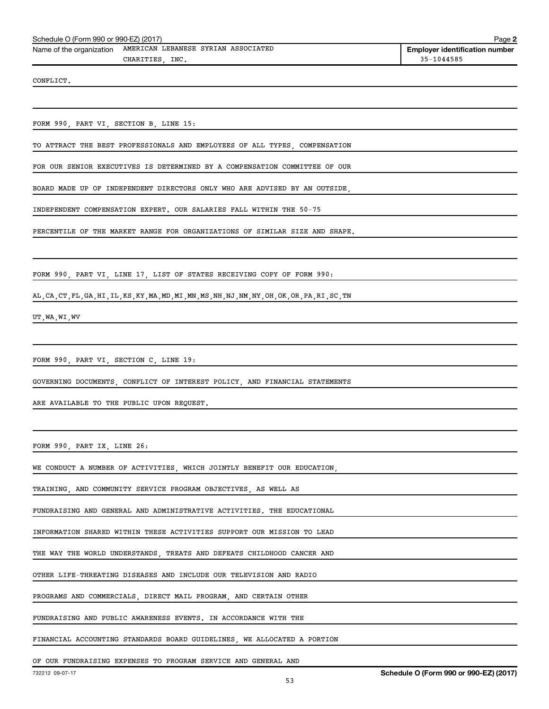CONFLICT.

FORM 990, PART VI, SECTION B, LINE 15:

TO ATTRACT THE BEST PROFESSIONALS AND EMPLOYEES OF ALL TYPES, COMPENSATION

FOR OUR SENIOR EXECUTIVES IS DETERMINED BY A COMPENSATION COMMITTEE OF OUR

BOARD MADE UP OF INDEPENDENT DIRECTORS ONLY WHO ARE ADVISED BY AN OUTSIDE,

INDEPENDENT COMPENSATION EXPERT. OUR SALARIES FALL WITHIN THE 50-75

PERCENTILE OF THE MARKET RANGE FOR ORGANIZATIONS OF SIMILAR SIZE AND SHAPE.

FORM 990, PART VI, LINE 17, LIST OF STATES RECEIVING COPY OF FORM 990:

AL,CA,CT,FL,GA,HI,IL,KS,KY,MA,MD,MI,MN,MS,NH,NJ,NM,NY,OH,OK,OR,PA,RI,SC,TN

UT,WA,WI,WV

FORM 990, PART VI, SECTION C, LINE 19:

GOVERNING DOCUMENTS, CONFLICT OF INTEREST POLICY, AND FINANCIAL STATEMENTS

ARE AVAILABLE TO THE PUBLIC UPON REQUEST.

FORM 990, PART IX, LINE 26:

WE CONDUCT A NUMBER OF ACTIVITIES, WHICH JOINTLY BENEFIT OUR EDUCATION,

TRAINING, AND COMMUNITY SERVICE PROGRAM OBJECTIVES, AS WELL AS

FUNDRAISING AND GENERAL AND ADMINISTRATIVE ACTIVITIES. THE EDUCATIONAL

INFORMATION SHARED WITHIN THESE ACTIVITIES SUPPORT OUR MISSION TO LEAD

THE WAY THE WORLD UNDERSTANDS, TREATS AND DEFEATS CHILDHOOD CANCER AND

OTHER LIFE-THREATING DISEASES AND INCLUDE OUR TELEVISION AND RADIO

PROGRAMS AND COMMERCIALS, DIRECT MAIL PROGRAM, AND CERTAIN OTHER

FUNDRAISING AND PUBLIC AWARENESS EVENTS. IN ACCORDANCE WITH THE

FINANCIAL ACCOUNTING STANDARDS BOARD GUIDELINES, WE ALLOCATED A PORTION

OF OUR FUNDRAISING EXPENSES TO PROGRAM SERVICE AND GENERAL AND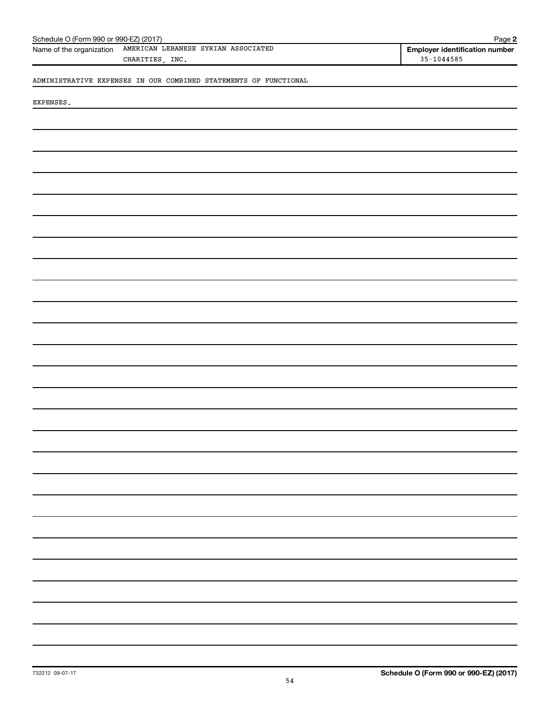| AMERICAN LEBANESE SYRIAN ASSOCIATED<br>Name of the organization<br><b>Employer identification number</b><br>$35 - 1044585$<br>CHARITIES, INC.<br>ADMINISTRATIVE EXPENSES IN OUR COMBINED STATEMENTS OF FUNCTIONAL<br>EXPENSES. | Schedule O (Form 990 or 990-EZ) (2017) | Page 2 |
|--------------------------------------------------------------------------------------------------------------------------------------------------------------------------------------------------------------------------------|----------------------------------------|--------|
|                                                                                                                                                                                                                                |                                        |        |
|                                                                                                                                                                                                                                |                                        |        |
|                                                                                                                                                                                                                                |                                        |        |
|                                                                                                                                                                                                                                |                                        |        |
|                                                                                                                                                                                                                                |                                        |        |
|                                                                                                                                                                                                                                |                                        |        |
|                                                                                                                                                                                                                                |                                        |        |
|                                                                                                                                                                                                                                |                                        |        |
|                                                                                                                                                                                                                                |                                        |        |
|                                                                                                                                                                                                                                |                                        |        |
|                                                                                                                                                                                                                                |                                        |        |
|                                                                                                                                                                                                                                |                                        |        |
|                                                                                                                                                                                                                                |                                        |        |
|                                                                                                                                                                                                                                |                                        |        |
|                                                                                                                                                                                                                                |                                        |        |
|                                                                                                                                                                                                                                |                                        |        |
|                                                                                                                                                                                                                                |                                        |        |
|                                                                                                                                                                                                                                |                                        |        |
|                                                                                                                                                                                                                                |                                        |        |
|                                                                                                                                                                                                                                |                                        |        |
|                                                                                                                                                                                                                                |                                        |        |
|                                                                                                                                                                                                                                |                                        |        |
|                                                                                                                                                                                                                                |                                        |        |
|                                                                                                                                                                                                                                |                                        |        |
|                                                                                                                                                                                                                                |                                        |        |
|                                                                                                                                                                                                                                |                                        |        |
|                                                                                                                                                                                                                                |                                        |        |
|                                                                                                                                                                                                                                |                                        |        |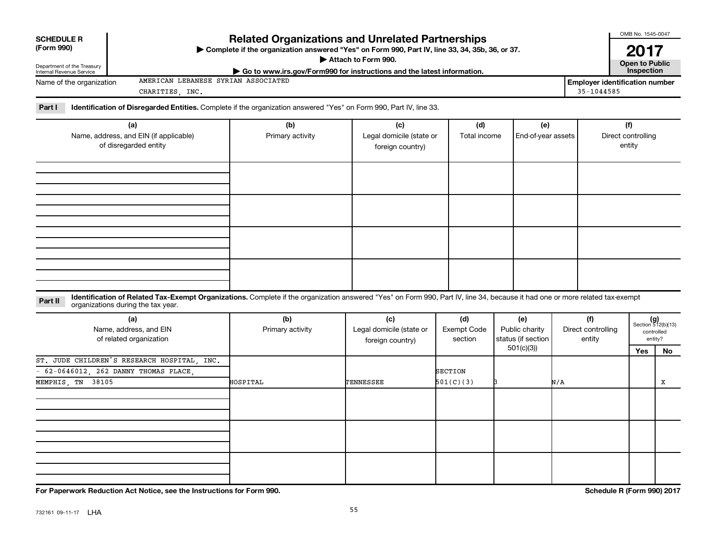| <b>SCHEDULE R</b><br>(Form 990)<br>Department of the Treasury<br>Internal Revenue Service |                                                                                                                                                                              | <b>Related Organizations and Unrelated Partnerships</b><br>> Complete if the organization answered "Yes" on Form 990, Part IV, line 33, 34, 35b, 36, or 37.<br>Go to www.irs.gov/Form990 for instructions and the latest information. | Attach to Form 990.                                 |                                                                                     |                           |                                     | OMB No. 1545-0047<br>2017<br><b>Open to Public</b><br>Inspection |                                                      |
|-------------------------------------------------------------------------------------------|------------------------------------------------------------------------------------------------------------------------------------------------------------------------------|---------------------------------------------------------------------------------------------------------------------------------------------------------------------------------------------------------------------------------------|-----------------------------------------------------|-------------------------------------------------------------------------------------|---------------------------|-------------------------------------|------------------------------------------------------------------|------------------------------------------------------|
| Name of the organization                                                                  | AMERICAN LEBANESE SYRIAN ASSOCIATED<br>CHARITIES, INC.                                                                                                                       |                                                                                                                                                                                                                                       |                                                     |                                                                                     |                           | $35 - 1044585$                      | <b>Employer identification number</b>                            |                                                      |
| Part I                                                                                    | Identification of Disregarded Entities. Complete if the organization answered "Yes" on Form 990, Part IV, line 33.                                                           |                                                                                                                                                                                                                                       |                                                     |                                                                                     |                           |                                     |                                                                  |                                                      |
|                                                                                           | (a)<br>Name, address, and EIN (if applicable)<br>of disregarded entity                                                                                                       | (b)<br>Primary activity                                                                                                                                                                                                               | (c)<br>Legal domicile (state or<br>foreign country) | (d)<br>Total income                                                                 | (e)<br>End-of-year assets |                                     | (f)<br>Direct controlling<br>entity                              |                                                      |
|                                                                                           |                                                                                                                                                                              |                                                                                                                                                                                                                                       |                                                     |                                                                                     |                           |                                     |                                                                  |                                                      |
|                                                                                           |                                                                                                                                                                              |                                                                                                                                                                                                                                       |                                                     |                                                                                     |                           |                                     |                                                                  |                                                      |
|                                                                                           | Identification of Related Tax-Exempt Organizations. Complete if the organization answered "Yes" on Form 990, Part IV, line 34, because it had one or more related tax-exempt |                                                                                                                                                                                                                                       |                                                     |                                                                                     |                           |                                     |                                                                  |                                                      |
| Part II                                                                                   | organizations during the tax year.                                                                                                                                           |                                                                                                                                                                                                                                       |                                                     |                                                                                     |                           |                                     |                                                                  |                                                      |
|                                                                                           | (a)<br>Name, address, and EIN<br>of related organization                                                                                                                     | (b)<br>Primary activity                                                                                                                                                                                                               | (c)<br>Legal domicile (state or<br>foreign country) | (d)<br>(e)<br><b>Exempt Code</b><br>Public charity<br>status (if section<br>section |                           | (f)<br>Direct controlling<br>entity |                                                                  | $(g)$<br>Section 512(b)(13)<br>controlled<br>entity? |
|                                                                                           |                                                                                                                                                                              |                                                                                                                                                                                                                                       |                                                     |                                                                                     | 501(c)(3)                 |                                     | Yes                                                              | No                                                   |
| MEMPHIS, TN 38105                                                                         | ST. JUDE CHILDREN'S RESEARCH HOSPITAL, INC.<br>62-0646012, 262 DANNY THOMAS PLACE,                                                                                           | HOSPITAL                                                                                                                                                                                                                              | TENNESSEE                                           | <b>SECTION</b><br>501(C)(3)                                                         |                           | N/A                                 |                                                                  | х                                                    |
|                                                                                           |                                                                                                                                                                              |                                                                                                                                                                                                                                       |                                                     |                                                                                     |                           |                                     |                                                                  |                                                      |
|                                                                                           |                                                                                                                                                                              |                                                                                                                                                                                                                                       |                                                     |                                                                                     |                           |                                     |                                                                  |                                                      |
|                                                                                           |                                                                                                                                                                              |                                                                                                                                                                                                                                       |                                                     |                                                                                     |                           |                                     |                                                                  |                                                      |
|                                                                                           | For Paperwork Reduction Act Notice, see the Instructions for Form 990.                                                                                                       |                                                                                                                                                                                                                                       |                                                     |                                                                                     |                           |                                     | Schedule R (Form 990) 2017                                       |                                                      |

55 732161 09-11-17 LHA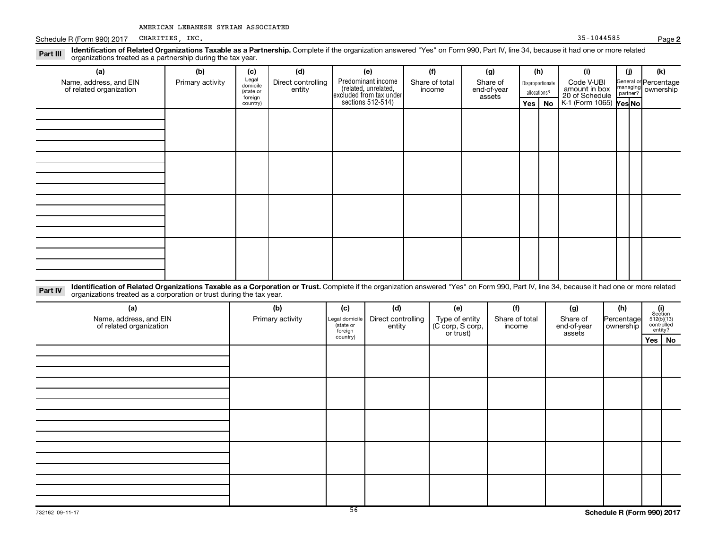Schedule R (Form 990) 2017

**Part III Identification of Related Organizations Taxable as a Partnership.**<br>
organizations treated as a partnership during the tax year. Complete if the organization answered "Yes" on Form 990, Part IV, line 34, because it had one or more related

| (a)                                               | (b)              | (c)                  | (d)                          | (e)                                                                                        | (f)                      | (g)                     |            | (h)              | (i)                                                       | (j) | (k)                                                     |
|---------------------------------------------------|------------------|----------------------|------------------------------|--------------------------------------------------------------------------------------------|--------------------------|-------------------------|------------|------------------|-----------------------------------------------------------|-----|---------------------------------------------------------|
| Name, address, and EIN<br>of related organization | Primary activity | Legal<br>domicile    | Direct controlling<br>entity | Predominant income<br>(related, unrelated,<br>excluded from tax under<br>sections 512-514) | Share of total<br>income | Share of<br>end-of-year |            | Disproportionate | Code V-UBI                                                |     | General or Percentage<br>managing ownership<br>partner? |
|                                                   |                  | (state or<br>foreign |                              |                                                                                            |                          | assets                  |            | allocations?     | amount in box<br>20 of Schedule<br>K-1 (Form 1065) Yes No |     |                                                         |
|                                                   |                  | country)             |                              |                                                                                            |                          |                         | $Yes \mid$ | No               |                                                           |     |                                                         |
|                                                   |                  |                      |                              |                                                                                            |                          |                         |            |                  |                                                           |     |                                                         |
|                                                   |                  |                      |                              |                                                                                            |                          |                         |            |                  |                                                           |     |                                                         |
|                                                   |                  |                      |                              |                                                                                            |                          |                         |            |                  |                                                           |     |                                                         |
|                                                   |                  |                      |                              |                                                                                            |                          |                         |            |                  |                                                           |     |                                                         |
|                                                   |                  |                      |                              |                                                                                            |                          |                         |            |                  |                                                           |     |                                                         |
|                                                   |                  |                      |                              |                                                                                            |                          |                         |            |                  |                                                           |     |                                                         |
|                                                   |                  |                      |                              |                                                                                            |                          |                         |            |                  |                                                           |     |                                                         |
|                                                   |                  |                      |                              |                                                                                            |                          |                         |            |                  |                                                           |     |                                                         |
|                                                   |                  |                      |                              |                                                                                            |                          |                         |            |                  |                                                           |     |                                                         |
|                                                   |                  |                      |                              |                                                                                            |                          |                         |            |                  |                                                           |     |                                                         |
|                                                   |                  |                      |                              |                                                                                            |                          |                         |            |                  |                                                           |     |                                                         |
|                                                   |                  |                      |                              |                                                                                            |                          |                         |            |                  |                                                           |     |                                                         |
|                                                   |                  |                      |                              |                                                                                            |                          |                         |            |                  |                                                           |     |                                                         |
|                                                   |                  |                      |                              |                                                                                            |                          |                         |            |                  |                                                           |     |                                                         |
|                                                   |                  |                      |                              |                                                                                            |                          |                         |            |                  |                                                           |     |                                                         |
|                                                   |                  |                      |                              |                                                                                            |                          |                         |            |                  |                                                           |     |                                                         |
|                                                   |                  |                      |                              |                                                                                            |                          |                         |            |                  |                                                           |     |                                                         |

**Part IV Identification of Related Organizations Taxable as a Corporation or Trust.**  organizations treated as a corporation or trust during the tax year. Complete if the organization answered "Yes" on Form 990, Part IV, line 34, because it had one or more related

| (a)<br>Name, address, and EIN<br>of related organization | (b)<br>Primary activity | (c)<br>Legal domicile<br>(state or<br>foreign | (d)<br>Direct controlling<br>entity | (e)<br>Type of entity<br>(C corp, S corp,<br>or trust) | (f)<br>Share of total<br>income | (g)<br>Share of<br>end-of-year<br>assets | (h)<br>Percentage<br>ownership | $(i)$<br>Section<br>512(b)(13)<br>controlled<br>entity? |  |
|----------------------------------------------------------|-------------------------|-----------------------------------------------|-------------------------------------|--------------------------------------------------------|---------------------------------|------------------------------------------|--------------------------------|---------------------------------------------------------|--|
|                                                          |                         | country)                                      |                                     |                                                        |                                 |                                          |                                | Yes   No                                                |  |
|                                                          |                         |                                               |                                     |                                                        |                                 |                                          |                                |                                                         |  |
|                                                          |                         |                                               |                                     |                                                        |                                 |                                          |                                |                                                         |  |
|                                                          |                         |                                               |                                     |                                                        |                                 |                                          |                                |                                                         |  |
|                                                          |                         |                                               |                                     |                                                        |                                 |                                          |                                |                                                         |  |
|                                                          |                         |                                               |                                     |                                                        |                                 |                                          |                                |                                                         |  |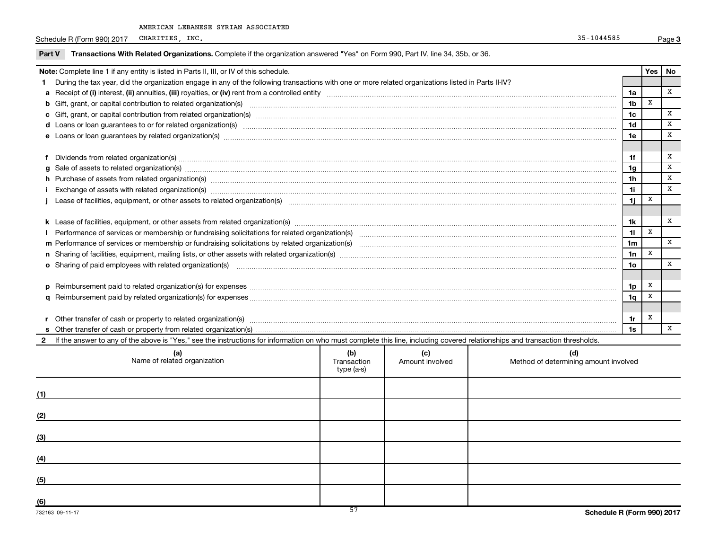Schedule R (Form 990) 2017 CHARITIES, INC. Page 3

|     | Transactions With Related Organizations. Complete if the organization answered "Yes" on Form 990, Part IV, line 34, 35b, or 36.<br>Part V                                                                                      |                        |                                              |                 |     |              |  |
|-----|--------------------------------------------------------------------------------------------------------------------------------------------------------------------------------------------------------------------------------|------------------------|----------------------------------------------|-----------------|-----|--------------|--|
|     | Note: Complete line 1 if any entity is listed in Parts II, III, or IV of this schedule.                                                                                                                                        |                        |                                              |                 | Yes | No           |  |
|     | During the tax year, did the organization engage in any of the following transactions with one or more related organizations listed in Parts II-IV?                                                                            |                        |                                              |                 |     |              |  |
|     |                                                                                                                                                                                                                                |                        |                                              | 1a              |     | $\mathbf{x}$ |  |
|     |                                                                                                                                                                                                                                |                        |                                              | 1 <sub>b</sub>  | x   |              |  |
|     |                                                                                                                                                                                                                                |                        |                                              | 1 <sub>c</sub>  |     | X            |  |
|     |                                                                                                                                                                                                                                |                        |                                              | 1 <sub>d</sub>  |     | x            |  |
|     | e Loans or loan guarantees by related organization(s) manufaction content to content the manufacture content of the manufacture content of the manufacture content of the manufacture content of the local content of the manu |                        |                                              | 1e              |     | $\mathbf{x}$ |  |
|     | f Dividends from related organization(s) www.communicallycommunicallycommunicallycommunicallycommunicallycommunicallycommunicallycommunicallycommunicallycommunicallycommunicallycommunicallycommunicallycommunicallycommunica |                        |                                              | 1f              |     | х            |  |
|     | Sale of assets to related organization(s) www.assemance.com/www.assemance.com/www.assemance.com/www.assemance.com/www.assemance.com/www.assemance.com/www.assemance.com/www.assemance.com/www.assemance.com/www.assemance.com/ |                        |                                              | 1 <sub>q</sub>  |     | $\mathbf{x}$ |  |
|     | h Purchase of assets from related organization(s) manufactured and content to content the content of an architecture of assets from related organization(s) manufactured and content and content of the content of the content |                        |                                              | 1 <sub>h</sub>  |     | $\mathbf{x}$ |  |
|     |                                                                                                                                                                                                                                |                        |                                              | 11              |     | $\mathbf{x}$ |  |
|     | Lease of facilities, equipment, or other assets to related organization(s) encontant content to consume the content of facilities, equipment, or other assets to related organization(s)                                       |                        |                                              | 1j              | x   |              |  |
|     |                                                                                                                                                                                                                                |                        |                                              |                 |     |              |  |
|     |                                                                                                                                                                                                                                |                        |                                              | 1k              |     | x            |  |
|     |                                                                                                                                                                                                                                |                        |                                              | 11              | x   |              |  |
|     |                                                                                                                                                                                                                                |                        |                                              | 1 <sub>m</sub>  |     | $\mathbf{x}$ |  |
|     |                                                                                                                                                                                                                                |                        |                                              | 1n              | x   |              |  |
|     | o Sharing of paid employees with related organization(s) manufactured and content to the content of the content of the content of the content of the content of the content of the content of the content of the content of th |                        |                                              | 10 <sub>o</sub> |     | x            |  |
|     | Reimbursement paid to related organization(s) for expenses [111] Relation and the content of the content of the content of the content of the content of the content of the content of the content of the content of the conte |                        |                                              | 1p              | X   |              |  |
|     |                                                                                                                                                                                                                                |                        |                                              | 1q              | x   |              |  |
|     |                                                                                                                                                                                                                                |                        |                                              |                 |     |              |  |
|     | Other transfer of cash or property to related organization(s) www.communities.com/www.communities/communities/                                                                                                                 |                        |                                              | 1r              | х   |              |  |
|     |                                                                                                                                                                                                                                |                        |                                              |                 |     |              |  |
|     | If the answer to any of the above is "Yes," see the instructions for information on who must complete this line, including covered relationships and transaction thresholds.                                                   |                        |                                              |                 |     |              |  |
|     | (b)<br>(a)<br>Name of related organization<br>Transaction<br>type (a-s)                                                                                                                                                        | (c)<br>Amount involved | (d)<br>Method of determining amount involved |                 |     |              |  |
| (1) |                                                                                                                                                                                                                                |                        |                                              |                 |     |              |  |
|     |                                                                                                                                                                                                                                |                        |                                              |                 |     |              |  |

**(2)**

**(3)**

**(4)**

**(5)**

**(6)**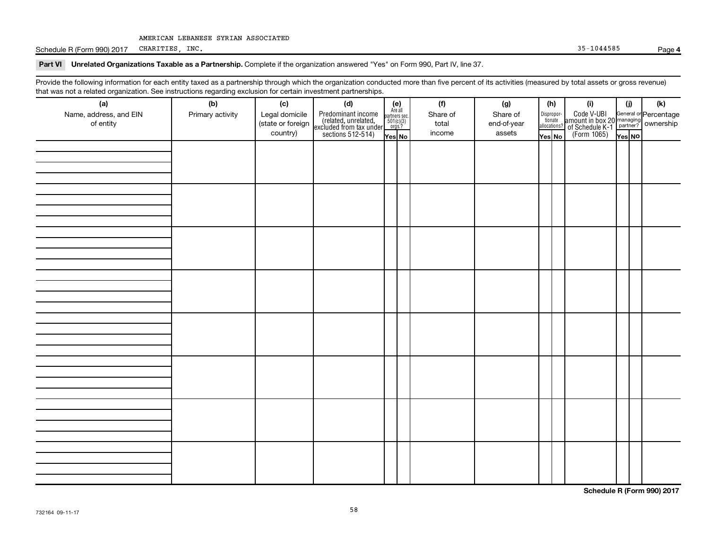Schedule R (Form 990) 2017 CHARITIES, INC. 35-1044585 Page **4**

#### Part VI Unrelated Organizations Taxable as a Partnership. Complete if the organization answered "Yes" on Form 990, Part IV, line 37.

Provide the following information for each entity taxed as a partnership through which the organization conducted more than five percent of its activities (measured by total assets or gross revenue) that was not a related organization. See instructions regarding exclusion for certain investment partnerships.

| (a)<br>Name, address, and EIN<br>of entity | - 0-<br>(b)<br>Primary activity | (c)<br>Legal domicile<br>(state or foreign<br>country) | . <del>.</del><br>(d)<br>Predominant income<br>(related, unrelated,<br>excluded from tax under,<br>sections 512-514) | (e)<br>Are all<br>partners sec.<br>$501(c)(3)$<br>orgs.?<br>Yes No | (f)<br>Share of<br>total<br>income | (g)<br>Share of<br>end-of-year<br>assets | (h)<br>Dispropor-<br>tionate<br>allocations?<br>Yes No | (i)<br>Code V-UBI<br>amount in box 20 managing<br>2 of Schedule K-1<br>Person of The Press No<br>(Form 1065)<br>Tes No | (i)<br>Yes NO | (k) |
|--------------------------------------------|---------------------------------|--------------------------------------------------------|----------------------------------------------------------------------------------------------------------------------|--------------------------------------------------------------------|------------------------------------|------------------------------------------|--------------------------------------------------------|------------------------------------------------------------------------------------------------------------------------|---------------|-----|
|                                            |                                 |                                                        |                                                                                                                      |                                                                    |                                    |                                          |                                                        |                                                                                                                        |               |     |
|                                            |                                 |                                                        |                                                                                                                      |                                                                    |                                    |                                          |                                                        |                                                                                                                        |               |     |
|                                            |                                 |                                                        |                                                                                                                      |                                                                    |                                    |                                          |                                                        |                                                                                                                        |               |     |
|                                            |                                 |                                                        |                                                                                                                      |                                                                    |                                    |                                          |                                                        |                                                                                                                        |               |     |
|                                            |                                 |                                                        |                                                                                                                      |                                                                    |                                    |                                          |                                                        |                                                                                                                        |               |     |
|                                            |                                 |                                                        |                                                                                                                      |                                                                    |                                    |                                          |                                                        |                                                                                                                        |               |     |
|                                            |                                 |                                                        |                                                                                                                      |                                                                    |                                    |                                          |                                                        |                                                                                                                        |               |     |
|                                            |                                 |                                                        |                                                                                                                      |                                                                    |                                    |                                          |                                                        |                                                                                                                        |               |     |

**Schedule R (Form 990) 2017**